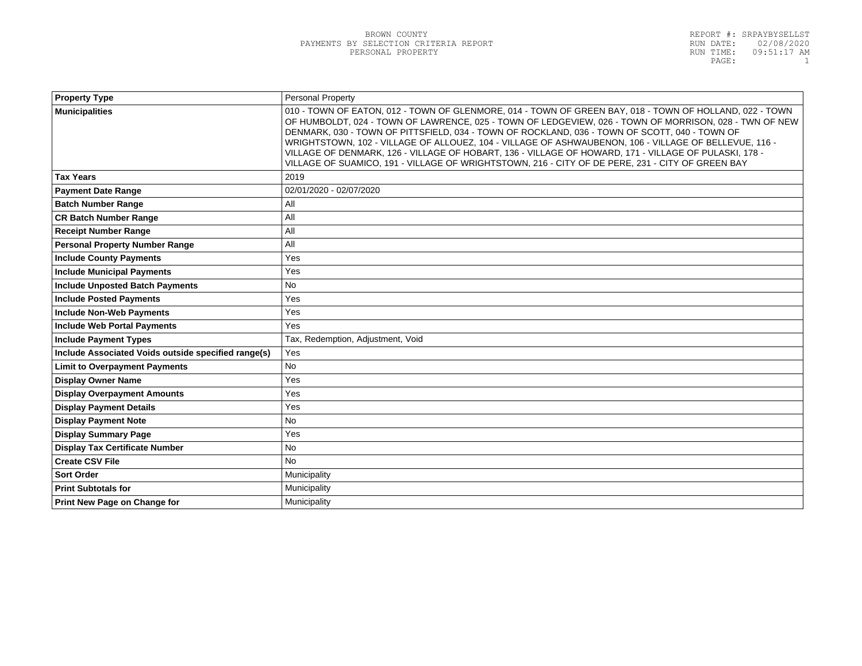| <b>Property Type</b>                                | <b>Personal Property</b>                                                                                                                                                                                                                                                                                                                                                                                                                                                                                                                                                                                                                 |  |
|-----------------------------------------------------|------------------------------------------------------------------------------------------------------------------------------------------------------------------------------------------------------------------------------------------------------------------------------------------------------------------------------------------------------------------------------------------------------------------------------------------------------------------------------------------------------------------------------------------------------------------------------------------------------------------------------------------|--|
| <b>Municipalities</b>                               | 010 - TOWN OF EATON, 012 - TOWN OF GLENMORE, 014 - TOWN OF GREEN BAY, 018 - TOWN OF HOLLAND, 022 - TOWN<br>OF HUMBOLDT, 024 - TOWN OF LAWRENCE, 025 - TOWN OF LEDGEVIEW, 026 - TOWN OF MORRISON, 028 - TWN OF NEW<br>DENMARK, 030 - TOWN OF PITTSFIELD, 034 - TOWN OF ROCKLAND, 036 - TOWN OF SCOTT, 040 - TOWN OF<br>WRIGHTSTOWN, 102 - VILLAGE OF ALLOUEZ, 104 - VILLAGE OF ASHWAUBENON, 106 - VILLAGE OF BELLEVUE, 116 -<br>VILLAGE OF DENMARK, 126 - VILLAGE OF HOBART, 136 - VILLAGE OF HOWARD, 171 - VILLAGE OF PULASKI, 178 -<br>VILLAGE OF SUAMICO, 191 - VILLAGE OF WRIGHTSTOWN, 216 - CITY OF DE PERE, 231 - CITY OF GREEN BAY |  |
| <b>Tax Years</b>                                    | 2019                                                                                                                                                                                                                                                                                                                                                                                                                                                                                                                                                                                                                                     |  |
| <b>Payment Date Range</b>                           | 02/01/2020 - 02/07/2020                                                                                                                                                                                                                                                                                                                                                                                                                                                                                                                                                                                                                  |  |
| <b>Batch Number Range</b>                           | All                                                                                                                                                                                                                                                                                                                                                                                                                                                                                                                                                                                                                                      |  |
| <b>CR Batch Number Range</b>                        | All                                                                                                                                                                                                                                                                                                                                                                                                                                                                                                                                                                                                                                      |  |
| <b>Receipt Number Range</b>                         | All                                                                                                                                                                                                                                                                                                                                                                                                                                                                                                                                                                                                                                      |  |
| <b>Personal Property Number Range</b>               | All                                                                                                                                                                                                                                                                                                                                                                                                                                                                                                                                                                                                                                      |  |
| <b>Include County Payments</b>                      | Yes                                                                                                                                                                                                                                                                                                                                                                                                                                                                                                                                                                                                                                      |  |
| <b>Include Municipal Payments</b>                   | Yes                                                                                                                                                                                                                                                                                                                                                                                                                                                                                                                                                                                                                                      |  |
| <b>Include Unposted Batch Payments</b>              | No                                                                                                                                                                                                                                                                                                                                                                                                                                                                                                                                                                                                                                       |  |
| <b>Include Posted Payments</b>                      | Yes                                                                                                                                                                                                                                                                                                                                                                                                                                                                                                                                                                                                                                      |  |
| <b>Include Non-Web Payments</b>                     | Yes                                                                                                                                                                                                                                                                                                                                                                                                                                                                                                                                                                                                                                      |  |
| <b>Include Web Portal Payments</b>                  | Yes                                                                                                                                                                                                                                                                                                                                                                                                                                                                                                                                                                                                                                      |  |
| <b>Include Payment Types</b>                        | Tax, Redemption, Adjustment, Void                                                                                                                                                                                                                                                                                                                                                                                                                                                                                                                                                                                                        |  |
| Include Associated Voids outside specified range(s) | Yes                                                                                                                                                                                                                                                                                                                                                                                                                                                                                                                                                                                                                                      |  |
| <b>Limit to Overpayment Payments</b>                | <b>No</b>                                                                                                                                                                                                                                                                                                                                                                                                                                                                                                                                                                                                                                |  |
| <b>Display Owner Name</b>                           | Yes                                                                                                                                                                                                                                                                                                                                                                                                                                                                                                                                                                                                                                      |  |
| <b>Display Overpayment Amounts</b>                  | Yes                                                                                                                                                                                                                                                                                                                                                                                                                                                                                                                                                                                                                                      |  |
| <b>Display Payment Details</b>                      | Yes                                                                                                                                                                                                                                                                                                                                                                                                                                                                                                                                                                                                                                      |  |
| <b>Display Payment Note</b>                         | <b>No</b>                                                                                                                                                                                                                                                                                                                                                                                                                                                                                                                                                                                                                                |  |
| <b>Display Summary Page</b>                         | Yes                                                                                                                                                                                                                                                                                                                                                                                                                                                                                                                                                                                                                                      |  |
| <b>Display Tax Certificate Number</b>               | <b>No</b>                                                                                                                                                                                                                                                                                                                                                                                                                                                                                                                                                                                                                                |  |
| <b>Create CSV File</b>                              | <b>No</b>                                                                                                                                                                                                                                                                                                                                                                                                                                                                                                                                                                                                                                |  |
| <b>Sort Order</b>                                   | Municipality                                                                                                                                                                                                                                                                                                                                                                                                                                                                                                                                                                                                                             |  |
| <b>Print Subtotals for</b>                          | Municipality                                                                                                                                                                                                                                                                                                                                                                                                                                                                                                                                                                                                                             |  |
| <b>Print New Page on Change for</b>                 | Municipality                                                                                                                                                                                                                                                                                                                                                                                                                                                                                                                                                                                                                             |  |
|                                                     |                                                                                                                                                                                                                                                                                                                                                                                                                                                                                                                                                                                                                                          |  |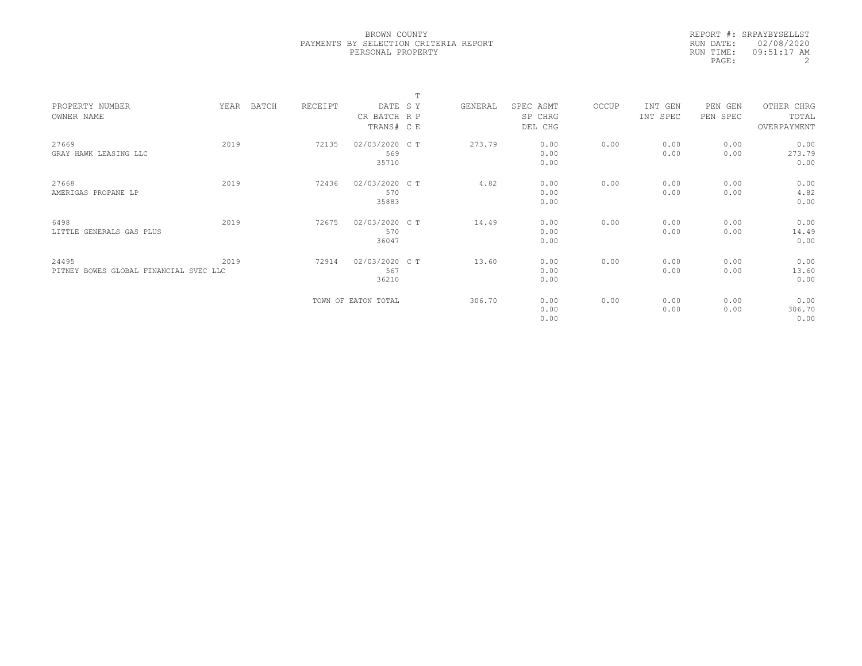|           | REPORT #: SRPAYBYSELLST |
|-----------|-------------------------|
|           | RUN DATE: 02/08/2020    |
| RUN TIME: | 09:51:17 AM             |
| PAGE:     |                         |

|                                        |      |       |         |                     | m |         |           |       |          |          |             |  |
|----------------------------------------|------|-------|---------|---------------------|---|---------|-----------|-------|----------|----------|-------------|--|
| PROPERTY NUMBER                        | YEAR | BATCH | RECEIPT | DATE SY             |   | GENERAL | SPEC ASMT | OCCUP | INT GEN  | PEN GEN  | OTHER CHRG  |  |
| OWNER NAME                             |      |       |         | CR BATCH R P        |   |         | SP CHRG   |       | INT SPEC | PEN SPEC | TOTAL       |  |
|                                        |      |       |         | TRANS# C E          |   |         | DEL CHG   |       |          |          | OVERPAYMENT |  |
|                                        |      |       |         |                     |   |         |           |       |          |          |             |  |
| 27669                                  | 2019 |       | 72135   | 02/03/2020 C T      |   | 273.79  | 0.00      | 0.00  | 0.00     | 0.00     | 0.00        |  |
| GRAY HAWK LEASING LLC                  |      |       |         | 569                 |   |         | 0.00      |       | 0.00     | 0.00     | 273.79      |  |
|                                        |      |       |         | 35710               |   |         | 0.00      |       |          |          | 0.00        |  |
|                                        |      |       |         |                     |   |         |           |       |          |          |             |  |
| 27668                                  | 2019 |       | 72436   | 02/03/2020 CT       |   | 4.82    | 0.00      | 0.00  | 0.00     | 0.00     | 0.00        |  |
| AMERIGAS PROPANE LP                    |      |       |         | 570                 |   |         | 0.00      |       | 0.00     | 0.00     | 4.82        |  |
|                                        |      |       |         | 35883               |   |         | 0.00      |       |          |          | 0.00        |  |
| 6498                                   | 2019 |       | 72675   | 02/03/2020 C T      |   | 14.49   | 0.00      | 0.00  | 0.00     | 0.00     | 0.00        |  |
| LITTLE GENERALS GAS PLUS               |      |       |         | 570                 |   |         | 0.00      |       | 0.00     | 0.00     | 14.49       |  |
|                                        |      |       |         | 36047               |   |         | 0.00      |       |          |          | 0.00        |  |
|                                        |      |       |         |                     |   |         |           |       |          |          |             |  |
| 24495                                  | 2019 |       | 72914   | 02/03/2020 CT       |   | 13.60   | 0.00      | 0.00  | 0.00     | 0.00     | 0.00        |  |
| PITNEY BOWES GLOBAL FINANCIAL SVEC LLC |      |       |         | 567                 |   |         | 0.00      |       | 0.00     | 0.00     | 13.60       |  |
|                                        |      |       |         | 36210               |   |         | 0.00      |       |          |          | 0.00        |  |
|                                        |      |       |         |                     |   |         |           |       |          |          |             |  |
|                                        |      |       |         | TOWN OF EATON TOTAL |   | 306.70  | 0.00      | 0.00  | 0.00     | 0.00     | 0.00        |  |
|                                        |      |       |         |                     |   |         | 0.00      |       | 0.00     | 0.00     | 306.70      |  |
|                                        |      |       |         |                     |   |         | 0.00      |       |          |          | 0.00        |  |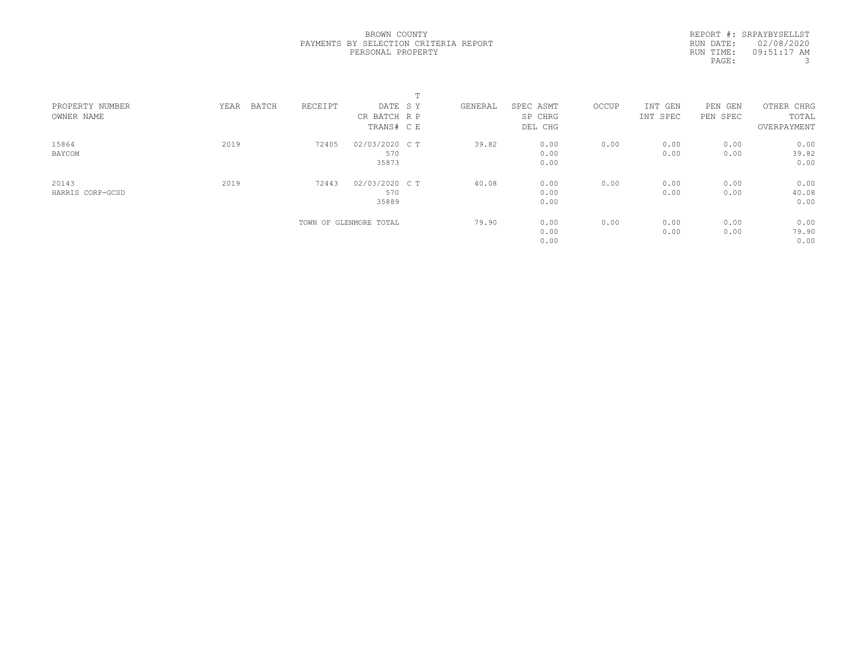REPORT #: SRPAYBYSELLST RUN DATE: 02/08/2020 RUN TIME: 09:51:17 AM PAGE: 3

|                               |               |         |                         | $\mathbf{r}$<br>÷. |         |                      |       |                     |                        |                     |
|-------------------------------|---------------|---------|-------------------------|--------------------|---------|----------------------|-------|---------------------|------------------------|---------------------|
| PROPERTY NUMBER<br>OWNER NAME | BATCH<br>YEAR | RECEIPT | DATE SY<br>CR BATCH R P |                    | GENERAL | SPEC ASMT<br>SP CHRG | OCCUP | INT GEN<br>INT SPEC | PEN<br>GEN<br>PEN SPEC | OTHER CHRG<br>TOTAL |
|                               |               |         | TRANS# C E              |                    |         | DEL CHG              |       |                     |                        | OVERPAYMENT         |
| 15864                         | 2019          | 72405   | 02/03/2020 C T          |                    | 39.82   | 0.00                 | 0.00  | 0.00                | 0.00                   | 0.00                |
| BAYCOM                        |               |         | 570                     |                    |         | 0.00                 |       | 0.00                | 0.00                   | 39.82               |
|                               |               |         | 35873                   |                    |         | 0.00                 |       |                     |                        | 0.00                |
| 20143                         | 2019          | 72443   | 02/03/2020 C T          |                    | 40.08   | 0.00                 | 0.00  | 0.00                | 0.00                   | 0.00                |
| HARRIS CORP-GCSD              |               |         | 570                     |                    |         | 0.00                 |       | 0.00                | 0.00                   | 40.08               |
|                               |               |         | 35889                   |                    |         | 0.00                 |       |                     |                        | 0.00                |
|                               |               |         | TOWN OF GLENMORE TOTAL  |                    | 79.90   | 0.00                 | 0.00  | 0.00                | 0.00                   | 0.00                |
|                               |               |         |                         |                    |         | 0.00                 |       | 0.00                | 0.00                   | 79.90               |
|                               |               |         |                         |                    |         | 0.00                 |       |                     |                        | 0.00                |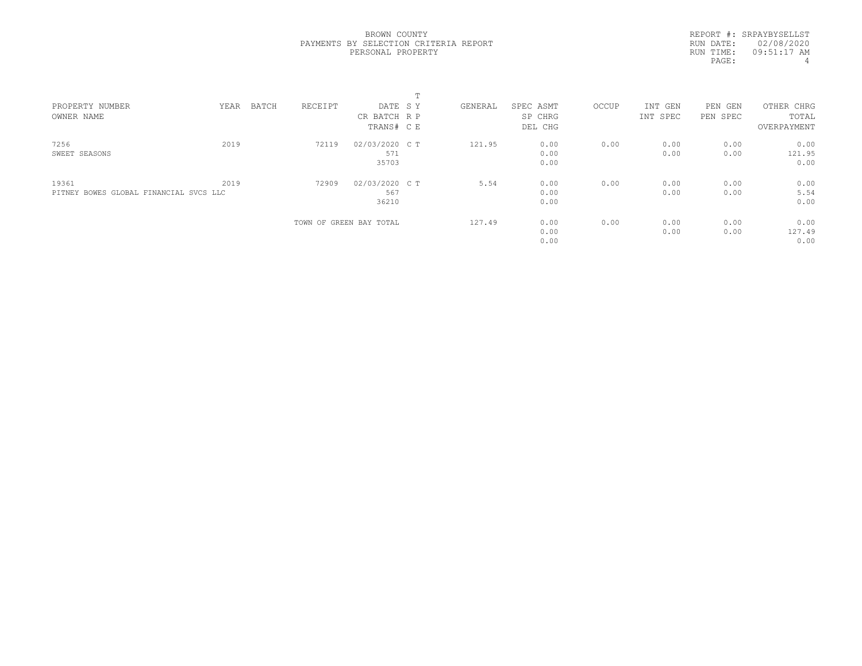REPORT #: SRPAYBYSELLST RUN DATE: 02/08/2020 RUN TIME: 09:51:17 AM PAGE: 4

|                                        |      |       |         |                         | <b>+</b> |         |           |       |          |            |             |  |
|----------------------------------------|------|-------|---------|-------------------------|----------|---------|-----------|-------|----------|------------|-------------|--|
| PROPERTY NUMBER                        | YEAR | BATCH | RECEIPT | DATE SY                 |          | GENERAL | SPEC ASMT | OCCUP | INT GEN  | PEN<br>GEN | OTHER CHRG  |  |
| OWNER NAME                             |      |       |         | CR BATCH R P            |          |         | SP CHRG   |       | INT SPEC | PEN SPEC   | TOTAL       |  |
|                                        |      |       |         | TRANS# C E              |          |         | DEL CHG   |       |          |            | OVERPAYMENT |  |
| 7256                                   | 2019 |       | 72119   | 02/03/2020 C T          |          | 121.95  | 0.00      | 0.00  | 0.00     | 0.00       | 0.00        |  |
| SWEET SEASONS                          |      |       |         | 571                     |          |         | 0.00      |       | 0.00     | 0.00       | 121.95      |  |
|                                        |      |       |         | 35703                   |          |         | 0.00      |       |          |            | 0.00        |  |
| 19361                                  | 2019 |       | 72909   | 02/03/2020 C T          |          | 5.54    | 0.00      | 0.00  | 0.00     | 0.00       | 0.00        |  |
| PITNEY BOWES GLOBAL FINANCIAL SVCS LLC |      |       |         | 567                     |          |         | 0.00      |       | 0.00     | 0.00       | 5.54        |  |
|                                        |      |       |         | 36210                   |          |         | 0.00      |       |          |            | 0.00        |  |
|                                        |      |       |         | TOWN OF GREEN BAY TOTAL |          | 127.49  | 0.00      | 0.00  | 0.00     | 0.00       | 0.00        |  |
|                                        |      |       |         |                         |          |         | 0.00      |       | 0.00     | 0.00       | 127.49      |  |
|                                        |      |       |         |                         |          |         | 0.00      |       |          |            | 0.00        |  |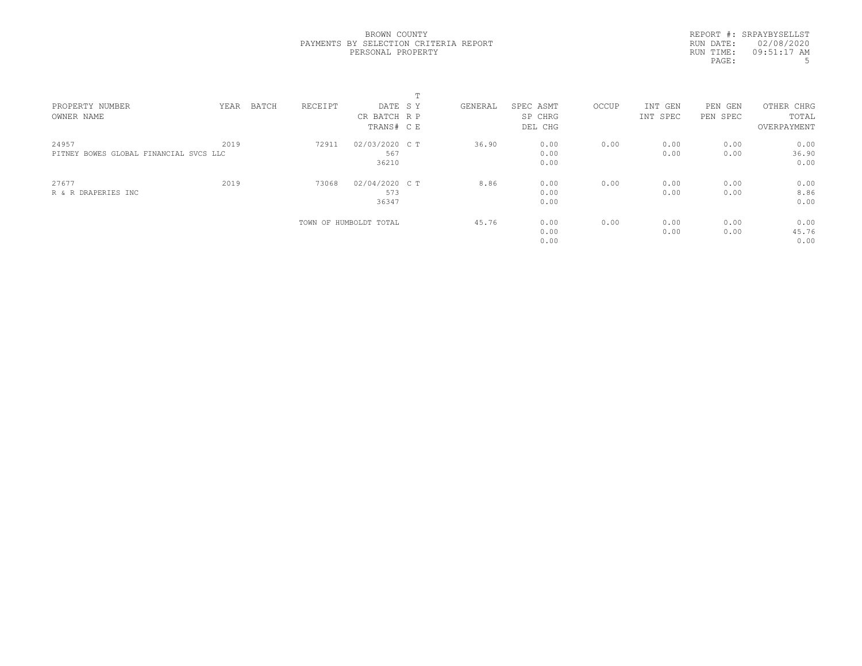|           | REPORT #: SRPAYBYSELLST |
|-----------|-------------------------|
|           | RUN DATE: 02/08/2020    |
| RUN TIME: | 09:51:17 AM             |
| PAGE:     | .5                      |

|                                        |      |       |         |                        | ÷. |         |           |       |          |            |             |  |
|----------------------------------------|------|-------|---------|------------------------|----|---------|-----------|-------|----------|------------|-------------|--|
| PROPERTY NUMBER                        | YEAR | BATCH | RECEIPT | DATE SY                |    | GENERAL | SPEC ASMT | OCCUP | INT GEN  | PEN<br>GEN | OTHER CHRG  |  |
| OWNER NAME                             |      |       |         | CR BATCH R P           |    |         | SP CHRG   |       | INT SPEC | PEN SPEC   | TOTAL       |  |
|                                        |      |       |         | TRANS# C E             |    |         | DEL CHG   |       |          |            | OVERPAYMENT |  |
| 24957                                  | 2019 |       | 72911   | 02/03/2020 C T         |    | 36.90   | 0.00      | 0.00  | 0.00     | 0.00       | 0.00        |  |
| PITNEY BOWES GLOBAL FINANCIAL SVCS LLC |      |       |         | 567                    |    |         | 0.00      |       | 0.00     | 0.00       | 36.90       |  |
|                                        |      |       |         | 36210                  |    |         | 0.00      |       |          |            | 0.00        |  |
| 27677                                  | 2019 |       | 73068   | 02/04/2020 C T         |    | 8.86    | 0.00      | 0.00  | 0.00     | 0.00       | 0.00        |  |
| R & R DRAPERIES INC                    |      |       |         | 573                    |    |         | 0.00      |       | 0.00     | 0.00       | 8.86        |  |
|                                        |      |       |         | 36347                  |    |         | 0.00      |       |          |            | 0.00        |  |
|                                        |      |       |         | TOWN OF HUMBOLDT TOTAL |    | 45.76   | 0.00      | 0.00  | 0.00     | 0.00       | 0.00        |  |
|                                        |      |       |         |                        |    |         | 0.00      |       | 0.00     | 0.00       | 45.76       |  |
|                                        |      |       |         |                        |    |         | 0.00      |       |          |            | 0.00        |  |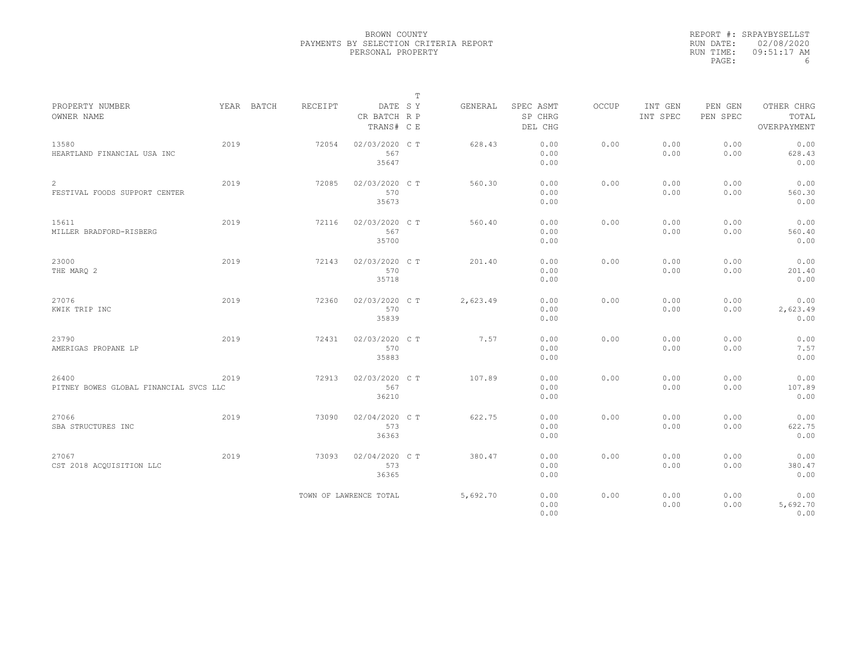|           | REPORT #: SRPAYBYSELLST |
|-----------|-------------------------|
|           | RUN DATE: 02/08/2020    |
| RUN TIME: | $09:51:17$ AM           |
| PAGE:     | 6                       |

|                                                 |      |            |                |                                       | $\mathbb T$ |          |                                 |       |                     |                     |                                    |  |
|-------------------------------------------------|------|------------|----------------|---------------------------------------|-------------|----------|---------------------------------|-------|---------------------|---------------------|------------------------------------|--|
| PROPERTY NUMBER<br>OWNER NAME                   |      | YEAR BATCH | <b>RECEIPT</b> | DATE SY<br>CR BATCH R P<br>TRANS# C E |             | GENERAL  | SPEC ASMT<br>SP CHRG<br>DEL CHG | OCCUP | INT GEN<br>INT SPEC | PEN GEN<br>PEN SPEC | OTHER CHRG<br>TOTAL<br>OVERPAYMENT |  |
| 13580<br>HEARTLAND FINANCIAL USA INC            | 2019 |            | 72054          | 02/03/2020 C T<br>567<br>35647        |             | 628.43   | 0.00<br>0.00<br>0.00            | 0.00  | 0.00<br>0.00        | 0.00<br>0.00        | 0.00<br>628.43<br>0.00             |  |
| 2<br>FESTIVAL FOODS SUPPORT CENTER              | 2019 |            | 72085          | 02/03/2020 C T<br>570<br>35673        |             | 560.30   | 0.00<br>0.00<br>0.00            | 0.00  | 0.00<br>0.00        | 0.00<br>0.00        | 0.00<br>560.30<br>0.00             |  |
| 15611<br>MILLER BRADFORD-RISBERG                | 2019 |            | 72116          | 02/03/2020 C T<br>567<br>35700        |             | 560.40   | 0.00<br>0.00<br>0.00            | 0.00  | 0.00<br>0.00        | 0.00<br>0.00        | 0.00<br>560.40<br>0.00             |  |
| 23000<br>THE MARO 2                             | 2019 |            | 72143          | 02/03/2020 C T<br>570<br>35718        |             | 201.40   | 0.00<br>0.00<br>0.00            | 0.00  | 0.00<br>0.00        | 0.00<br>0.00        | 0.00<br>201.40<br>0.00             |  |
| 27076<br>KWIK TRIP INC                          | 2019 |            | 72360          | 02/03/2020 C T<br>570<br>35839        |             | 2,623.49 | 0.00<br>0.00<br>0.00            | 0.00  | 0.00<br>0.00        | 0.00<br>0.00        | 0.00<br>2,623.49<br>0.00           |  |
| 23790<br>AMERIGAS PROPANE LP                    | 2019 |            | 72431          | 02/03/2020 CT<br>570<br>35883         |             | 7.57     | 0.00<br>0.00<br>0.00            | 0.00  | 0.00<br>0.00        | 0.00<br>0.00        | 0.00<br>7.57<br>0.00               |  |
| 26400<br>PITNEY BOWES GLOBAL FINANCIAL SVCS LLC | 2019 |            | 72913          | 02/03/2020 C T<br>567<br>36210        |             | 107.89   | 0.00<br>0.00<br>0.00            | 0.00  | 0.00<br>0.00        | 0.00<br>0.00        | 0.00<br>107.89<br>0.00             |  |
| 27066<br>SBA STRUCTURES INC                     | 2019 |            | 73090          | 02/04/2020 C T<br>573<br>36363        |             | 622.75   | 0.00<br>0.00<br>0.00            | 0.00  | 0.00<br>0.00        | 0.00<br>0.00        | 0.00<br>622.75<br>0.00             |  |
| 27067<br>CST 2018 ACQUISITION LLC               | 2019 |            | 73093          | 02/04/2020 C T<br>573<br>36365        |             | 380.47   | 0.00<br>0.00<br>0.00            | 0.00  | 0.00<br>0.00        | 0.00<br>0.00        | 0.00<br>380.47<br>0.00             |  |
|                                                 |      |            |                | TOWN OF LAWRENCE TOTAL                |             | 5,692.70 | 0.00<br>0.00<br>0.00            | 0.00  | 0.00<br>0.00        | 0.00<br>0.00        | 0.00<br>5,692.70<br>0.00           |  |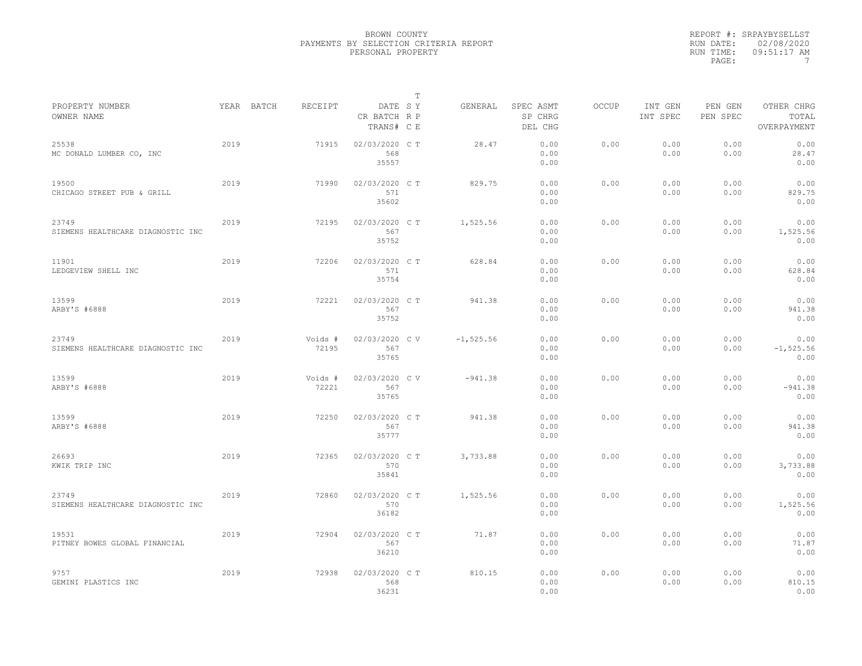|           | REPORT #: SRPAYBYSELLST |
|-----------|-------------------------|
|           | RUN DATE: 02/08/2020    |
| RUN TIME: | $09:51:17$ AM           |
| PAGE:     |                         |

|                                            |      |                       |                                |         | т            |                                 |       |                     |                     |                                    |  |
|--------------------------------------------|------|-----------------------|--------------------------------|---------|--------------|---------------------------------|-------|---------------------|---------------------|------------------------------------|--|
| PROPERTY NUMBER<br>OWNER NAME              |      | YEAR BATCH<br>RECEIPT | CR BATCH R P<br>TRANS# C E     | DATE SY | GENERAL      | SPEC ASMT<br>SP CHRG<br>DEL CHG | OCCUP | INT GEN<br>INT SPEC | PEN GEN<br>PEN SPEC | OTHER CHRG<br>TOTAL<br>OVERPAYMENT |  |
| 25538<br>MC DONALD LUMBER CO, INC          | 2019 | 71915                 | 02/03/2020 C T<br>568<br>35557 |         | 28.47        | 0.00<br>0.00<br>0.00            | 0.00  | 0.00<br>0.00        | 0.00<br>0.00        | 0.00<br>28.47<br>0.00              |  |
| 19500<br>CHICAGO STREET PUB & GRILL        | 2019 | 71990                 | 02/03/2020 C T<br>571<br>35602 |         | 829.75       | 0.00<br>0.00<br>0.00            | 0.00  | 0.00<br>0.00        | 0.00<br>0.00        | 0.00<br>829.75<br>0.00             |  |
| 23749<br>SIEMENS HEALTHCARE DIAGNOSTIC INC | 2019 | 72195                 | 02/03/2020 CT<br>567<br>35752  |         | 1,525.56     | 0.00<br>0.00<br>0.00            | 0.00  | 0.00<br>0.00        | 0.00<br>0.00        | 0.00<br>1,525.56<br>0.00           |  |
| 11901<br>LEDGEVIEW SHELL INC               | 2019 | 72206                 | 02/03/2020 C T<br>571<br>35754 |         | 628.84       | 0.00<br>0.00<br>0.00            | 0.00  | 0.00<br>0.00        | 0.00<br>0.00        | 0.00<br>628.84<br>0.00             |  |
| 13599<br>ARBY'S #6888                      | 2019 | 72221                 | 02/03/2020 C T<br>567<br>35752 |         | 941.38       | 0.00<br>0.00<br>0.00            | 0.00  | 0.00<br>0.00        | 0.00<br>0.00        | 0.00<br>941.38<br>0.00             |  |
| 23749<br>SIEMENS HEALTHCARE DIAGNOSTIC INC | 2019 | Voids #<br>72195      | 02/03/2020 CV<br>567<br>35765  |         | $-1, 525.56$ | 0.00<br>0.00<br>0.00            | 0.00  | 0.00<br>0.00        | 0.00<br>0.00        | 0.00<br>$-1, 525.56$<br>0.00       |  |
| 13599<br>ARBY'S #6888                      | 2019 | Voids #<br>72221      | 02/03/2020 C V<br>567<br>35765 |         | $-941.38$    | 0.00<br>0.00<br>0.00            | 0.00  | 0.00<br>0.00        | 0.00<br>0.00        | 0.00<br>$-941.38$<br>0.00          |  |
| 13599<br>ARBY'S #6888                      | 2019 | 72250                 | 02/03/2020 C T<br>567<br>35777 |         | 941.38       | 0.00<br>0.00<br>0.00            | 0.00  | 0.00<br>0.00        | 0.00<br>0.00        | 0.00<br>941.38<br>0.00             |  |
| 26693<br>KWIK TRIP INC                     | 2019 | 72365                 | 02/03/2020 CT<br>570<br>35841  |         | 3,733.88     | 0.00<br>0.00<br>0.00            | 0.00  | 0.00<br>0.00        | 0.00<br>0.00        | 0.00<br>3,733.88<br>0.00           |  |
| 23749<br>SIEMENS HEALTHCARE DIAGNOSTIC INC | 2019 | 72860                 | 02/03/2020 C T<br>570<br>36182 |         | 1,525.56     | 0.00<br>0.00<br>0.00            | 0.00  | 0.00<br>0.00        | 0.00<br>0.00        | 0.00<br>1,525.56<br>0.00           |  |
| 19531<br>PITNEY BOWES GLOBAL FINANCIAL     | 2019 | 72904                 | 02/03/2020 C T<br>567<br>36210 |         | 71.87        | 0.00<br>0.00<br>0.00            | 0.00  | 0.00<br>0.00        | 0.00<br>0.00        | 0.00<br>71.87<br>0.00              |  |
| 9757<br>GEMINI PLASTICS INC                | 2019 | 72938                 | 02/03/2020 C T<br>568<br>36231 |         | 810.15       | 0.00<br>0.00<br>0.00            | 0.00  | 0.00<br>0.00        | 0.00<br>0.00        | 0.00<br>810.15<br>0.00             |  |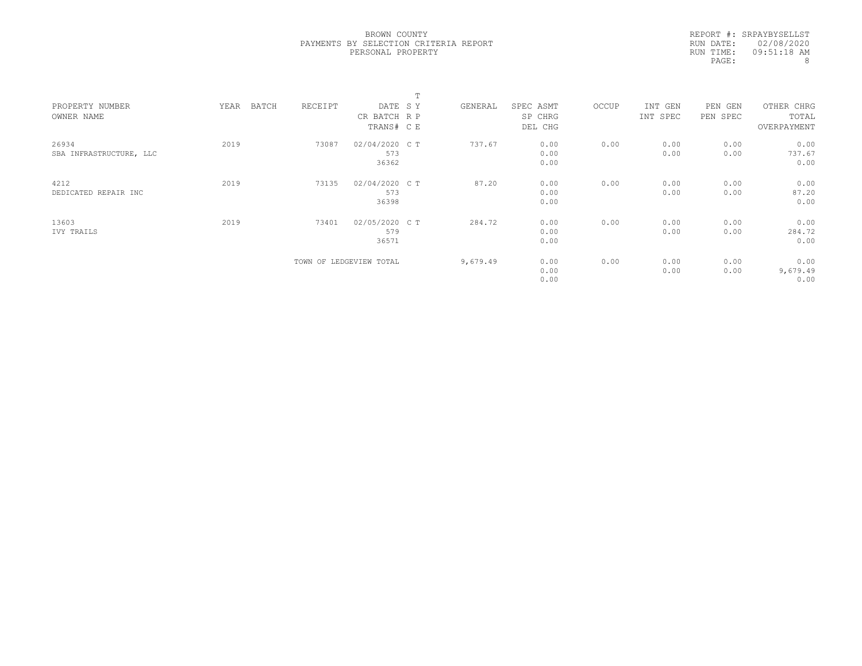|           | REPORT #: SRPAYBYSELLST |
|-----------|-------------------------|
|           | RUN DATE: 02/08/2020    |
| RUN TIME: | 09:51:18 AM             |
| PAGE:     | 8                       |

|                         |               |         |                         | $\blacksquare$ |          |           |       |          |          |             |  |
|-------------------------|---------------|---------|-------------------------|----------------|----------|-----------|-------|----------|----------|-------------|--|
| PROPERTY NUMBER         | BATCH<br>YEAR | RECEIPT | DATE SY                 |                | GENERAL  | SPEC ASMT | OCCUP | INT GEN  | PEN GEN  | OTHER CHRG  |  |
| OWNER NAME              |               |         | CR BATCH R P            |                |          | SP CHRG   |       | INT SPEC | PEN SPEC | TOTAL       |  |
|                         |               |         | TRANS# CE               |                |          | DEL CHG   |       |          |          | OVERPAYMENT |  |
| 26934                   | 2019          | 73087   | 02/04/2020 C T          |                | 737.67   | 0.00      | 0.00  | 0.00     | 0.00     | 0.00        |  |
| SBA INFRASTRUCTURE, LLC |               |         | 573                     |                |          | 0.00      |       | 0.00     | 0.00     | 737.67      |  |
|                         |               |         | 36362                   |                |          | 0.00      |       |          |          | 0.00        |  |
| 4212                    | 2019          | 73135   | 02/04/2020 C T          |                | 87.20    | 0.00      | 0.00  | 0.00     | 0.00     | 0.00        |  |
| DEDICATED REPAIR INC    |               |         | 573                     |                |          | 0.00      |       | 0.00     | 0.00     | 87.20       |  |
|                         |               |         | 36398                   |                |          | 0.00      |       |          |          | 0.00        |  |
| 13603                   | 2019          | 73401   | 02/05/2020 C T          |                | 284.72   | 0.00      | 0.00  | 0.00     | 0.00     | 0.00        |  |
| IVY TRAILS              |               |         | 579                     |                |          | 0.00      |       | 0.00     | 0.00     | 284.72      |  |
|                         |               |         | 36571                   |                |          | 0.00      |       |          |          | 0.00        |  |
|                         |               |         | TOWN OF LEDGEVIEW TOTAL |                | 9,679.49 | 0.00      | 0.00  | 0.00     | 0.00     | 0.00        |  |
|                         |               |         |                         |                |          | 0.00      |       | 0.00     | 0.00     | 9,679.49    |  |
|                         |               |         |                         |                |          | 0.00      |       |          |          | 0.00        |  |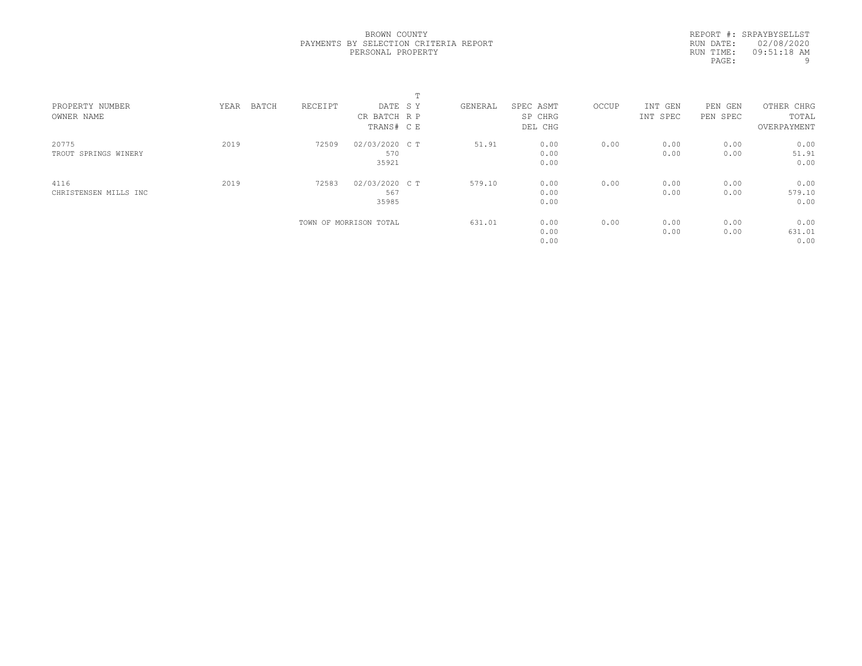REPORT #: SRPAYBYSELLST RUN DATE: 02/08/2020 RUN TIME: 09:51:18 AM PAGE: 9

| PROPERTY NUMBER<br>OWNER NAME | BATCH<br>YEAR | RECEIPT | DATE SY<br>CR BATCH R P<br>TRANS# C E | GENERAL | SPEC ASMT<br>SP CHRG<br>DEL CHG | OCCUP | INT GEN<br>INT SPEC | PEN<br>GEN<br>PEN SPEC | OTHER CHRG<br>TOTAL<br>OVERPAYMENT |  |
|-------------------------------|---------------|---------|---------------------------------------|---------|---------------------------------|-------|---------------------|------------------------|------------------------------------|--|
| 20775<br>TROUT SPRINGS WINERY | 2019          | 72509   | 02/03/2020 C T<br>570<br>35921        | 51.91   | 0.00<br>0.00<br>0.00            | 0.00  | 0.00<br>0.00        | 0.00<br>0.00           | 0.00<br>51.91<br>0.00              |  |
| 4116<br>CHRISTENSEN MILLS INC | 2019          | 72583   | 02/03/2020 C T<br>567<br>35985        | 579.10  | 0.00<br>0.00<br>0.00            | 0.00  | 0.00<br>0.00        | 0.00<br>0.00           | 0.00<br>579.10<br>0.00             |  |
|                               |               |         | TOWN OF MORRISON TOTAL                | 631.01  | 0.00<br>0.00<br>0.00            | 0.00  | 0.00<br>0.00        | 0.00<br>0.00           | 0.00<br>631.01<br>0.00             |  |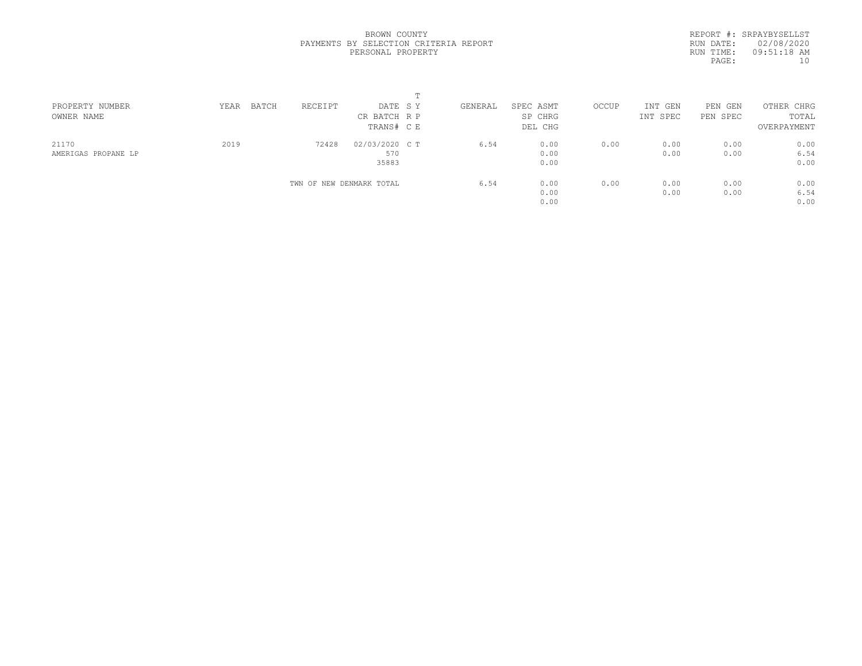REPORT #: SRPAYBYSELLST RUN DATE: 02/08/2020 RUN TIME: 09:51:18 AM PAGE:  $10$ 

| PROPERTY NUMBER     | BATCH<br>YEAR | RECEIPT                  | DATE SY        | GENERAL | SPEC ASMT | OCCUP | INT GEN  | PEN GEN  | OTHER CHRG  |  |
|---------------------|---------------|--------------------------|----------------|---------|-----------|-------|----------|----------|-------------|--|
| OWNER NAME          |               |                          | CR BATCH R P   |         | SP CHRG   |       | INT SPEC | PEN SPEC | TOTAL       |  |
|                     |               |                          | TRANS# C E     |         | DEL CHG   |       |          |          | OVERPAYMENT |  |
| 21170               | 2019          | 72428                    | 02/03/2020 C T | 6.54    | 0.00      | 0.00  | 0.00     | 0.00     | 0.00        |  |
| AMERIGAS PROPANE LP |               |                          | 570            |         | 0.00      |       | 0.00     | 0.00     | 6.54        |  |
|                     |               |                          | 35883          |         | 0.00      |       |          |          | 0.00        |  |
|                     |               | TWN OF NEW DENMARK TOTAL |                | 6.54    | 0.00      | 0.00  | 0.00     | 0.00     | 0.00        |  |
|                     |               |                          |                |         | 0.00      |       | 0.00     | 0.00     | 6.54        |  |
|                     |               |                          |                |         | 0.00      |       |          |          | 0.00        |  |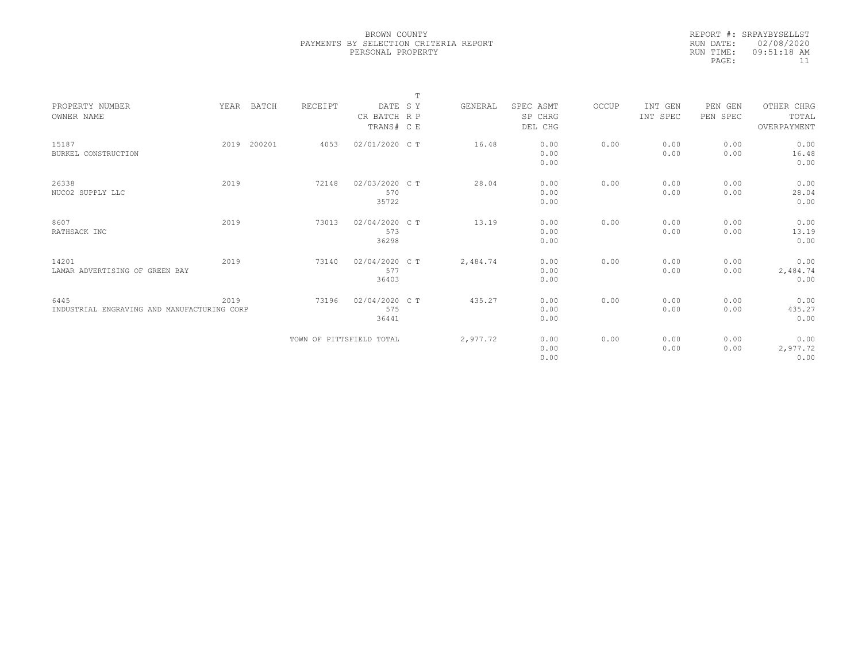|                                             |      |             |                          |                | T |          |           |       |          |          |             |  |
|---------------------------------------------|------|-------------|--------------------------|----------------|---|----------|-----------|-------|----------|----------|-------------|--|
| PROPERTY NUMBER                             |      | YEAR BATCH  | RECEIPT                  | DATE SY        |   | GENERAL  | SPEC ASMT | OCCUP | INT GEN  | PEN GEN  | OTHER CHRG  |  |
| OWNER NAME                                  |      |             |                          | CR BATCH R P   |   |          | SP CHRG   |       | INT SPEC | PEN SPEC | TOTAL       |  |
|                                             |      |             |                          | TRANS# C E     |   |          | DEL CHG   |       |          |          | OVERPAYMENT |  |
|                                             |      |             |                          |                |   |          |           |       |          |          |             |  |
| 15187                                       |      | 2019 200201 | 4053                     | 02/01/2020 C T |   | 16.48    | 0.00      | 0.00  | 0.00     | 0.00     | 0.00        |  |
| BURKEL CONSTRUCTION                         |      |             |                          |                |   |          | 0.00      |       | 0.00     | 0.00     | 16.48       |  |
|                                             |      |             |                          |                |   |          | 0.00      |       |          |          | 0.00        |  |
|                                             |      |             |                          |                |   |          |           |       |          |          |             |  |
| 26338                                       | 2019 |             | 72148                    | 02/03/2020 C T |   | 28.04    | 0.00      | 0.00  | 0.00     | 0.00     | 0.00        |  |
| NUCO2 SUPPLY LLC                            |      |             |                          | 570            |   |          | 0.00      |       | 0.00     | 0.00     | 28.04       |  |
|                                             |      |             |                          | 35722          |   |          | 0.00      |       |          |          | 0.00        |  |
|                                             |      |             |                          |                |   |          |           |       |          |          |             |  |
| 8607                                        | 2019 |             | 73013                    | 02/04/2020 C T |   | 13.19    | 0.00      | 0.00  | 0.00     | 0.00     | 0.00        |  |
| RATHSACK INC                                |      |             |                          | 573            |   |          | 0.00      |       | 0.00     | 0.00     | 13.19       |  |
|                                             |      |             |                          | 36298          |   |          | 0.00      |       |          |          | 0.00        |  |
|                                             |      |             |                          |                |   |          |           |       |          |          |             |  |
| 14201                                       | 2019 |             | 73140                    | 02/04/2020 C T |   | 2,484.74 | 0.00      | 0.00  | 0.00     | 0.00     | 0.00        |  |
| LAMAR ADVERTISING OF GREEN BAY              |      |             |                          | 577            |   |          | 0.00      |       | 0.00     | 0.00     | 2,484.74    |  |
|                                             |      |             |                          | 36403          |   |          | 0.00      |       |          |          | 0.00        |  |
|                                             |      |             |                          |                |   |          |           |       |          |          |             |  |
| 6445                                        | 2019 |             | 73196                    | 02/04/2020 C T |   | 435.27   | 0.00      | 0.00  | 0.00     | 0.00     | 0.00        |  |
| INDUSTRIAL ENGRAVING AND MANUFACTURING CORP |      |             |                          | 575            |   |          | 0.00      |       | 0.00     | 0.00     | 435.27      |  |
|                                             |      |             |                          | 36441          |   |          | 0.00      |       |          |          | 0.00        |  |
|                                             |      |             |                          |                |   |          |           |       |          |          |             |  |
|                                             |      |             | TOWN OF PITTSFIELD TOTAL |                |   | 2,977.72 | 0.00      | 0.00  | 0.00     | 0.00     | 0.00        |  |
|                                             |      |             |                          |                |   |          | 0.00      |       | 0.00     | 0.00     | 2,977.72    |  |
|                                             |      |             |                          |                |   |          | 0.00      |       |          |          | 0.00        |  |
|                                             |      |             |                          |                |   |          |           |       |          |          |             |  |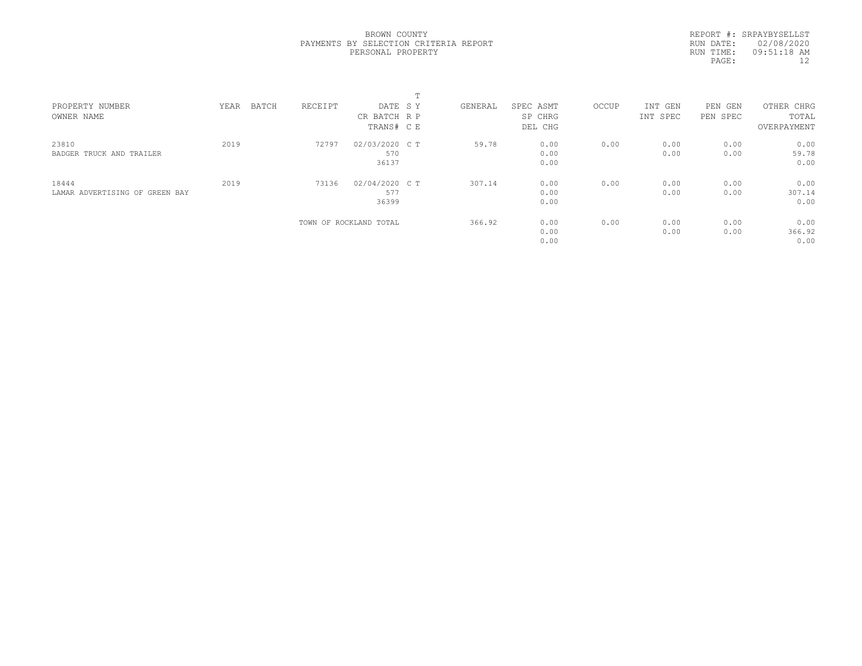REPORT #: SRPAYBYSELLST RUN DATE: 02/08/2020 RUN TIME: 09:51:18 AM PAGE: 12

| PROPERTY NUMBER<br>OWNER NAME           | YEAR | BATCH | RECEIPT | DATE SY<br>CR BATCH R P<br>TRANS# C E | GENERAL | SPEC ASMT<br>SP CHRG<br>DEL CHG | OCCUP | INT GEN<br>INT SPEC | PEN<br>GEN<br>PEN SPEC | OTHER CHRG<br>TOTAL<br>OVERPAYMENT |  |
|-----------------------------------------|------|-------|---------|---------------------------------------|---------|---------------------------------|-------|---------------------|------------------------|------------------------------------|--|
| 23810<br>BADGER TRUCK AND TRAILER       | 2019 |       | 72797   | 02/03/2020 C T<br>570<br>36137        | 59.78   | 0.00<br>0.00<br>0.00            | 0.00  | 0.00<br>0.00        | 0.00<br>0.00           | 0.00<br>59.78<br>0.00              |  |
| 18444<br>LAMAR ADVERTISING OF GREEN BAY | 2019 |       | 73136   | 02/04/2020 C T<br>577<br>36399        | 307.14  | 0.00<br>0.00<br>0.00            | 0.00  | 0.00<br>0.00        | 0.00<br>0.00           | 0.00<br>307.14<br>0.00             |  |
|                                         |      |       |         | TOWN OF ROCKLAND TOTAL                | 366.92  | 0.00<br>0.00<br>0.00            | 0.00  | 0.00<br>0.00        | 0.00<br>0.00           | 0.00<br>366.92<br>0.00             |  |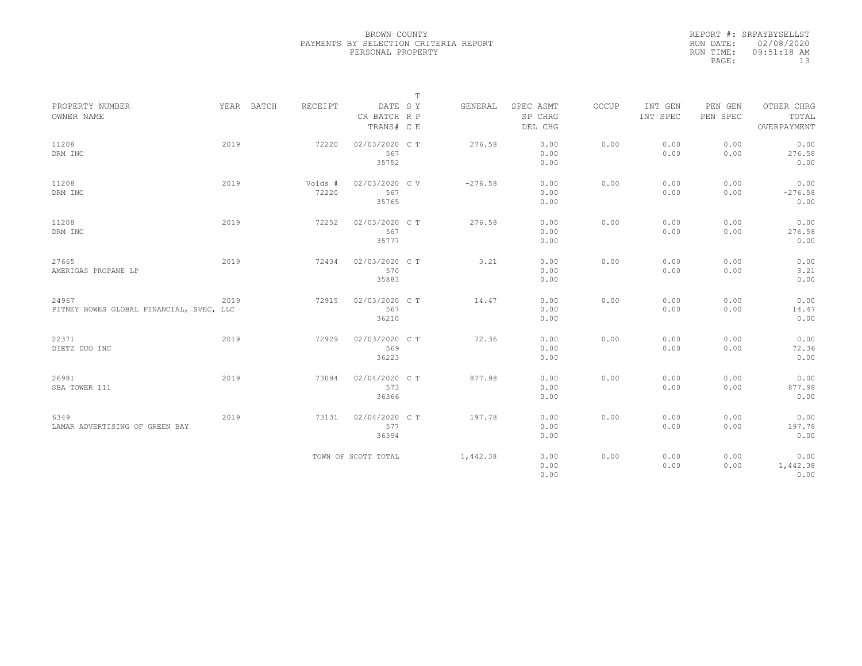|           | REPORT #: SRPAYBYSELLST |
|-----------|-------------------------|
|           | RUN DATE: 02/08/2020    |
| RUN TIME: | $09:51:18$ AM           |
| PAGE:     | 13                      |

|                                                   |      |            |                  |                                       | T |           |                                 |       |                     |                     |                                    |
|---------------------------------------------------|------|------------|------------------|---------------------------------------|---|-----------|---------------------------------|-------|---------------------|---------------------|------------------------------------|
| PROPERTY NUMBER<br>OWNER NAME                     |      | YEAR BATCH | RECEIPT          | DATE SY<br>CR BATCH R P<br>TRANS# C E |   | GENERAL   | SPEC ASMT<br>SP CHRG<br>DEL CHG | OCCUP | INT GEN<br>INT SPEC | PEN GEN<br>PEN SPEC | OTHER CHRG<br>TOTAL<br>OVERPAYMENT |
| 11208<br>DRM INC                                  | 2019 |            | 72220            | 02/03/2020 CT<br>567<br>35752         |   | 276.58    | 0.00<br>0.00<br>0.00            | 0.00  | 0.00<br>0.00        | 0.00<br>0.00        | 0.00<br>276.58<br>0.00             |
| 11208<br>DRM INC                                  | 2019 |            | Voids #<br>72220 | 02/03/2020 CV<br>567<br>35765         |   | $-276.58$ | 0.00<br>0.00<br>0.00            | 0.00  | 0.00<br>0.00        | 0.00<br>0.00        | 0.00<br>$-276.58$<br>0.00          |
| 11208<br>DRM INC                                  | 2019 |            | 72252            | 02/03/2020 C T<br>567<br>35777        |   | 276.58    | 0.00<br>0.00<br>0.00            | 0.00  | 0.00<br>0.00        | 0.00<br>0.00        | 0.00<br>276.58<br>0.00             |
| 27665<br>AMERIGAS PROPANE LP                      | 2019 |            | 72434            | 02/03/2020 C T<br>570<br>35883        |   | 3.21      | 0.00<br>0.00<br>0.00            | 0.00  | 0.00<br>0.00        | 0.00<br>0.00        | 0.00<br>3.21<br>0.00               |
| 24967<br>PITNEY BOWES GLOBAL FINANCIAL, SVEC, LLC | 2019 |            | 72915            | 02/03/2020 C T<br>567<br>36210        |   | 14.47     | 0.00<br>0.00<br>0.00            | 0.00  | 0.00<br>0.00        | 0.00<br>0.00        | 0.00<br>14.47<br>0.00              |
| 22371<br>DIETZ DUO INC                            | 2019 |            | 72929            | 02/03/2020 CT<br>569<br>36223         |   | 72.36     | 0.00<br>0.00<br>0.00            | 0.00  | 0.00<br>0.00        | 0.00<br>0.00        | 0.00<br>72.36<br>0.00              |
| 26981<br>SBA TOWER 111                            | 2019 |            | 73094            | 02/04/2020 C T<br>573<br>36366        |   | 877.98    | 0.00<br>0.00<br>0.00            | 0.00  | 0.00<br>0.00        | 0.00<br>0.00        | 0.00<br>877.98<br>0.00             |
| 6349<br>LAMAR ADVERTISING OF GREEN BAY            | 2019 |            | 73131            | 02/04/2020 C T<br>577<br>36394        |   | 197.78    | 0.00<br>0.00<br>0.00            | 0.00  | 0.00<br>0.00        | 0.00<br>0.00        | 0.00<br>197.78<br>0.00             |
|                                                   |      |            |                  | TOWN OF SCOTT TOTAL                   |   | 1,442.38  | 0.00<br>0.00<br>0.00            | 0.00  | 0.00<br>0.00        | 0.00<br>0.00        | 0.00<br>1,442.38<br>0.00           |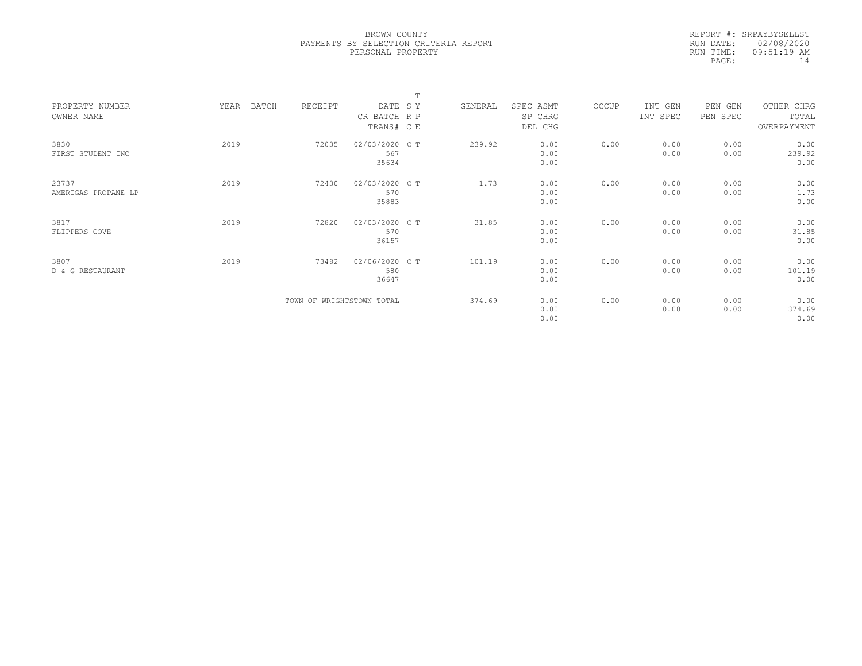| RUN DATE: 02/08/2020<br>$09:51:19$ AM<br>RUN TIME: |       | REPORT #: SRPAYBYSELLST |
|----------------------------------------------------|-------|-------------------------|
|                                                    |       |                         |
|                                                    |       |                         |
|                                                    | PAGE: | 14                      |

|                     |               |                           |                | $\mathbf{r}$ |         |           |       |          |          |             |  |
|---------------------|---------------|---------------------------|----------------|--------------|---------|-----------|-------|----------|----------|-------------|--|
| PROPERTY NUMBER     | YEAR<br>BATCH | RECEIPT                   | DATE SY        |              | GENERAL | SPEC ASMT | OCCUP | INT GEN  | PEN GEN  | OTHER CHRG  |  |
| OWNER NAME          |               |                           | CR BATCH R P   |              |         | SP CHRG   |       | INT SPEC | PEN SPEC | TOTAL       |  |
|                     |               |                           | TRANS# C E     |              |         | DEL CHG   |       |          |          | OVERPAYMENT |  |
| 3830                | 2019          | 72035                     | 02/03/2020 C T |              | 239.92  | 0.00      | 0.00  | 0.00     | 0.00     | 0.00        |  |
| FIRST STUDENT INC   |               |                           | 567            |              |         | 0.00      |       | 0.00     | 0.00     | 239.92      |  |
|                     |               |                           | 35634          |              |         | 0.00      |       |          |          | 0.00        |  |
|                     |               |                           |                |              |         |           |       |          |          |             |  |
| 23737               | 2019          | 72430                     | 02/03/2020 CT  |              | 1.73    | 0.00      | 0.00  | 0.00     | 0.00     | 0.00        |  |
| AMERIGAS PROPANE LP |               |                           | 570            |              |         | 0.00      |       | 0.00     | 0.00     | 1.73        |  |
|                     |               |                           | 35883          |              |         | 0.00      |       |          |          | 0.00        |  |
|                     |               |                           |                |              |         |           |       |          |          |             |  |
| 3817                | 2019          | 72820                     | 02/03/2020 C T |              | 31.85   | 0.00      | 0.00  | 0.00     | 0.00     | 0.00        |  |
| FLIPPERS COVE       |               |                           | 570            |              |         | 0.00      |       | 0.00     | 0.00     | 31.85       |  |
|                     |               |                           | 36157          |              |         | 0.00      |       |          |          | 0.00        |  |
|                     |               |                           |                |              |         |           |       |          |          |             |  |
| 3807                | 2019          | 73482                     | 02/06/2020 CT  |              | 101.19  | 0.00      | 0.00  | 0.00     | 0.00     | 0.00        |  |
| D & G RESTAURANT    |               |                           | 580            |              |         | 0.00      |       | 0.00     | 0.00     | 101.19      |  |
|                     |               |                           | 36647          |              |         | 0.00      |       |          |          | 0.00        |  |
|                     |               |                           |                |              |         |           |       |          |          |             |  |
|                     |               | TOWN OF WRIGHTSTOWN TOTAL |                |              | 374.69  | 0.00      | 0.00  | 0.00     | 0.00     | 0.00        |  |
|                     |               |                           |                |              |         | 0.00      |       | 0.00     | 0.00     | 374.69      |  |
|                     |               |                           |                |              |         | 0.00      |       |          |          | 0.00        |  |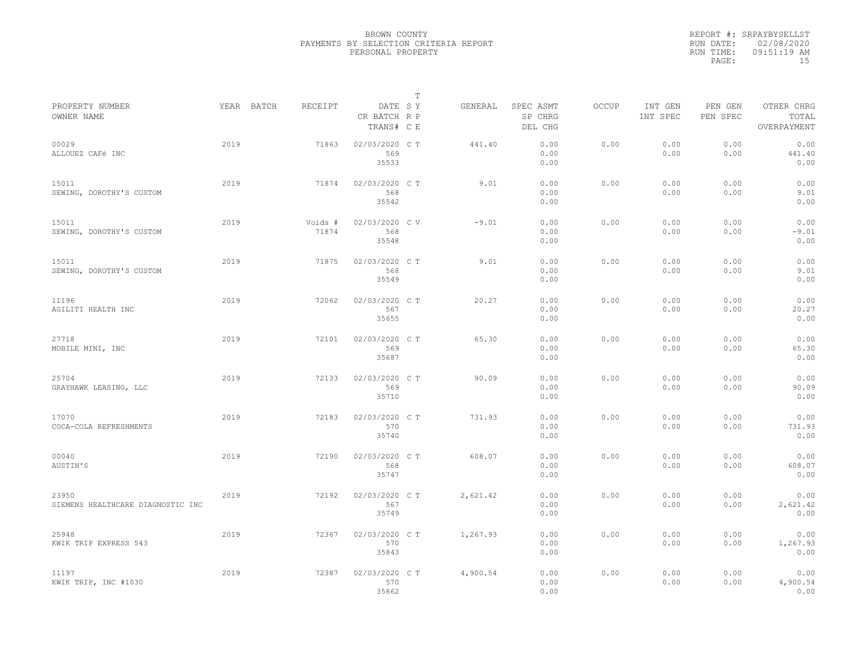|           | REPORT #: SRPAYBYSELLST |
|-----------|-------------------------|
|           | RUN DATE: 02/08/2020    |
| RUN TIME: | 09:51:19 AM             |
| PAGE:     | 1.5                     |

|                                            |      |            |                  |                                       | T |          |                                 |              |                     |                     |                                    |  |
|--------------------------------------------|------|------------|------------------|---------------------------------------|---|----------|---------------------------------|--------------|---------------------|---------------------|------------------------------------|--|
| PROPERTY NUMBER<br>OWNER NAME              |      | YEAR BATCH | RECEIPT          | DATE SY<br>CR BATCH R P<br>TRANS# C E |   | GENERAL  | SPEC ASMT<br>SP CHRG<br>DEL CHG | <b>OCCUP</b> | INT GEN<br>INT SPEC | PEN GEN<br>PEN SPEC | OTHER CHRG<br>TOTAL<br>OVERPAYMENT |  |
| 00029<br>ALLOUEZ CAFé INC                  | 2019 |            | 71863            | 02/03/2020 C T<br>569<br>35533        |   | 441.40   | 0.00<br>0.00<br>0.00            | 0.00         | 0.00<br>0.00        | 0.00<br>0.00        | 0.00<br>441.40<br>0.00             |  |
| 15011<br>SEWING, DOROTHY'S CUSTOM          | 2019 |            | 71874            | 02/03/2020 C T<br>568<br>35542        |   | 9.01     | 0.00<br>0.00<br>0.00            | 0.00         | 0.00<br>0.00        | 0.00<br>0.00        | 0.00<br>9.01<br>0.00               |  |
| 15011<br>SEWING, DOROTHY'S CUSTOM          | 2019 |            | Voids #<br>71874 | 02/03/2020 C V<br>568<br>35548        |   | $-9.01$  | 0.00<br>0.00<br>0.00            | 0.00         | 0.00<br>0.00        | 0.00<br>0.00        | 0.00<br>$-9.01$<br>0.00            |  |
| 15011<br>SEWING, DOROTHY'S CUSTOM          | 2019 |            | 71875            | 02/03/2020 C T<br>568<br>35549        |   | 9.01     | 0.00<br>0.00<br>0.00            | 0.00         | 0.00<br>0.00        | 0.00<br>0.00        | 0.00<br>9.01<br>0.00               |  |
| 11196<br>AGILITI HEALTH INC                | 2019 |            | 72062            | 02/03/2020 C T<br>567<br>35655        |   | 20.27    | 0.00<br>0.00<br>0.00            | 0.00         | 0.00<br>0.00        | 0.00<br>0.00        | 0.00<br>20.27<br>0.00              |  |
| 27718<br>MOBILE MINI, INC                  | 2019 |            | 72101            | 02/03/2020 C T<br>569<br>35687        |   | 65.30    | 0.00<br>0.00<br>0.00            | 0.00         | 0.00<br>0.00        | 0.00<br>0.00        | 0.00<br>65.30<br>0.00              |  |
| 25704<br>GRAYHAWK LEASING, LLC             | 2019 |            | 72133            | 02/03/2020 CT<br>569<br>35710         |   | 90.09    | 0.00<br>0.00<br>0.00            | 0.00         | 0.00<br>0.00        | 0.00<br>0.00        | 0.00<br>90.09<br>0.00              |  |
| 17070<br>COCA-COLA REFRESHMENTS            | 2019 |            | 72183            | 02/03/2020 CT<br>570<br>35740         |   | 731.93   | 0.00<br>0.00<br>0.00            | 0.00         | 0.00<br>0.00        | 0.00<br>0.00        | 0.00<br>731.93<br>0.00             |  |
| 00040<br>AUSTIN'S                          | 2019 |            | 72190            | 02/03/2020 CT<br>568<br>35747         |   | 608.07   | 0.00<br>0.00<br>0.00            | 0.00         | 0.00<br>0.00        | 0.00<br>0.00        | 0.00<br>608.07<br>0.00             |  |
| 23950<br>SIEMENS HEALTHCARE DIAGNOSTIC INC | 2019 |            | 72192            | 02/03/2020 CT<br>567<br>35749         |   | 2,621.42 | 0.00<br>0.00<br>0.00            | 0.00         | 0.00<br>0.00        | 0.00<br>0.00        | 0.00<br>2,621.42<br>0.00           |  |
| 25948<br>KWIK TRIP EXPRESS 543             | 2019 |            | 72367            | 02/03/2020 CT<br>570<br>35843         |   | 1,267.93 | 0.00<br>0.00<br>0.00            | 0.00         | 0.00<br>0.00        | 0.00<br>0.00        | 0.00<br>1,267.93<br>0.00           |  |
| 11197<br>KWIK TRIP, INC #1030              | 2019 |            | 72387            | 02/03/2020 CT<br>570<br>35862         |   | 4,900.54 | 0.00<br>0.00<br>0.00            | 0.00         | 0.00<br>0.00        | 0.00<br>0.00        | 0.00<br>4,900.54<br>0.00           |  |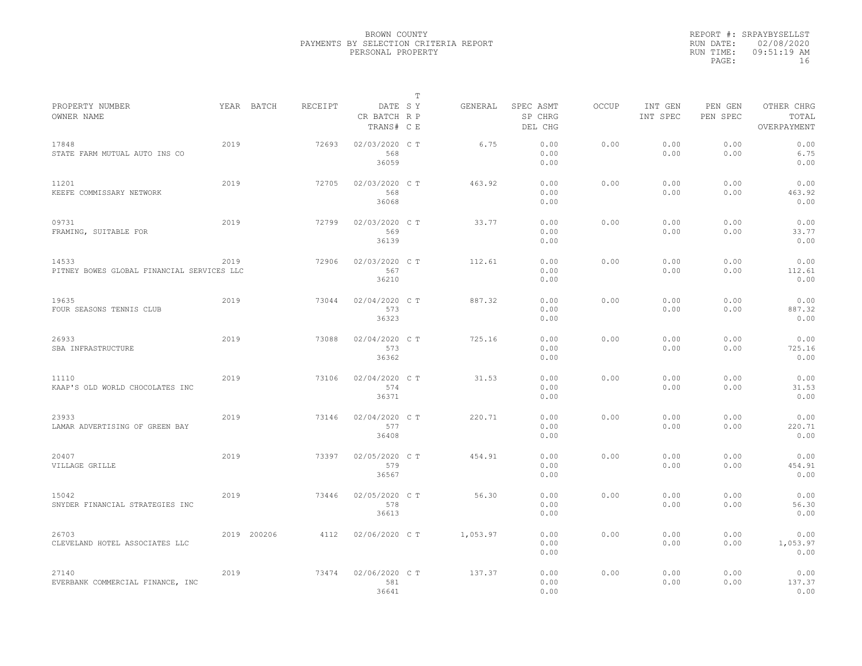|                                                     |      |             |         |                                       | $\mathbb T$ |          |                                 |              |                     |                     |                                    |  |
|-----------------------------------------------------|------|-------------|---------|---------------------------------------|-------------|----------|---------------------------------|--------------|---------------------|---------------------|------------------------------------|--|
| PROPERTY NUMBER<br>OWNER NAME                       |      | YEAR BATCH  | RECEIPT | DATE SY<br>CR BATCH R P<br>TRANS# C E |             | GENERAL  | SPEC ASMT<br>SP CHRG<br>DEL CHG | <b>OCCUP</b> | INT GEN<br>INT SPEC | PEN GEN<br>PEN SPEC | OTHER CHRG<br>TOTAL<br>OVERPAYMENT |  |
| 17848<br>STATE FARM MUTUAL AUTO INS CO              | 2019 |             | 72693   | 02/03/2020 C T<br>568<br>36059        |             | 6.75     | 0.00<br>0.00<br>0.00            | 0.00         | 0.00<br>0.00        | 0.00<br>0.00        | 0.00<br>6.75<br>0.00               |  |
| 11201<br>KEEFE COMMISSARY NETWORK                   | 2019 |             | 72705   | 02/03/2020 C T<br>568<br>36068        |             | 463.92   | 0.00<br>0.00<br>0.00            | 0.00         | 0.00<br>0.00        | 0.00<br>0.00        | 0.00<br>463.92<br>0.00             |  |
| 09731<br>FRAMING, SUITABLE FOR                      | 2019 |             | 72799   | 02/03/2020 C T<br>569<br>36139        |             | 33.77    | 0.00<br>0.00<br>0.00            | 0.00         | 0.00<br>0.00        | 0.00<br>0.00        | 0.00<br>33.77<br>0.00              |  |
| 14533<br>PITNEY BOWES GLOBAL FINANCIAL SERVICES LLC | 2019 |             | 72906   | 02/03/2020 C T<br>567<br>36210        |             | 112.61   | 0.00<br>0.00<br>0.00            | 0.00         | 0.00<br>0.00        | 0.00<br>0.00        | 0.00<br>112.61<br>0.00             |  |
| 19635<br>FOUR SEASONS TENNIS CLUB                   | 2019 |             | 73044   | 02/04/2020 C T<br>573<br>36323        |             | 887.32   | 0.00<br>0.00<br>0.00            | 0.00         | 0.00<br>0.00        | 0.00<br>0.00        | 0.00<br>887.32<br>0.00             |  |
| 26933<br>SBA INFRASTRUCTURE                         | 2019 |             | 73088   | 02/04/2020 C T<br>573<br>36362        |             | 725.16   | 0.00<br>0.00<br>0.00            | 0.00         | 0.00<br>0.00        | 0.00<br>0.00        | 0.00<br>725.16<br>0.00             |  |
| 11110<br>KAAP'S OLD WORLD CHOCOLATES INC            | 2019 |             | 73106   | 02/04/2020 C T<br>574<br>36371        |             | 31.53    | 0.00<br>0.00<br>0.00            | 0.00         | 0.00<br>0.00        | 0.00<br>0.00        | 0.00<br>31.53<br>0.00              |  |
| 23933<br>LAMAR ADVERTISING OF GREEN BAY             | 2019 |             | 73146   | 02/04/2020 C T<br>577<br>36408        |             | 220.71   | 0.00<br>0.00<br>0.00            | 0.00         | 0.00<br>0.00        | 0.00<br>0.00        | 0.00<br>220.71<br>0.00             |  |
| 20407<br>VILLAGE GRILLE                             | 2019 |             | 73397   | 02/05/2020 C T<br>579<br>36567        |             | 454.91   | 0.00<br>0.00<br>0.00            | 0.00         | 0.00<br>0.00        | 0.00<br>0.00        | 0.00<br>454.91<br>0.00             |  |
| 15042<br>SNYDER FINANCIAL STRATEGIES INC            | 2019 |             | 73446   | 02/05/2020 C T<br>578<br>36613        |             | 56.30    | 0.00<br>0.00<br>0.00            | 0.00         | 0.00<br>0.00        | 0.00<br>0.00        | 0.00<br>56.30<br>0.00              |  |
| 26703<br>CLEVELAND HOTEL ASSOCIATES LLC             |      | 2019 200206 | 4112    | 02/06/2020 C T                        |             | 1,053.97 | 0.00<br>0.00<br>0.00            | 0.00         | 0.00<br>0.00        | 0.00<br>0.00        | 0.00<br>1,053.97<br>0.00           |  |
| 27140<br>EVERBANK COMMERCIAL FINANCE, INC           | 2019 |             | 73474   | 02/06/2020 C T<br>581<br>36641        |             | 137.37   | 0.00<br>0.00<br>0.00            | 0.00         | 0.00<br>0.00        | 0.00<br>0.00        | 0.00<br>137.37<br>0.00             |  |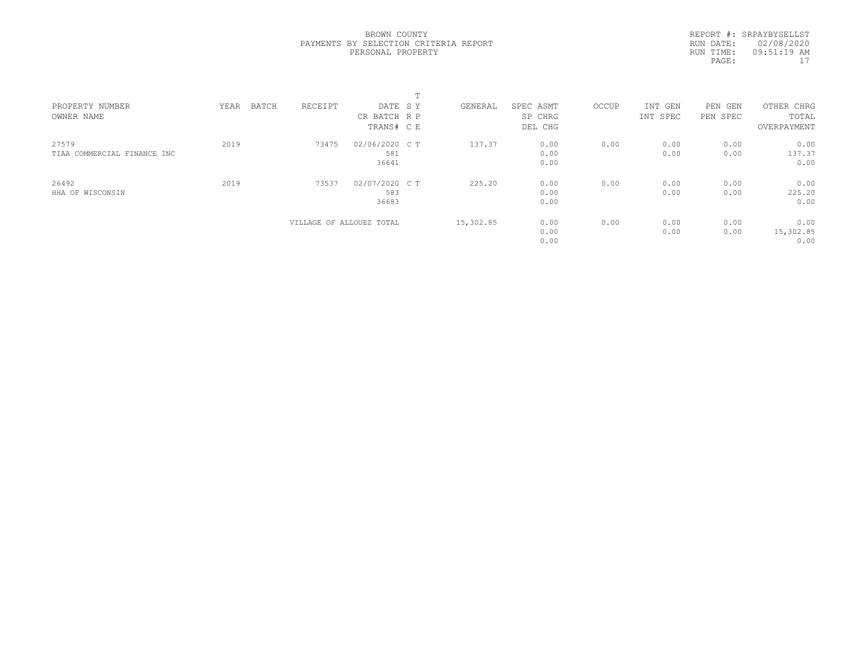REPORT #: SRPAYBYSELLST RUN DATE: 02/08/2020 RUN TIME: 09:51:19 AM PAGE:  $17$ 

| PROPERTY NUMBER<br>OWNER NAME        | BATCH<br>YEAR | RECEIPT                  | DATE SY<br>CR BATCH R P<br>TRANS# C E | GENERAL   | SPEC ASMT<br>SP CHRG<br>DEL CHG | OCCUP | INT GEN<br>INT SPEC | PEN<br>GEN<br>PEN SPEC | OTHER CHRG<br>TOTAL<br>OVERPAYMENT |  |
|--------------------------------------|---------------|--------------------------|---------------------------------------|-----------|---------------------------------|-------|---------------------|------------------------|------------------------------------|--|
| 27579<br>TIAA COMMERCIAL FINANCE INC | 2019          | 73475                    | 02/06/2020 C T<br>581<br>36641        | 137.37    | 0.00<br>0.00<br>0.00            | 0.00  | 0.00<br>0.00        | 0.00<br>0.00           | 0.00<br>137.37<br>0.00             |  |
| 26492<br>HHA OF WISCONSIN            | 2019          | 73537                    | 02/07/2020 C T<br>583<br>36683        | 225.20    | 0.00<br>0.00<br>0.00            | 0.00  | 0.00<br>0.00        | 0.00<br>0.00           | 0.00<br>225.20<br>0.00             |  |
|                                      |               | VILLAGE OF ALLOUEZ TOTAL |                                       | 15,302.85 | 0.00<br>0.00<br>0.00            | 0.00  | 0.00<br>0.00        | 0.00<br>0.00           | 0.00<br>15,302.85<br>0.00          |  |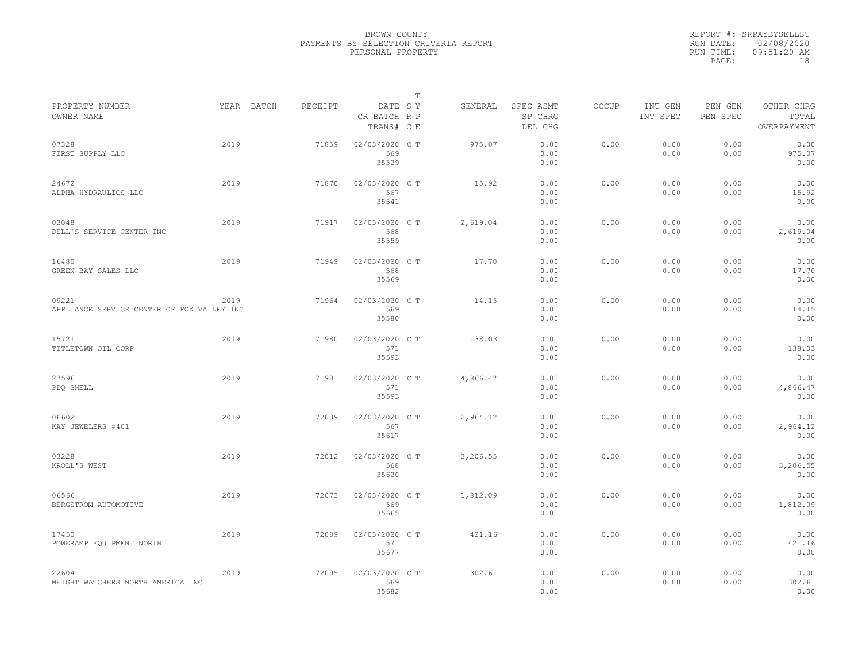|                                                     |      |            |         |                                       | $\mathbb{T}$ |          |                                 |              |                     |                     |                                    |
|-----------------------------------------------------|------|------------|---------|---------------------------------------|--------------|----------|---------------------------------|--------------|---------------------|---------------------|------------------------------------|
| PROPERTY NUMBER<br>OWNER NAME                       |      | YEAR BATCH | RECEIPT | DATE SY<br>CR BATCH R P<br>TRANS# C E |              | GENERAL  | SPEC ASMT<br>SP CHRG<br>DEL CHG | <b>OCCUP</b> | INT GEN<br>INT SPEC | PEN GEN<br>PEN SPEC | OTHER CHRG<br>TOTAL<br>OVERPAYMENT |
| 07328<br>FIRST SUPPLY LLC                           | 2019 |            | 71859   | 02/03/2020 C T<br>569<br>35529        |              | 975.07   | 0.00<br>0.00<br>0.00            | 0.00         | 0.00<br>0.00        | 0.00<br>0.00        | 0.00<br>975.07<br>0.00             |
| 24672<br>ALPHA HYDRAULICS LLC                       | 2019 |            | 71870   | 02/03/2020 C T<br>567<br>35541        |              | 15.92    | 0.00<br>0.00<br>0.00            | 0.00         | 0.00<br>0.00        | 0.00<br>0.00        | 0.00<br>15.92<br>0.00              |
| 03048<br>DELL'S SERVICE CENTER INC                  | 2019 |            | 71917   | 02/03/2020 C T<br>568<br>35559        |              | 2,619.04 | 0.00<br>0.00<br>0.00            | 0.00         | 0.00<br>0.00        | 0.00<br>0.00        | 0.00<br>2,619.04<br>0.00           |
| 16480<br>GREEN BAY SALES LLC                        | 2019 |            | 71949   | 02/03/2020 C T<br>568<br>35569        |              | 17.70    | 0.00<br>0.00<br>0.00            | 0.00         | 0.00<br>0.00        | 0.00<br>0.00        | 0.00<br>17.70<br>0.00              |
| 09221<br>APPLIANCE SERVICE CENTER OF FOX VALLEY INC | 2019 |            | 71964   | 02/03/2020 C T<br>569<br>35580        |              | 14.15    | 0.00<br>0.00<br>0.00            | 0.00         | 0.00<br>0.00        | 0.00<br>0.00        | 0.00<br>14.15<br>0.00              |
| 15721<br>TITLETOWN OIL CORP                         | 2019 |            | 71980   | 02/03/2020 C T<br>571<br>35593        |              | 138.03   | 0.00<br>0.00<br>0.00            | 0.00         | 0.00<br>0.00        | 0.00<br>0.00        | 0.00<br>138.03<br>0.00             |
| 27596<br>PDQ SHELL                                  | 2019 |            | 71981   | 02/03/2020 C T<br>571<br>35593        |              | 4,866.47 | 0.00<br>0.00<br>0.00            | 0.00         | 0.00<br>0.00        | 0.00<br>0.00        | 0.00<br>4,866.47<br>0.00           |
| 06602<br>KAY JEWELERS #401                          | 2019 |            | 72009   | 02/03/2020 C T<br>567<br>35617        |              | 2,964.12 | 0.00<br>0.00<br>0.00            | 0.00         | 0.00<br>0.00        | 0.00<br>0.00        | 0.00<br>2,964.12<br>0.00           |
| 03228<br>KROLL'S WEST                               | 2019 |            | 72012   | 02/03/2020 C T<br>568<br>35620        |              | 3,206.55 | 0.00<br>0.00<br>0.00            | 0.00         | 0.00<br>0.00        | 0.00<br>0.00        | 0.00<br>3,206.55<br>0.00           |
| 06566<br>BERGSTROM AUTOMOTIVE                       | 2019 |            | 72073   | 02/03/2020 C T<br>569<br>35665        |              | 1,812.09 | 0.00<br>0.00<br>0.00            | 0.00         | 0.00<br>0.00        | 0.00<br>0.00        | 0.00<br>1,812.09<br>0.00           |
| 17450<br>POWERAMP EQUIPMENT NORTH                   | 2019 |            | 72089   | 02/03/2020 C T<br>571<br>35677        |              | 421.16   | 0.00<br>0.00<br>0.00            | 0.00         | 0.00<br>0.00        | 0.00<br>0.00        | 0.00<br>421.16<br>0.00             |
| 22604<br>WEIGHT WATCHERS NORTH AMERICA INC          | 2019 |            | 72095   | 02/03/2020 C T<br>569<br>35682        |              | 302.61   | 0.00<br>0.00<br>0.00            | 0.00         | 0.00<br>0.00        | 0.00<br>0.00        | 0.00<br>302.61<br>0.00             |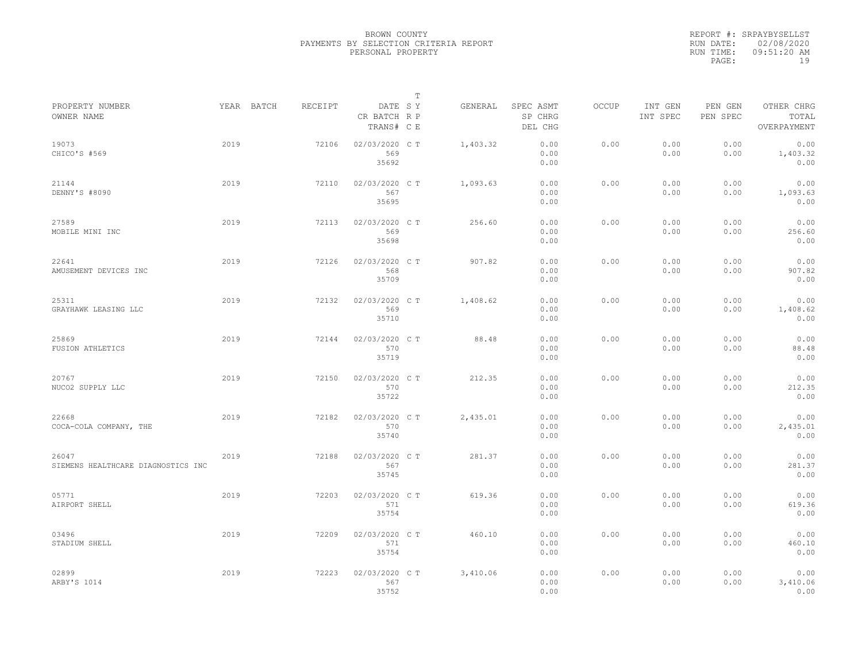|           | REPORT #: SRPAYBYSELLST |
|-----------|-------------------------|
|           | RUN DATE: 02/08/2020    |
| RUN TIME: | $09:51:20$ AM           |
| PAGE:     | 19                      |

|                                             |      |            |         |                                       | $\mathbb T$ |          |                                 |       |                     |                     |                                    |
|---------------------------------------------|------|------------|---------|---------------------------------------|-------------|----------|---------------------------------|-------|---------------------|---------------------|------------------------------------|
| PROPERTY NUMBER<br>OWNER NAME               |      | YEAR BATCH | RECEIPT | DATE SY<br>CR BATCH R P<br>TRANS# C E |             | GENERAL  | SPEC ASMT<br>SP CHRG<br>DEL CHG | OCCUP | INT GEN<br>INT SPEC | PEN GEN<br>PEN SPEC | OTHER CHRG<br>TOTAL<br>OVERPAYMENT |
| 19073<br>CHICO'S #569                       | 2019 |            | 72106   | 02/03/2020 C T<br>569<br>35692        |             | 1,403.32 | 0.00<br>0.00<br>0.00            | 0.00  | 0.00<br>0.00        | 0.00<br>0.00        | 0.00<br>1,403.32<br>0.00           |
| 21144<br>DENNY'S #8090                      | 2019 |            | 72110   | 02/03/2020 C T<br>567<br>35695        |             | 1,093.63 | 0.00<br>0.00<br>0.00            | 0.00  | 0.00<br>0.00        | 0.00<br>0.00        | 0.00<br>1,093.63<br>0.00           |
| 27589<br>MOBILE MINI INC                    | 2019 |            | 72113   | 02/03/2020 C T<br>569<br>35698        |             | 256.60   | 0.00<br>0.00<br>0.00            | 0.00  | 0.00<br>0.00        | 0.00<br>0.00        | 0.00<br>256.60<br>0.00             |
| 22641<br>AMUSEMENT DEVICES INC              | 2019 |            | 72126   | 02/03/2020 CT<br>568<br>35709         |             | 907.82   | 0.00<br>0.00<br>0.00            | 0.00  | 0.00<br>0.00        | 0.00<br>0.00        | 0.00<br>907.82<br>0.00             |
| 25311<br>GRAYHAWK LEASING LLC               | 2019 |            | 72132   | 02/03/2020 C T<br>569<br>35710        |             | 1,408.62 | 0.00<br>0.00<br>0.00            | 0.00  | 0.00<br>0.00        | 0.00<br>0.00        | 0.00<br>1,408.62<br>0.00           |
| 25869<br>FUSION ATHLETICS                   | 2019 |            | 72144   | 02/03/2020 CT<br>570<br>35719         |             | 88.48    | 0.00<br>0.00<br>0.00            | 0.00  | 0.00<br>0.00        | 0.00<br>0.00        | 0.00<br>88.48<br>0.00              |
| 20767<br>NUCO2 SUPPLY LLC                   | 2019 |            | 72150   | 02/03/2020 C T<br>570<br>35722        |             | 212.35   | 0.00<br>0.00<br>0.00            | 0.00  | 0.00<br>0.00        | 0.00<br>0.00        | 0.00<br>212.35<br>0.00             |
| 22668<br>COCA-COLA COMPANY, THE             | 2019 |            | 72182   | 02/03/2020 C T<br>570<br>35740        |             | 2,435.01 | 0.00<br>0.00<br>0.00            | 0.00  | 0.00<br>0.00        | 0.00<br>0.00        | 0.00<br>2,435.01<br>0.00           |
| 26047<br>SIEMENS HEALTHCARE DIAGNOSTICS INC | 2019 |            | 72188   | 02/03/2020 C T<br>567<br>35745        |             | 281.37   | 0.00<br>0.00<br>0.00            | 0.00  | 0.00<br>0.00        | 0.00<br>0.00        | 0.00<br>281.37<br>0.00             |
| 05771<br>AIRPORT SHELL                      | 2019 |            | 72203   | 02/03/2020 CT<br>571<br>35754         |             | 619.36   | 0.00<br>0.00<br>0.00            | 0.00  | 0.00<br>0.00        | 0.00<br>0.00        | 0.00<br>619.36<br>0.00             |
| 03496<br>STADIUM SHELL                      | 2019 |            | 72209   | 02/03/2020 CT<br>571<br>35754         |             | 460.10   | 0.00<br>0.00<br>0.00            | 0.00  | 0.00<br>0.00        | 0.00<br>0.00        | 0.00<br>460.10<br>0.00             |
| 02899<br>ARBY'S 1014                        | 2019 |            | 72223   | 02/03/2020 CT<br>567<br>35752         |             | 3,410.06 | 0.00<br>0.00<br>0.00            | 0.00  | 0.00<br>0.00        | 0.00<br>0.00        | 0.00<br>3,410.06<br>0.00           |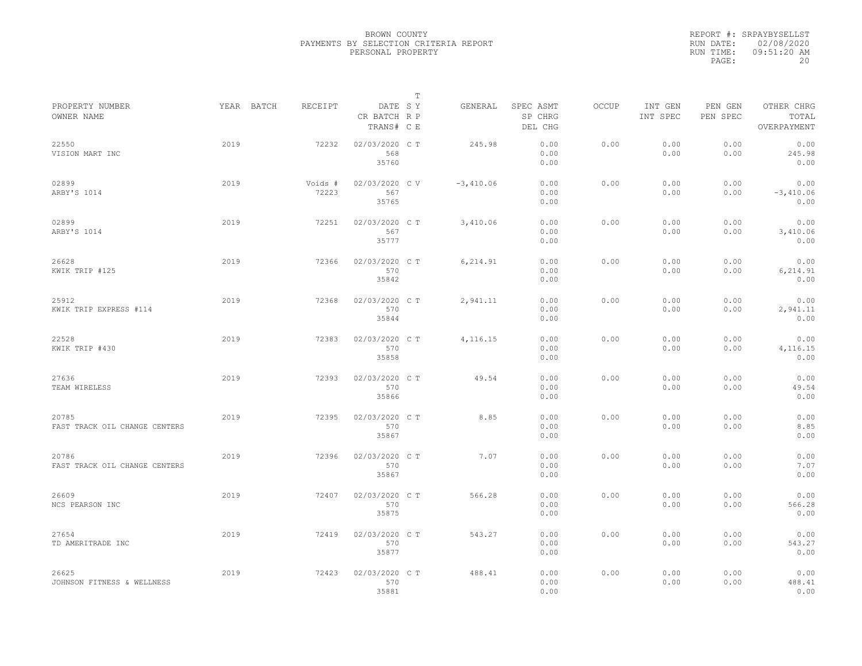|           | REPORT #: SRPAYBYSELLST |
|-----------|-------------------------|
|           | RUN DATE: 02/08/2020    |
| RUN TIME: | $09:51:20$ AM           |
| PAGE:     | 20                      |

|                                        |      |                       |                                       | $\mathbb T$ |             |                                 |              |                     |                     |                                    |
|----------------------------------------|------|-----------------------|---------------------------------------|-------------|-------------|---------------------------------|--------------|---------------------|---------------------|------------------------------------|
| PROPERTY NUMBER<br>OWNER NAME          |      | RECEIPT<br>YEAR BATCH | DATE SY<br>CR BATCH R P<br>TRANS# C E |             | GENERAL     | SPEC ASMT<br>SP CHRG<br>DEL CHG | <b>OCCUP</b> | INT GEN<br>INT SPEC | PEN GEN<br>PEN SPEC | OTHER CHRG<br>TOTAL<br>OVERPAYMENT |
| 22550<br>VISION MART INC               | 2019 | 72232                 | 02/03/2020 C T<br>568<br>35760        |             | 245.98      | 0.00<br>0.00<br>0.00            | 0.00         | 0.00<br>0.00        | 0.00<br>0.00        | 0.00<br>245.98<br>0.00             |
| 02899<br>ARBY'S 1014                   | 2019 | Voids #<br>72223      | 02/03/2020 CV<br>567<br>35765         |             | $-3,410.06$ | 0.00<br>0.00<br>0.00            | 0.00         | 0.00<br>0.00        | 0.00<br>0.00        | 0.00<br>$-3,410.06$<br>0.00        |
| 02899<br>ARBY'S 1014                   | 2019 | 72251                 | 02/03/2020 C T<br>567<br>35777        |             | 3,410.06    | 0.00<br>0.00<br>0.00            | 0.00         | 0.00<br>0.00        | 0.00<br>0.00        | 0.00<br>3,410.06<br>0.00           |
| 26628<br>KWIK TRIP #125                | 2019 | 72366                 | 02/03/2020 CT<br>570<br>35842         |             | 6,214.91    | 0.00<br>0.00<br>0.00            | 0.00         | 0.00<br>0.00        | 0.00<br>0.00        | 0.00<br>6,214.91<br>0.00           |
| 25912<br>KWIK TRIP EXPRESS #114        | 2019 | 72368                 | 02/03/2020 CT<br>570<br>35844         |             | 2,941.11    | 0.00<br>0.00<br>0.00            | 0.00         | 0.00<br>0.00        | 0.00<br>0.00        | 0.00<br>2,941.11<br>0.00           |
| 22528<br>KWIK TRIP #430                | 2019 | 72383                 | 02/03/2020 CT<br>570<br>35858         |             | 4,116.15    | 0.00<br>0.00<br>0.00            | 0.00         | 0.00<br>0.00        | 0.00<br>0.00        | 0.00<br>4,116.15<br>0.00           |
| 27636<br>TEAM WIRELESS                 | 2019 | 72393                 | 02/03/2020 C T<br>570<br>35866        |             | 49.54       | 0.00<br>0.00<br>0.00            | 0.00         | 0.00<br>0.00        | 0.00<br>0.00        | 0.00<br>49.54<br>0.00              |
| 20785<br>FAST TRACK OIL CHANGE CENTERS | 2019 | 72395                 | 02/03/2020 C T<br>570<br>35867        |             | 8.85        | 0.00<br>0.00<br>0.00            | 0.00         | 0.00<br>0.00        | 0.00<br>0.00        | 0.00<br>8.85<br>0.00               |
| 20786<br>FAST TRACK OIL CHANGE CENTERS | 2019 | 72396                 | 02/03/2020 C T<br>570<br>35867        |             | 7.07        | 0.00<br>0.00<br>0.00            | 0.00         | 0.00<br>0.00        | 0.00<br>0.00        | 0.00<br>7.07<br>0.00               |
| 26609<br>NCS PEARSON INC               | 2019 | 72407                 | 02/03/2020 CT<br>570<br>35875         |             | 566.28      | 0.00<br>0.00<br>0.00            | 0.00         | 0.00<br>0.00        | 0.00<br>0.00        | 0.00<br>566.28<br>0.00             |
| 27654<br>TD AMERITRADE INC             | 2019 | 72419                 | 02/03/2020 C T<br>570<br>35877        |             | 543.27      | 0.00<br>0.00<br>0.00            | 0.00         | 0.00<br>0.00        | 0.00<br>0.00        | 0.00<br>543.27<br>0.00             |
| 26625<br>JOHNSON FITNESS & WELLNESS    | 2019 | 72423                 | 02/03/2020 CT<br>570<br>35881         |             | 488.41      | 0.00<br>0.00<br>0.00            | 0.00         | 0.00<br>0.00        | 0.00<br>0.00        | 0.00<br>488.41<br>0.00             |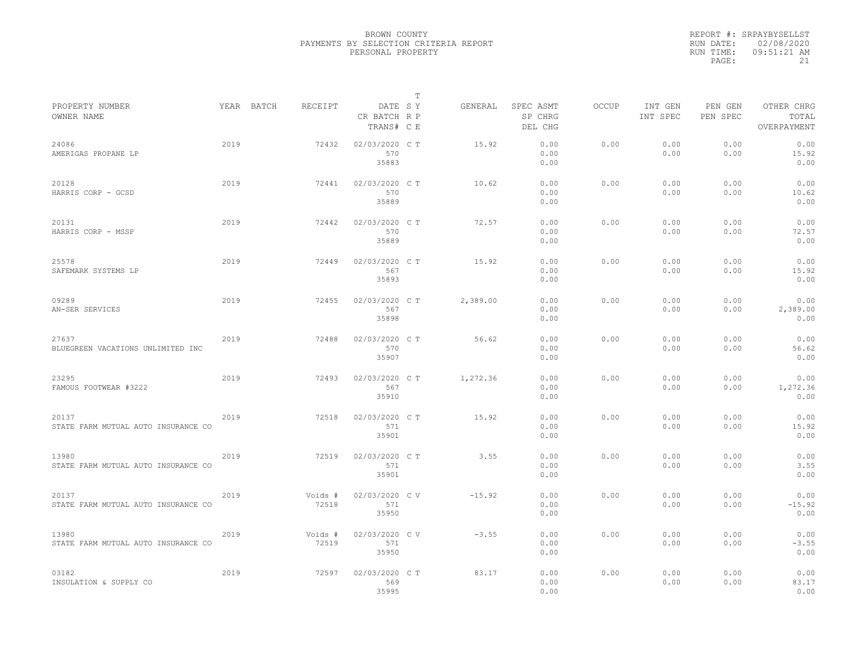|                                              |      |            |                  |                                       | $\mathbb{T}$ |          |                                 |              |                     |                     |                                    |  |
|----------------------------------------------|------|------------|------------------|---------------------------------------|--------------|----------|---------------------------------|--------------|---------------------|---------------------|------------------------------------|--|
| PROPERTY NUMBER<br>OWNER NAME                |      | YEAR BATCH | RECEIPT          | DATE SY<br>CR BATCH R P<br>TRANS# C E |              | GENERAL  | SPEC ASMT<br>SP CHRG<br>DEL CHG | <b>OCCUP</b> | INT GEN<br>INT SPEC | PEN GEN<br>PEN SPEC | OTHER CHRG<br>TOTAL<br>OVERPAYMENT |  |
| 24086<br>AMERIGAS PROPANE LP                 | 2019 |            | 72432            | 02/03/2020 C T<br>570<br>35883        |              | 15.92    | 0.00<br>0.00<br>0.00            | 0.00         | 0.00<br>0.00        | 0.00<br>0.00        | 0.00<br>15.92<br>0.00              |  |
| 20128<br>HARRIS CORP - GCSD                  | 2019 |            | 72441            | 02/03/2020 C T<br>570<br>35889        |              | 10.62    | 0.00<br>0.00<br>0.00            | 0.00         | 0.00<br>0.00        | 0.00<br>0.00        | 0.00<br>10.62<br>0.00              |  |
| 20131<br>HARRIS CORP - MSSP                  | 2019 |            | 72442            | 02/03/2020 C T<br>570<br>35889        |              | 72.57    | 0.00<br>0.00<br>0.00            | 0.00         | 0.00<br>0.00        | 0.00<br>0.00        | 0.00<br>72.57<br>0.00              |  |
| 25578<br>SAFEMARK SYSTEMS LP                 | 2019 |            | 72449            | 02/03/2020 C T<br>567<br>35893        |              | 15.92    | 0.00<br>0.00<br>0.00            | 0.00         | 0.00<br>0.00        | 0.00<br>0.00        | 0.00<br>15.92<br>0.00              |  |
| 09289<br>AN-SER SERVICES                     | 2019 |            | 72455            | 02/03/2020 C T<br>567<br>35898        |              | 2,389.00 | 0.00<br>0.00<br>0.00            | 0.00         | 0.00<br>0.00        | 0.00<br>0.00        | 0.00<br>2,389.00<br>0.00           |  |
| 27637<br>BLUEGREEN VACATIONS UNLIMITED INC   | 2019 |            | 72488            | 02/03/2020 C T<br>570<br>35907        |              | 56.62    | 0.00<br>0.00<br>0.00            | 0.00         | 0.00<br>0.00        | 0.00<br>0.00        | 0.00<br>56.62<br>0.00              |  |
| 23295<br>FAMOUS FOOTWEAR #3222               | 2019 |            | 72493            | 02/03/2020 C T<br>567<br>35910        |              | 1,272.36 | 0.00<br>0.00<br>0.00            | 0.00         | 0.00<br>0.00        | 0.00<br>0.00        | 0.00<br>1,272.36<br>0.00           |  |
| 20137<br>STATE FARM MUTUAL AUTO INSURANCE CO | 2019 |            | 72518            | 02/03/2020 C T<br>571<br>35901        |              | 15.92    | 0.00<br>0.00<br>0.00            | 0.00         | 0.00<br>0.00        | 0.00<br>0.00        | 0.00<br>15.92<br>0.00              |  |
| 13980<br>STATE FARM MUTUAL AUTO INSURANCE CO | 2019 |            | 72519            | 02/03/2020 C T<br>571<br>35901        |              | 3.55     | 0.00<br>0.00<br>0.00            | 0.00         | 0.00<br>0.00        | 0.00<br>0.00        | 0.00<br>3.55<br>0.00               |  |
| 20137<br>STATE FARM MUTUAL AUTO INSURANCE CO | 2019 |            | Voids #<br>72518 | 02/03/2020 CV<br>571<br>35950         |              | $-15.92$ | 0.00<br>0.00<br>0.00            | 0.00         | 0.00<br>0.00        | 0.00<br>0.00        | 0.00<br>$-15.92$<br>0.00           |  |
| 13980<br>STATE FARM MUTUAL AUTO INSURANCE CO | 2019 |            | Voids #<br>72519 | 02/03/2020 CV<br>571<br>35950         |              | $-3.55$  | 0.00<br>0.00<br>0.00            | 0.00         | 0.00<br>0.00        | 0.00<br>0.00        | 0.00<br>$-3.55$<br>0.00            |  |
| 03182<br>INSULATION & SUPPLY CO              | 2019 |            | 72597            | 02/03/2020 C T<br>569<br>35995        |              | 83.17    | 0.00<br>0.00<br>0.00            | 0.00         | 0.00<br>0.00        | 0.00<br>0.00        | 0.00<br>83.17<br>0.00              |  |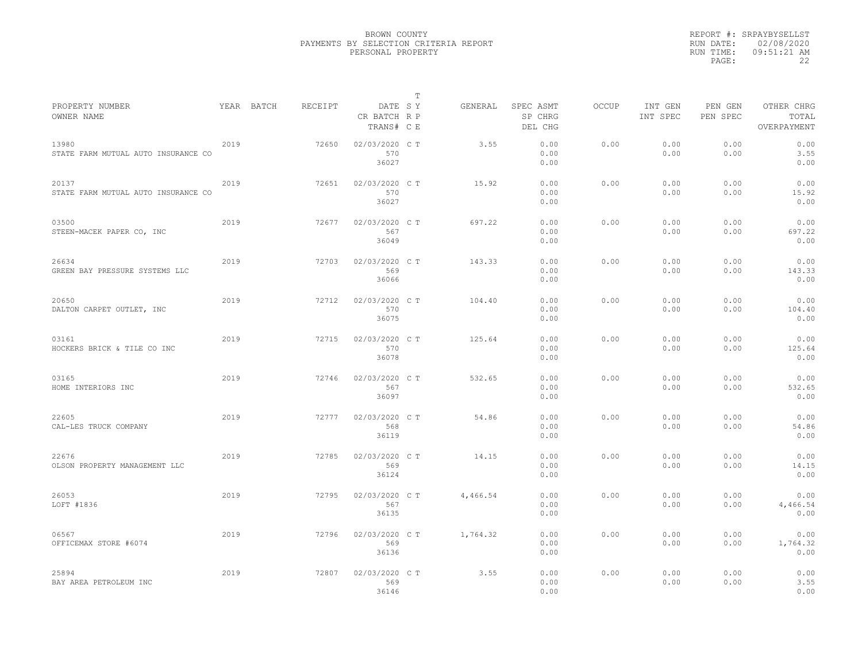|                                              |      |            |         |                                       | $\mathbb T$ |          |                                 |              |                     |                     |                                    |
|----------------------------------------------|------|------------|---------|---------------------------------------|-------------|----------|---------------------------------|--------------|---------------------|---------------------|------------------------------------|
| PROPERTY NUMBER<br>OWNER NAME                |      | YEAR BATCH | RECEIPT | DATE SY<br>CR BATCH R P<br>TRANS# C E |             | GENERAL  | SPEC ASMT<br>SP CHRG<br>DEL CHG | <b>OCCUP</b> | INT GEN<br>INT SPEC | PEN GEN<br>PEN SPEC | OTHER CHRG<br>TOTAL<br>OVERPAYMENT |
| 13980<br>STATE FARM MUTUAL AUTO INSURANCE CO | 2019 |            | 72650   | 02/03/2020 C T<br>570<br>36027        |             | 3.55     | 0.00<br>0.00<br>0.00            | 0.00         | 0.00<br>0.00        | 0.00<br>0.00        | 0.00<br>3.55<br>0.00               |
| 20137<br>STATE FARM MUTUAL AUTO INSURANCE CO | 2019 |            | 72651   | 02/03/2020 C T<br>570<br>36027        |             | 15.92    | 0.00<br>0.00<br>0.00            | 0.00         | 0.00<br>0.00        | 0.00<br>0.00        | 0.00<br>15.92<br>0.00              |
| 03500<br>STEEN-MACEK PAPER CO, INC           | 2019 |            | 72677   | 02/03/2020 C T<br>567<br>36049        |             | 697.22   | 0.00<br>0.00<br>0.00            | 0.00         | 0.00<br>0.00        | 0.00<br>0.00        | 0.00<br>697.22<br>0.00             |
| 26634<br>GREEN BAY PRESSURE SYSTEMS LLC      | 2019 |            | 72703   | 02/03/2020 C T<br>569<br>36066        |             | 143.33   | 0.00<br>0.00<br>0.00            | 0.00         | 0.00<br>0.00        | 0.00<br>0.00        | 0.00<br>143.33<br>0.00             |
| 20650<br>DALTON CARPET OUTLET, INC           | 2019 |            | 72712   | 02/03/2020 C T<br>570<br>36075        |             | 104.40   | 0.00<br>0.00<br>0.00            | 0.00         | 0.00<br>0.00        | 0.00<br>0.00        | 0.00<br>104.40<br>0.00             |
| 03161<br>HOCKERS BRICK & TILE CO INC         | 2019 |            | 72715   | 02/03/2020 C T<br>570<br>36078        |             | 125.64   | 0.00<br>0.00<br>0.00            | 0.00         | 0.00<br>0.00        | 0.00<br>0.00        | 0.00<br>125.64<br>0.00             |
| 03165<br>HOME INTERIORS INC                  | 2019 |            | 72746   | 02/03/2020 CT<br>567<br>36097         |             | 532.65   | 0.00<br>0.00<br>0.00            | 0.00         | 0.00<br>0.00        | 0.00<br>0.00        | 0.00<br>532.65<br>0.00             |
| 22605<br>CAL-LES TRUCK COMPANY               | 2019 |            | 72777   | 02/03/2020 C T<br>568<br>36119        |             | 54.86    | 0.00<br>0.00<br>0.00            | 0.00         | 0.00<br>0.00        | 0.00<br>0.00        | 0.00<br>54.86<br>0.00              |
| 22676<br>OLSON PROPERTY MANAGEMENT LLC       | 2019 |            | 72785   | 02/03/2020 C T<br>569<br>36124        |             | 14.15    | 0.00<br>0.00<br>0.00            | 0.00         | 0.00<br>0.00        | 0.00<br>0.00        | 0.00<br>14.15<br>0.00              |
| 26053<br>LOFT #1836                          | 2019 |            | 72795   | 02/03/2020 C T<br>567<br>36135        |             | 4,466.54 | 0.00<br>0.00<br>0.00            | 0.00         | 0.00<br>0.00        | 0.00<br>0.00        | 0.00<br>4,466.54<br>0.00           |
| 06567<br>OFFICEMAX STORE #6074               | 2019 |            | 72796   | 02/03/2020 C T<br>569<br>36136        |             | 1,764.32 | 0.00<br>0.00<br>0.00            | 0.00         | 0.00<br>0.00        | 0.00<br>0.00        | 0.00<br>1,764.32<br>0.00           |
| 25894<br>BAY AREA PETROLEUM INC              | 2019 |            | 72807   | 02/03/2020 C T<br>569<br>36146        |             | 3.55     | 0.00<br>0.00<br>0.00            | 0.00         | 0.00<br>0.00        | 0.00<br>0.00        | 0.00<br>3.55<br>0.00               |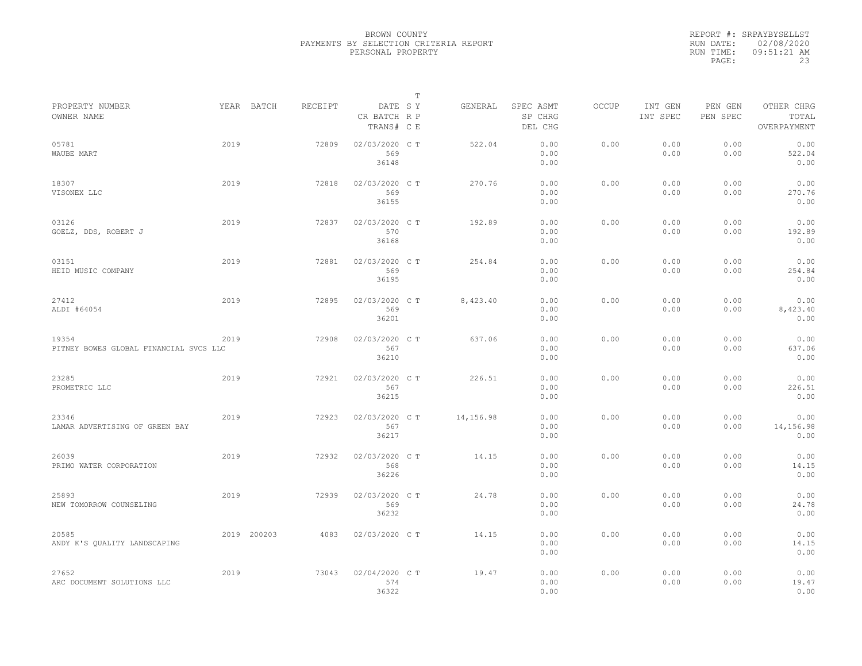|                                                 |      |             |         |                                       | $\mathbb{T}$ |           |                                 |              |                     |                     |                                    |
|-------------------------------------------------|------|-------------|---------|---------------------------------------|--------------|-----------|---------------------------------|--------------|---------------------|---------------------|------------------------------------|
| PROPERTY NUMBER<br>OWNER NAME                   |      | YEAR BATCH  | RECEIPT | DATE SY<br>CR BATCH R P<br>TRANS# C E |              | GENERAL   | SPEC ASMT<br>SP CHRG<br>DEL CHG | <b>OCCUP</b> | INT GEN<br>INT SPEC | PEN GEN<br>PEN SPEC | OTHER CHRG<br>TOTAL<br>OVERPAYMENT |
| 05781<br>WAUBE MART                             | 2019 |             | 72809   | 02/03/2020 C T<br>569<br>36148        |              | 522.04    | 0.00<br>0.00<br>0.00            | 0.00         | 0.00<br>0.00        | 0.00<br>0.00        | 0.00<br>522.04<br>0.00             |
| 18307<br>VISONEX LLC                            | 2019 |             | 72818   | 02/03/2020 C T<br>569<br>36155        |              | 270.76    | 0.00<br>0.00<br>0.00            | 0.00         | 0.00<br>0.00        | 0.00<br>0.00        | 0.00<br>270.76<br>0.00             |
| 03126<br>GOELZ, DDS, ROBERT J                   | 2019 |             | 72837   | 02/03/2020 C T<br>570<br>36168        |              | 192.89    | 0.00<br>0.00<br>0.00            | 0.00         | 0.00<br>0.00        | 0.00<br>0.00        | 0.00<br>192.89<br>0.00             |
| 03151<br>HEID MUSIC COMPANY                     | 2019 |             | 72881   | 02/03/2020 C T<br>569<br>36195        |              | 254.84    | 0.00<br>0.00<br>0.00            | 0.00         | 0.00<br>0.00        | 0.00<br>0.00        | 0.00<br>254.84<br>0.00             |
| 27412<br>ALDI #64054                            | 2019 |             | 72895   | 02/03/2020 C T<br>569<br>36201        |              | 8,423.40  | 0.00<br>0.00<br>0.00            | 0.00         | 0.00<br>0.00        | 0.00<br>0.00        | 0.00<br>8,423.40<br>0.00           |
| 19354<br>PITNEY BOWES GLOBAL FINANCIAL SVCS LLC | 2019 |             | 72908   | 02/03/2020 C T<br>567<br>36210        |              | 637.06    | 0.00<br>0.00<br>0.00            | 0.00         | 0.00<br>0.00        | 0.00<br>0.00        | 0.00<br>637.06<br>0.00             |
| 23285<br>PROMETRIC LLC                          | 2019 |             | 72921   | 02/03/2020 C T<br>567<br>36215        |              | 226.51    | 0.00<br>0.00<br>0.00            | 0.00         | 0.00<br>0.00        | 0.00<br>0.00        | 0.00<br>226.51<br>0.00             |
| 23346<br>LAMAR ADVERTISING OF GREEN BAY         | 2019 |             | 72923   | 02/03/2020 C T<br>567<br>36217        |              | 14,156.98 | 0.00<br>0.00<br>0.00            | 0.00         | 0.00<br>0.00        | 0.00<br>0.00        | 0.00<br>14,156.98<br>0.00          |
| 26039<br>PRIMO WATER CORPORATION                | 2019 |             | 72932   | 02/03/2020 C T<br>568<br>36226        |              | 14.15     | 0.00<br>0.00<br>0.00            | 0.00         | 0.00<br>0.00        | 0.00<br>0.00        | 0.00<br>14.15<br>0.00              |
| 25893<br>NEW TOMORROW COUNSELING                | 2019 |             | 72939   | 02/03/2020 C T<br>569<br>36232        |              | 24.78     | 0.00<br>0.00<br>0.00            | 0.00         | 0.00<br>0.00        | 0.00<br>0.00        | 0.00<br>24.78<br>0.00              |
| 20585<br>ANDY K'S OUALITY LANDSCAPING           |      | 2019 200203 | 4083    | 02/03/2020 C T                        |              | 14.15     | 0.00<br>0.00<br>0.00            | 0.00         | 0.00<br>0.00        | 0.00<br>0.00        | 0.00<br>14.15<br>0.00              |
| 27652<br>ARC DOCUMENT SOLUTIONS LLC             | 2019 |             | 73043   | 02/04/2020 C T<br>574<br>36322        |              | 19.47     | 0.00<br>0.00<br>0.00            | 0.00         | 0.00<br>0.00        | 0.00<br>0.00        | 0.00<br>19.47<br>0.00              |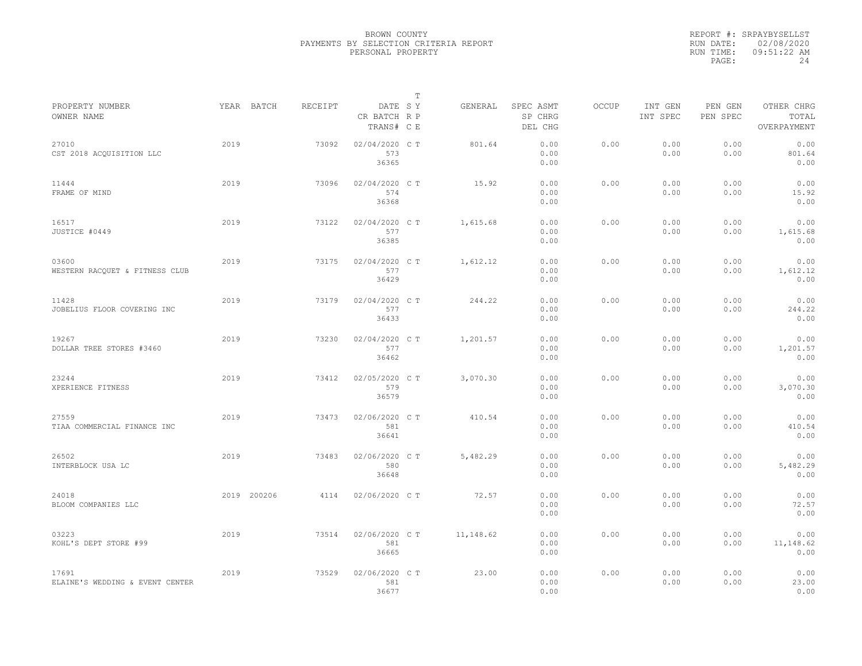|                                          |             |         |                                       | $\mathbb T$ |           |                                 |              |                     |                     |                                    |
|------------------------------------------|-------------|---------|---------------------------------------|-------------|-----------|---------------------------------|--------------|---------------------|---------------------|------------------------------------|
| PROPERTY NUMBER<br>OWNER NAME            | YEAR BATCH  | RECEIPT | DATE SY<br>CR BATCH R P<br>TRANS# C E |             | GENERAL   | SPEC ASMT<br>SP CHRG<br>DEL CHG | <b>OCCUP</b> | INT GEN<br>INT SPEC | PEN GEN<br>PEN SPEC | OTHER CHRG<br>TOTAL<br>OVERPAYMENT |
| 27010<br>CST 2018 ACOUISITION LLC        | 2019        | 73092   | 02/04/2020 CT<br>573<br>36365         |             | 801.64    | 0.00<br>0.00<br>0.00            | 0.00         | 0.00<br>0.00        | 0.00<br>0.00        | 0.00<br>801.64<br>0.00             |
| 11444<br>FRAME OF MIND                   | 2019        | 73096   | 02/04/2020 C T<br>574<br>36368        |             | 15.92     | 0.00<br>0.00<br>0.00            | 0.00         | 0.00<br>0.00        | 0.00<br>0.00        | 0.00<br>15.92<br>0.00              |
| 16517<br>JUSTICE #0449                   | 2019        | 73122   | 02/04/2020 C T<br>577<br>36385        |             | 1,615.68  | 0.00<br>0.00<br>0.00            | 0.00         | 0.00<br>0.00        | 0.00<br>0.00        | 0.00<br>1,615.68<br>0.00           |
| 03600<br>WESTERN RACOUET & FITNESS CLUB  | 2019        | 73175   | 02/04/2020 C T<br>577<br>36429        |             | 1,612.12  | 0.00<br>0.00<br>0.00            | 0.00         | 0.00<br>0.00        | 0.00<br>0.00        | 0.00<br>1,612.12<br>0.00           |
| 11428<br>JOBELIUS FLOOR COVERING INC     | 2019        | 73179   | 02/04/2020 C T<br>577<br>36433        |             | 244.22    | 0.00<br>0.00<br>0.00            | 0.00         | 0.00<br>0.00        | 0.00<br>0.00        | 0.00<br>244.22<br>0.00             |
| 19267<br>DOLLAR TREE STORES #3460        | 2019        | 73230   | 02/04/2020 C T<br>577<br>36462        |             | 1,201.57  | 0.00<br>0.00<br>0.00            | 0.00         | 0.00<br>0.00        | 0.00<br>0.00        | 0.00<br>1,201.57<br>0.00           |
| 23244<br>XPERIENCE FITNESS               | 2019        | 73412   | 02/05/2020 C T<br>579<br>36579        |             | 3,070.30  | 0.00<br>0.00<br>0.00            | 0.00         | 0.00<br>0.00        | 0.00<br>0.00        | 0.00<br>3,070.30<br>0.00           |
| 27559<br>TIAA COMMERCIAL FINANCE INC     | 2019        | 73473   | 02/06/2020 C T<br>581<br>36641        |             | 410.54    | 0.00<br>0.00<br>0.00            | 0.00         | 0.00<br>0.00        | 0.00<br>0.00        | 0.00<br>410.54<br>0.00             |
| 26502<br>INTERBLOCK USA LC               | 2019        | 73483   | 02/06/2020 C T<br>580<br>36648        |             | 5,482.29  | 0.00<br>0.00<br>0.00            | 0.00         | 0.00<br>0.00        | 0.00<br>0.00        | 0.00<br>5,482.29<br>0.00           |
| 24018<br>BLOOM COMPANIES LLC             | 2019 200206 | 4114    | 02/06/2020 C T                        |             | 72.57     | 0.00<br>0.00<br>0.00            | 0.00         | 0.00<br>0.00        | 0.00<br>0.00        | 0.00<br>72.57<br>0.00              |
| 03223<br>KOHL'S DEPT STORE #99           | 2019        | 73514   | 02/06/2020 C T<br>581<br>36665        |             | 11,148.62 | 0.00<br>0.00<br>0.00            | 0.00         | 0.00<br>0.00        | 0.00<br>0.00        | 0.00<br>11,148.62<br>0.00          |
| 17691<br>ELAINE'S WEDDING & EVENT CENTER | 2019        | 73529   | 02/06/2020 C T<br>581<br>36677        |             | 23.00     | 0.00<br>0.00<br>0.00            | 0.00         | 0.00<br>0.00        | 0.00<br>0.00        | 0.00<br>23.00<br>0.00              |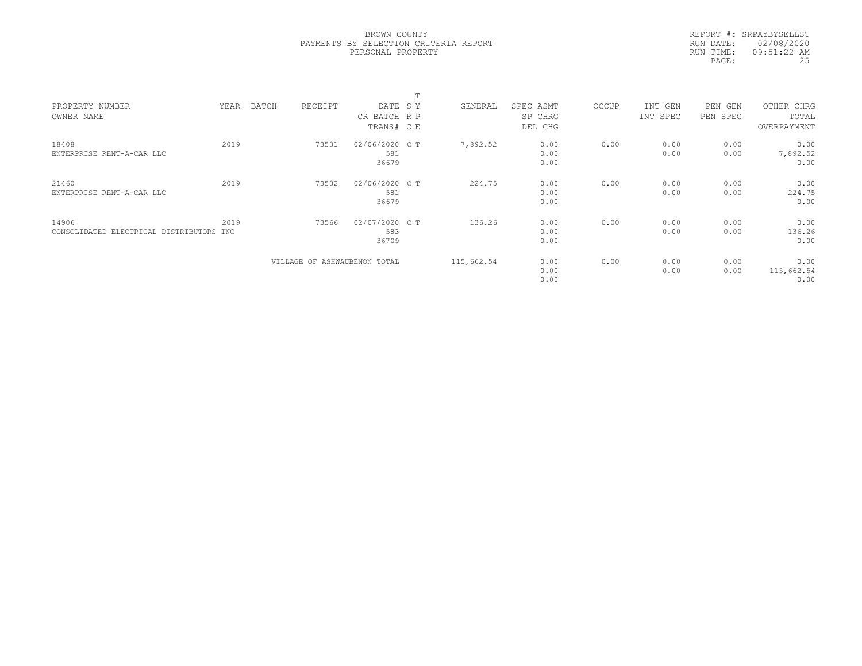|           | REPORT #: SRPAYBYSELLST |
|-----------|-------------------------|
|           | RUN DATE: 02/08/2020    |
| RUN TIME: | 09:51:22 AM             |
| PAGE:     | 25                      |

|                                          |      |       |                              |                | $\blacksquare$ |            |           |       |          |          |             |  |
|------------------------------------------|------|-------|------------------------------|----------------|----------------|------------|-----------|-------|----------|----------|-------------|--|
| PROPERTY NUMBER                          | YEAR | BATCH | RECEIPT                      | DATE SY        |                | GENERAL    | SPEC ASMT | OCCUP | INT GEN  | PEN GEN  | OTHER CHRG  |  |
| OWNER NAME                               |      |       |                              | CR BATCH R P   |                |            | SP CHRG   |       | INT SPEC | PEN SPEC | TOTAL       |  |
|                                          |      |       |                              | TRANS# C E     |                |            | DEL CHG   |       |          |          | OVERPAYMENT |  |
| 18408                                    | 2019 |       | 73531                        | 02/06/2020 C T |                | 7,892.52   | 0.00      | 0.00  | 0.00     | 0.00     | 0.00        |  |
| ENTERPRISE RENT-A-CAR LLC                |      |       |                              | 581            |                |            | 0.00      |       | 0.00     | 0.00     | 7,892.52    |  |
|                                          |      |       |                              | 36679          |                |            | 0.00      |       |          |          | 0.00        |  |
| 21460                                    | 2019 |       | 73532                        | 02/06/2020 C T |                | 224.75     | 0.00      | 0.00  | 0.00     | 0.00     | 0.00        |  |
| ENTERPRISE RENT-A-CAR LLC                |      |       |                              | 581            |                |            | 0.00      |       | 0.00     | 0.00     | 224.75      |  |
|                                          |      |       |                              | 36679          |                |            | 0.00      |       |          |          | 0.00        |  |
| 14906                                    | 2019 |       | 73566                        | 02/07/2020 C T |                | 136.26     | 0.00      | 0.00  | 0.00     | 0.00     | 0.00        |  |
| CONSOLIDATED ELECTRICAL DISTRIBUTORS INC |      |       |                              | 583            |                |            | 0.00      |       | 0.00     | 0.00     | 136.26      |  |
|                                          |      |       |                              | 36709          |                |            | 0.00      |       |          |          | 0.00        |  |
|                                          |      |       | VILLAGE OF ASHWAUBENON TOTAL |                |                | 115,662.54 | 0.00      | 0.00  | 0.00     | 0.00     | 0.00        |  |
|                                          |      |       |                              |                |                |            | 0.00      |       | 0.00     | 0.00     | 115,662.54  |  |
|                                          |      |       |                              |                |                |            | 0.00      |       |          |          | 0.00        |  |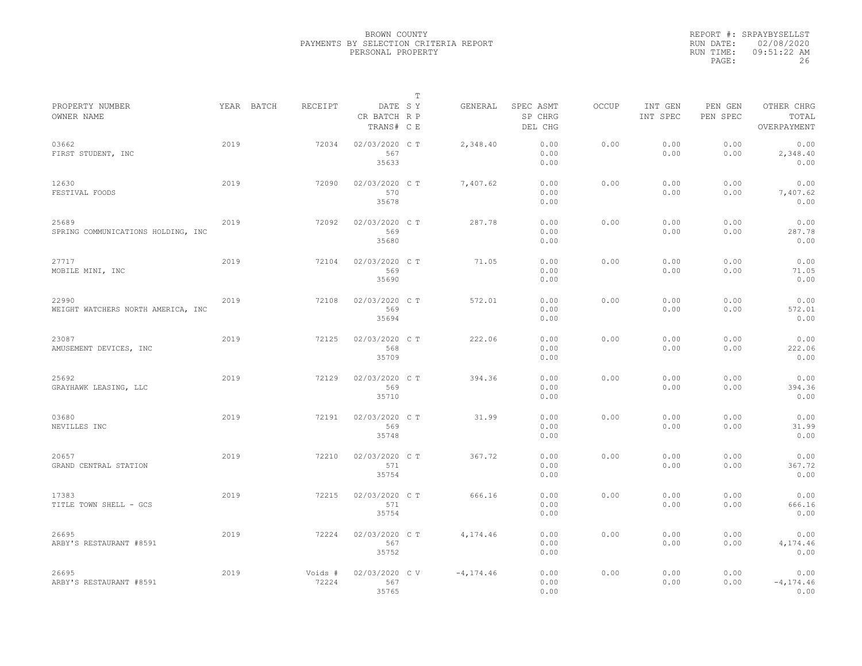|                                             |      |            |                  |                                       | T |              |                                 |              |                     |                     |                                    |
|---------------------------------------------|------|------------|------------------|---------------------------------------|---|--------------|---------------------------------|--------------|---------------------|---------------------|------------------------------------|
| PROPERTY NUMBER<br>OWNER NAME               |      | YEAR BATCH | RECEIPT          | DATE SY<br>CR BATCH R P<br>TRANS# C E |   | GENERAL      | SPEC ASMT<br>SP CHRG<br>DEL CHG | <b>OCCUP</b> | INT GEN<br>INT SPEC | PEN GEN<br>PEN SPEC | OTHER CHRG<br>TOTAL<br>OVERPAYMENT |
| 03662<br>FIRST STUDENT, INC                 | 2019 |            | 72034            | 02/03/2020 C T<br>567<br>35633        |   | 2,348.40     | 0.00<br>0.00<br>0.00            | 0.00         | 0.00<br>0.00        | 0.00<br>0.00        | 0.00<br>2,348.40<br>0.00           |
| 12630<br>FESTIVAL FOODS                     | 2019 |            | 72090            | 02/03/2020 C T<br>570<br>35678        |   | 7,407.62     | 0.00<br>0.00<br>0.00            | 0.00         | 0.00<br>0.00        | 0.00<br>0.00        | 0.00<br>7,407.62<br>0.00           |
| 25689<br>SPRING COMMUNICATIONS HOLDING, INC | 2019 |            | 72092            | 02/03/2020 C T<br>569<br>35680        |   | 287.78       | 0.00<br>0.00<br>0.00            | 0.00         | 0.00<br>0.00        | 0.00<br>0.00        | 0.00<br>287.78<br>0.00             |
| 27717<br>MOBILE MINI, INC                   | 2019 |            | 72104            | 02/03/2020 C T<br>569<br>35690        |   | 71.05        | 0.00<br>0.00<br>0.00            | 0.00         | 0.00<br>0.00        | 0.00<br>0.00        | 0.00<br>71.05<br>0.00              |
| 22990<br>WEIGHT WATCHERS NORTH AMERICA, INC | 2019 |            | 72108            | 02/03/2020 C T<br>569<br>35694        |   | 572.01       | 0.00<br>0.00<br>0.00            | 0.00         | 0.00<br>0.00        | 0.00<br>0.00        | 0.00<br>572.01<br>0.00             |
| 23087<br>AMUSEMENT DEVICES, INC             | 2019 |            | 72125            | 02/03/2020 C T<br>568<br>35709        |   | 222.06       | 0.00<br>0.00<br>0.00            | 0.00         | 0.00<br>0.00        | 0.00<br>0.00        | 0.00<br>222.06<br>0.00             |
| 25692<br>GRAYHAWK LEASING, LLC              | 2019 |            | 72129            | 02/03/2020 C T<br>569<br>35710        |   | 394.36       | 0.00<br>0.00<br>0.00            | 0.00         | 0.00<br>0.00        | 0.00<br>0.00        | 0.00<br>394.36<br>0.00             |
| 03680<br>NEVILLES INC                       | 2019 |            | 72191            | 02/03/2020 C T<br>569<br>35748        |   | 31.99        | 0.00<br>0.00<br>0.00            | 0.00         | 0.00<br>0.00        | 0.00<br>0.00        | 0.00<br>31.99<br>0.00              |
| 20657<br>GRAND CENTRAL STATION              | 2019 |            | 72210            | 02/03/2020 C T<br>571<br>35754        |   | 367.72       | 0.00<br>0.00<br>0.00            | 0.00         | 0.00<br>0.00        | 0.00<br>0.00        | 0.00<br>367.72<br>0.00             |
| 17383<br>TITLE TOWN SHELL - GCS             | 2019 |            | 72215            | 02/03/2020 C T<br>571<br>35754        |   | 666.16       | 0.00<br>0.00<br>0.00            | 0.00         | 0.00<br>0.00        | 0.00<br>0.00        | 0.00<br>666.16<br>0.00             |
| 26695<br>ARBY'S RESTAURANT #8591            | 2019 |            | 72224            | 02/03/2020 C T<br>567<br>35752        |   | 4,174.46     | 0.00<br>0.00<br>0.00            | 0.00         | 0.00<br>0.00        | 0.00<br>0.00        | 0.00<br>4,174.46<br>0.00           |
| 26695<br>ARBY'S RESTAURANT #8591            | 2019 |            | Voids #<br>72224 | 02/03/2020 CV<br>567<br>35765         |   | $-4, 174.46$ | 0.00<br>0.00<br>0.00            | 0.00         | 0.00<br>0.00        | 0.00<br>0.00        | 0.00<br>$-4, 174, 46$<br>0.00      |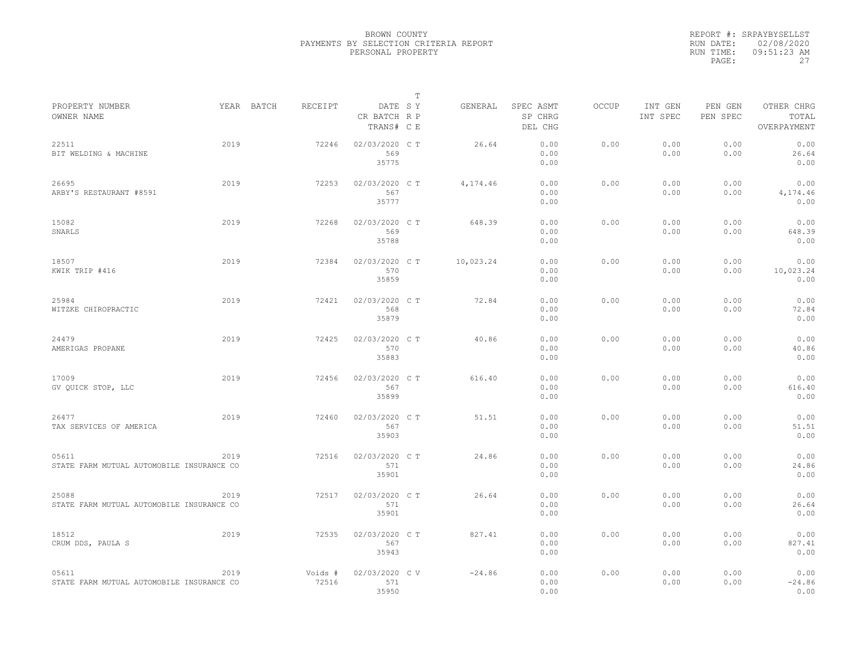|                                                    |      |            |                  |                                       | $\mathbb T$ |           |                                 |              |                     |                     |                                    |
|----------------------------------------------------|------|------------|------------------|---------------------------------------|-------------|-----------|---------------------------------|--------------|---------------------|---------------------|------------------------------------|
| PROPERTY NUMBER<br>OWNER NAME                      |      | YEAR BATCH | RECEIPT          | DATE SY<br>CR BATCH R P<br>TRANS# C E |             | GENERAL   | SPEC ASMT<br>SP CHRG<br>DEL CHG | <b>OCCUP</b> | INT GEN<br>INT SPEC | PEN GEN<br>PEN SPEC | OTHER CHRG<br>TOTAL<br>OVERPAYMENT |
| 22511<br>BIT WELDING & MACHINE                     | 2019 |            | 72246            | 02/03/2020 C T<br>569<br>35775        |             | 26.64     | 0.00<br>0.00<br>0.00            | 0.00         | 0.00<br>0.00        | 0.00<br>0.00        | 0.00<br>26.64<br>0.00              |
| 26695<br>ARBY'S RESTAURANT #8591                   | 2019 |            | 72253            | 02/03/2020 C T<br>567<br>35777        |             | 4,174.46  | 0.00<br>0.00<br>0.00            | 0.00         | 0.00<br>0.00        | 0.00<br>0.00        | 0.00<br>4,174.46<br>0.00           |
| 15082<br>SNARLS                                    | 2019 |            | 72268            | 02/03/2020 C T<br>569<br>35788        |             | 648.39    | 0.00<br>0.00<br>0.00            | 0.00         | 0.00<br>0.00        | 0.00<br>0.00        | 0.00<br>648.39<br>0.00             |
| 18507<br>KWIK TRIP #416                            | 2019 |            | 72384            | 02/03/2020 CT<br>570<br>35859         |             | 10,023.24 | 0.00<br>0.00<br>0.00            | 0.00         | 0.00<br>0.00        | 0.00<br>0.00        | 0.00<br>10,023.24<br>0.00          |
| 25984<br>WITZKE CHIROPRACTIC                       | 2019 |            | 72421            | 02/03/2020 C T<br>568<br>35879        |             | 72.84     | 0.00<br>0.00<br>0.00            | 0.00         | 0.00<br>0.00        | 0.00<br>0.00        | 0.00<br>72.84<br>0.00              |
| 24479<br>AMERIGAS PROPANE                          | 2019 |            | 72425            | 02/03/2020 C T<br>570<br>35883        |             | 40.86     | 0.00<br>0.00<br>0.00            | 0.00         | 0.00<br>0.00        | 0.00<br>0.00        | 0.00<br>40.86<br>0.00              |
| 17009<br>GV OUICK STOP, LLC                        | 2019 |            | 72456            | 02/03/2020 CT<br>567<br>35899         |             | 616.40    | 0.00<br>0.00<br>0.00            | 0.00         | 0.00<br>0.00        | 0.00<br>0.00        | 0.00<br>616.40<br>0.00             |
| 26477<br>TAX SERVICES OF AMERICA                   | 2019 |            | 72460            | 02/03/2020 C T<br>567<br>35903        |             | 51.51     | 0.00<br>0.00<br>0.00            | 0.00         | 0.00<br>0.00        | 0.00<br>0.00        | 0.00<br>51.51<br>0.00              |
| 05611<br>STATE FARM MUTUAL AUTOMOBILE INSURANCE CO | 2019 |            | 72516            | 02/03/2020 C T<br>571<br>35901        |             | 24.86     | 0.00<br>0.00<br>0.00            | 0.00         | 0.00<br>0.00        | 0.00<br>0.00        | 0.00<br>24.86<br>0.00              |
| 25088<br>STATE FARM MUTUAL AUTOMOBILE INSURANCE CO | 2019 |            | 72517            | 02/03/2020 C T<br>571<br>35901        |             | 26.64     | 0.00<br>0.00<br>0.00            | 0.00         | 0.00<br>0.00        | 0.00<br>0.00        | 0.00<br>26.64<br>0.00              |
| 18512<br>CRUM DDS, PAULA S                         | 2019 |            | 72535            | 02/03/2020 CT<br>567<br>35943         |             | 827.41    | 0.00<br>0.00<br>0.00            | 0.00         | 0.00<br>0.00        | 0.00<br>0.00        | 0.00<br>827.41<br>0.00             |
| 05611<br>STATE FARM MUTUAL AUTOMOBILE INSURANCE CO | 2019 |            | Voids #<br>72516 | 02/03/2020 CV<br>571<br>35950         |             | $-24.86$  | 0.00<br>0.00<br>0.00            | 0.00         | 0.00<br>0.00        | 0.00<br>0.00        | 0.00<br>$-24.86$<br>0.00           |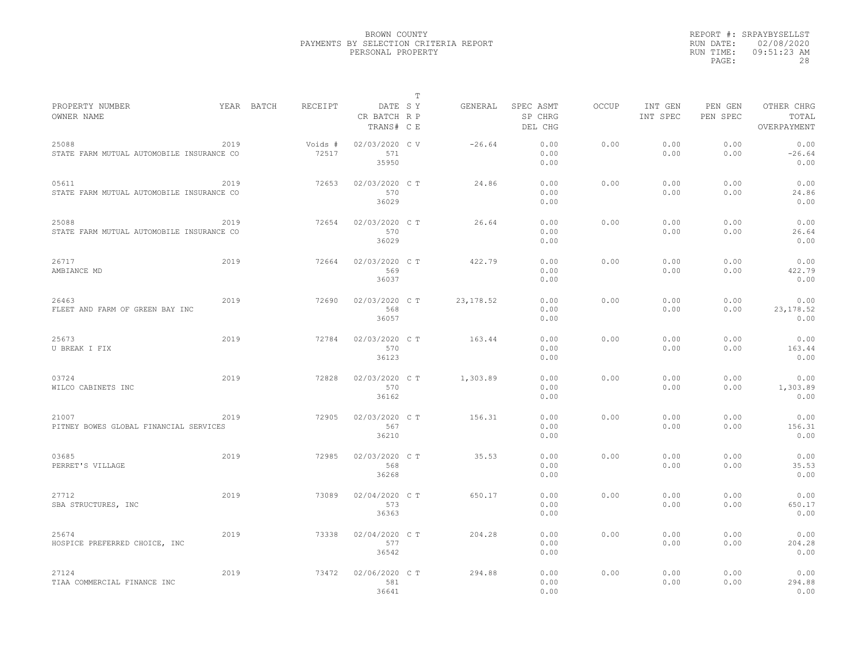|           | REPORT #: SRPAYBYSELLST |
|-----------|-------------------------|
|           | RUN DATE: 02/08/2020    |
| RUN TIME: | $09:51:23$ AM           |
| PAGE:     | 28                      |

|                                                    |      |            |                  |                                       | T |            |                                 |       |                     |                     |                                    |
|----------------------------------------------------|------|------------|------------------|---------------------------------------|---|------------|---------------------------------|-------|---------------------|---------------------|------------------------------------|
| PROPERTY NUMBER<br>OWNER NAME                      |      | YEAR BATCH | RECEIPT          | DATE SY<br>CR BATCH R P<br>TRANS# C E |   | GENERAL    | SPEC ASMT<br>SP CHRG<br>DEL CHG | OCCUP | INT GEN<br>INT SPEC | PEN GEN<br>PEN SPEC | OTHER CHRG<br>TOTAL<br>OVERPAYMENT |
| 25088<br>STATE FARM MUTUAL AUTOMOBILE INSURANCE CO | 2019 |            | Voids #<br>72517 | 02/03/2020 C V<br>571<br>35950        |   | $-26.64$   | 0.00<br>0.00<br>0.00            | 0.00  | 0.00<br>0.00        | 0.00<br>0.00        | 0.00<br>$-26.64$<br>0.00           |
| 05611<br>STATE FARM MUTUAL AUTOMOBILE INSURANCE CO | 2019 |            | 72653            | 02/03/2020 C T<br>570<br>36029        |   | 24.86      | 0.00<br>0.00<br>0.00            | 0.00  | 0.00<br>0.00        | 0.00<br>0.00        | 0.00<br>24.86<br>0.00              |
| 25088<br>STATE FARM MUTUAL AUTOMOBILE INSURANCE CO | 2019 |            | 72654            | 02/03/2020 C T<br>570<br>36029        |   | 26.64      | 0.00<br>0.00<br>0.00            | 0.00  | 0.00<br>0.00        | 0.00<br>0.00        | 0.00<br>26.64<br>0.00              |
| 26717<br>AMBIANCE MD                               | 2019 |            | 72664            | 02/03/2020 CT<br>569<br>36037         |   | 422.79     | 0.00<br>0.00<br>0.00            | 0.00  | 0.00<br>0.00        | 0.00<br>0.00        | 0.00<br>422.79<br>0.00             |
| 26463<br>FLEET AND FARM OF GREEN BAY INC           | 2019 |            | 72690            | 02/03/2020 CT<br>568<br>36057         |   | 23, 178.52 | 0.00<br>0.00<br>0.00            | 0.00  | 0.00<br>0.00        | 0.00<br>0.00        | 0.00<br>23, 178.52<br>0.00         |
| 25673<br>U BREAK I FIX                             | 2019 |            | 72784            | 02/03/2020 CT<br>570<br>36123         |   | 163.44     | 0.00<br>0.00<br>0.00            | 0.00  | 0.00<br>0.00        | 0.00<br>0.00        | 0.00<br>163.44<br>0.00             |
| 03724<br>WILCO CABINETS INC                        | 2019 |            | 72828            | 02/03/2020 C T<br>570<br>36162        |   | 1,303.89   | 0.00<br>0.00<br>0.00            | 0.00  | 0.00<br>0.00        | 0.00<br>0.00        | 0.00<br>1,303.89<br>0.00           |
| 21007<br>PITNEY BOWES GLOBAL FINANCIAL SERVICES    | 2019 |            | 72905            | 02/03/2020 C T<br>567<br>36210        |   | 156.31     | 0.00<br>0.00<br>0.00            | 0.00  | 0.00<br>0.00        | 0.00<br>0.00        | 0.00<br>156.31<br>0.00             |
| 03685<br>PERRET'S VILLAGE                          | 2019 |            | 72985            | 02/03/2020 C T<br>568<br>36268        |   | 35.53      | 0.00<br>0.00<br>0.00            | 0.00  | 0.00<br>0.00        | 0.00<br>0.00        | 0.00<br>35.53<br>0.00              |
| 27712<br>SBA STRUCTURES, INC                       | 2019 |            | 73089            | 02/04/2020 CT<br>573<br>36363         |   | 650.17     | 0.00<br>0.00<br>0.00            | 0.00  | 0.00<br>0.00        | 0.00<br>0.00        | 0.00<br>650.17<br>0.00             |
| 25674<br>HOSPICE PREFERRED CHOICE, INC             | 2019 |            | 73338            | 02/04/2020 C T<br>577<br>36542        |   | 204.28     | 0.00<br>0.00<br>0.00            | 0.00  | 0.00<br>0.00        | 0.00<br>0.00        | 0.00<br>204.28<br>0.00             |
| 27124<br>TIAA COMMERCIAL FINANCE INC               | 2019 |            | 73472            | 02/06/2020 C T<br>581<br>36641        |   | 294.88     | 0.00<br>0.00<br>0.00            | 0.00  | 0.00<br>0.00        | 0.00<br>0.00        | 0.00<br>294.88<br>0.00             |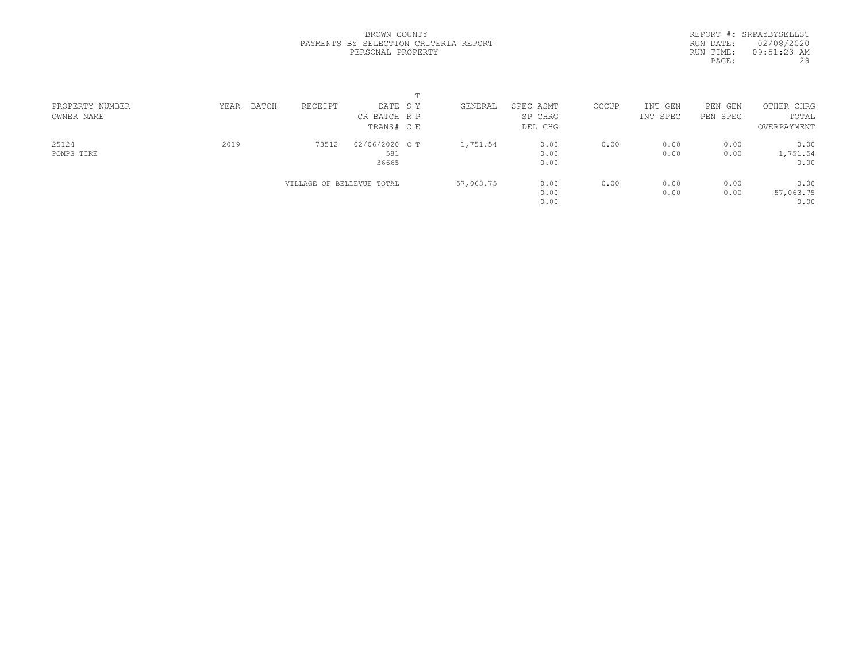REPORT #: SRPAYBYSELLST RUN DATE: 02/08/2020 RUN TIME: 09:51:23 AM PAGE: 29

| PROPERTY NUMBER | BATCH<br>YEAR | RECEIPT                   | DATE SY        | GENERAL   | SPEC ASMT | OCCUP | INT GEN  | PEN GEN  | OTHER CHRG  |  |
|-----------------|---------------|---------------------------|----------------|-----------|-----------|-------|----------|----------|-------------|--|
| OWNER NAME      |               |                           | CR BATCH R P   |           | SP CHRG   |       | INT SPEC | PEN SPEC | TOTAL       |  |
|                 |               |                           | TRANS# C E     |           | DEL CHG   |       |          |          | OVERPAYMENT |  |
| 25124           | 2019          | 73512                     | 02/06/2020 C T | 1,751.54  | 0.00      | 0.00  | 0.00     | 0.00     | 0.00        |  |
| POMPS TIRE      |               |                           | 581            |           | 0.00      |       | 0.00     | 0.00     | 1,751.54    |  |
|                 |               |                           | 36665          |           | 0.00      |       |          |          | 0.00        |  |
|                 |               | VILLAGE OF BELLEVUE TOTAL |                | 57,063.75 | 0.00      | 0.00  | 0.00     | 0.00     | 0.00        |  |
|                 |               |                           |                |           | 0.00      |       | 0.00     | 0.00     | 57,063.75   |  |
|                 |               |                           |                |           | 0.00      |       |          |          | 0.00        |  |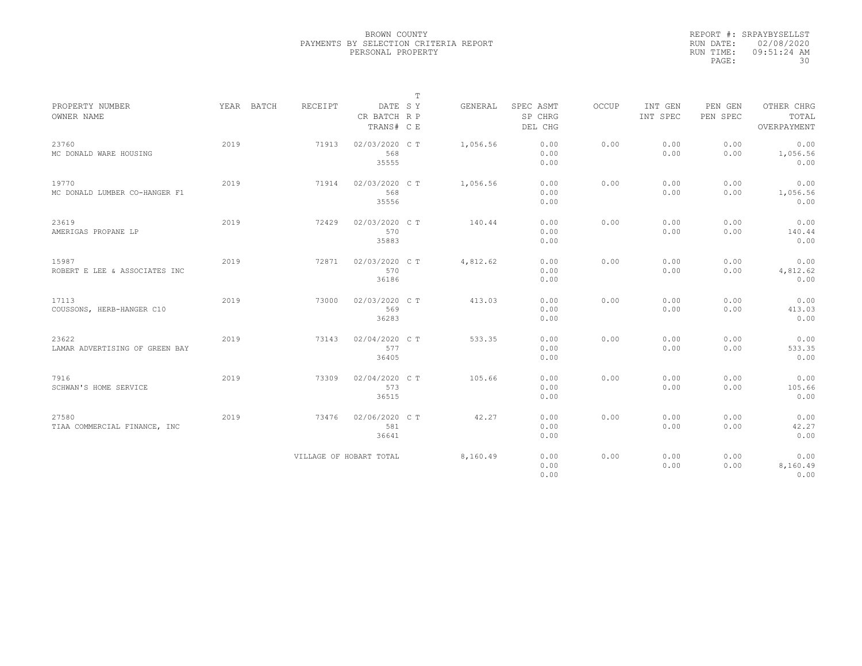|           | REPORT #: SRPAYBYSELLST |
|-----------|-------------------------|
|           | RUN DATE: 02/08/2020    |
| RUN TIME: | $09:51:24$ AM           |
| PAGE:     | 30                      |

|                                         |      |            |                |                                       | $\mathbb T$ |          |                                 |       |                     |                     |                                    |
|-----------------------------------------|------|------------|----------------|---------------------------------------|-------------|----------|---------------------------------|-------|---------------------|---------------------|------------------------------------|
| PROPERTY NUMBER<br>OWNER NAME           |      | YEAR BATCH | <b>RECEIPT</b> | DATE SY<br>CR BATCH R P<br>TRANS# C E |             | GENERAL  | SPEC ASMT<br>SP CHRG<br>DEL CHG | OCCUP | INT GEN<br>INT SPEC | PEN GEN<br>PEN SPEC | OTHER CHRG<br>TOTAL<br>OVERPAYMENT |
| 23760<br>MC DONALD WARE HOUSING         | 2019 |            | 71913          | 02/03/2020 C T<br>568<br>35555        |             | 1,056.56 | 0.00<br>0.00<br>0.00            | 0.00  | 0.00<br>0.00        | 0.00<br>0.00        | 0.00<br>1,056.56<br>0.00           |
| 19770<br>MC DONALD LUMBER CO-HANGER F1  | 2019 |            | 71914          | 02/03/2020 CT<br>568<br>35556         |             | 1,056.56 | 0.00<br>0.00<br>0.00            | 0.00  | 0.00<br>0.00        | 0.00<br>0.00        | 0.00<br>1,056.56<br>0.00           |
| 23619<br>AMERIGAS PROPANE LP            | 2019 |            | 72429          | 02/03/2020 C T<br>570<br>35883        |             | 140.44   | 0.00<br>0.00<br>0.00            | 0.00  | 0.00<br>0.00        | 0.00<br>0.00        | 0.00<br>140.44<br>0.00             |
| 15987<br>ROBERT E LEE & ASSOCIATES INC  | 2019 |            | 72871          | 02/03/2020 C T<br>570<br>36186        |             | 4,812.62 | 0.00<br>0.00<br>0.00            | 0.00  | 0.00<br>0.00        | 0.00<br>0.00        | 0.00<br>4,812.62<br>0.00           |
| 17113<br>COUSSONS, HERB-HANGER C10      | 2019 |            | 73000          | 02/03/2020 C T<br>569<br>36283        |             | 413.03   | 0.00<br>0.00<br>0.00            | 0.00  | 0.00<br>0.00        | 0.00<br>0.00        | 0.00<br>413.03<br>0.00             |
| 23622<br>LAMAR ADVERTISING OF GREEN BAY | 2019 |            | 73143          | 02/04/2020 C T<br>577<br>36405        |             | 533.35   | 0.00<br>0.00<br>0.00            | 0.00  | 0.00<br>0.00        | 0.00<br>0.00        | 0.00<br>533.35<br>0.00             |
| 7916<br>SCHWAN'S HOME SERVICE           | 2019 |            | 73309          | 02/04/2020 C T<br>573<br>36515        |             | 105.66   | 0.00<br>0.00<br>0.00            | 0.00  | 0.00<br>0.00        | 0.00<br>0.00        | 0.00<br>105.66<br>0.00             |
| 27580<br>TIAA COMMERCIAL FINANCE, INC   | 2019 |            | 73476          | 02/06/2020 C T<br>581<br>36641        |             | 42.27    | 0.00<br>0.00<br>0.00            | 0.00  | 0.00<br>0.00        | 0.00<br>0.00        | 0.00<br>42.27<br>0.00              |
|                                         |      |            |                | VILLAGE OF HOBART TOTAL               |             | 8,160.49 | 0.00<br>0.00<br>0.00            | 0.00  | 0.00<br>0.00        | 0.00<br>0.00        | 0.00<br>8,160.49<br>0.00           |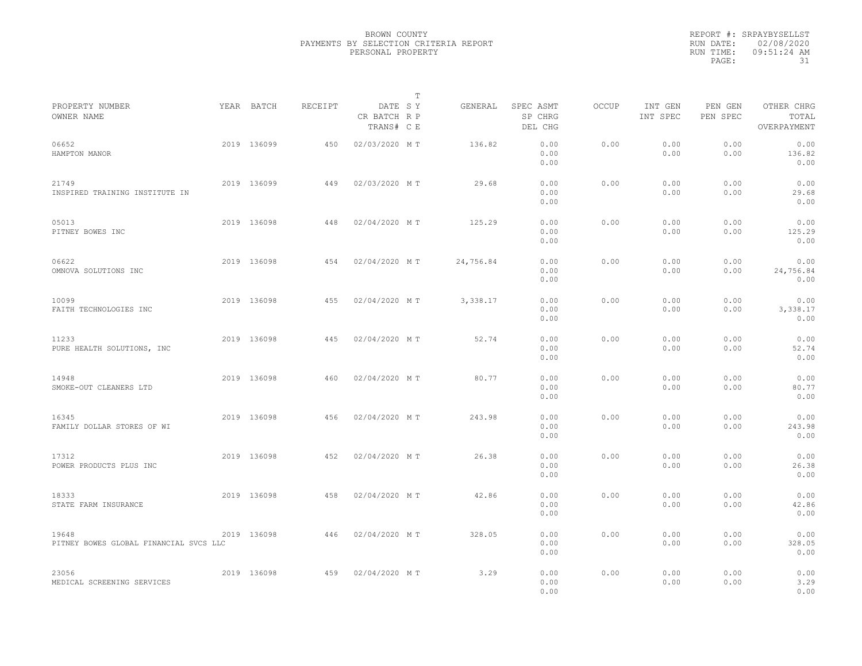|                                                 |             |         |                                       | $\mathbb T$ |                                 |              |                     |                     |                                    |
|-------------------------------------------------|-------------|---------|---------------------------------------|-------------|---------------------------------|--------------|---------------------|---------------------|------------------------------------|
| PROPERTY NUMBER<br>OWNER NAME                   | YEAR BATCH  | RECEIPT | DATE SY<br>CR BATCH R P<br>TRANS# C E | GENERAL     | SPEC ASMT<br>SP CHRG<br>DEL CHG | <b>OCCUP</b> | INT GEN<br>INT SPEC | PEN GEN<br>PEN SPEC | OTHER CHRG<br>TOTAL<br>OVERPAYMENT |
| 06652<br>HAMPTON MANOR                          | 2019 136099 | 450     | 02/03/2020 MT                         | 136.82      | 0.00<br>0.00<br>0.00            | 0.00         | 0.00<br>0.00        | 0.00<br>0.00        | 0.00<br>136.82<br>0.00             |
| 21749<br>INSPIRED TRAINING INSTITUTE IN         | 2019 136099 | 449     | 02/03/2020 MT                         | 29.68       | 0.00<br>0.00<br>0.00            | 0.00         | 0.00<br>0.00        | 0.00<br>0.00        | 0.00<br>29.68<br>0.00              |
| 05013<br>PITNEY BOWES INC                       | 2019 136098 | 448     | 02/04/2020 MT                         | 125.29      | 0.00<br>0.00<br>0.00            | 0.00         | 0.00<br>0.00        | 0.00<br>0.00        | 0.00<br>125.29<br>0.00             |
| 06622<br>OMNOVA SOLUTIONS INC                   | 2019 136098 | 454     | 02/04/2020 MT                         | 24,756.84   | 0.00<br>0.00<br>0.00            | 0.00         | 0.00<br>0.00        | 0.00<br>0.00        | 0.00<br>24,756.84<br>0.00          |
| 10099<br>FAITH TECHNOLOGIES INC                 | 2019 136098 | 455     | 02/04/2020 MT                         | 3,338.17    | 0.00<br>0.00<br>0.00            | 0.00         | 0.00<br>0.00        | 0.00<br>0.00        | 0.00<br>3,338.17<br>0.00           |
| 11233<br>PURE HEALTH SOLUTIONS, INC             | 2019 136098 | 445     | 02/04/2020 MT                         | 52.74       | 0.00<br>0.00<br>0.00            | 0.00         | 0.00<br>0.00        | 0.00<br>0.00        | 0.00<br>52.74<br>0.00              |
| 14948<br>SMOKE-OUT CLEANERS LTD                 | 2019 136098 | 460     | 02/04/2020 MT                         | 80.77       | 0.00<br>0.00<br>0.00            | 0.00         | 0.00<br>0.00        | 0.00<br>0.00        | 0.00<br>80.77<br>0.00              |
| 16345<br>FAMILY DOLLAR STORES OF WI             | 2019 136098 | 456     | 02/04/2020 MT                         | 243.98      | 0.00<br>0.00<br>0.00            | 0.00         | 0.00<br>0.00        | 0.00<br>0.00        | 0.00<br>243.98<br>0.00             |
| 17312<br>POWER PRODUCTS PLUS INC                | 2019 136098 | 452     | 02/04/2020 MT                         | 26.38       | 0.00<br>0.00<br>0.00            | 0.00         | 0.00<br>0.00        | 0.00<br>0.00        | 0.00<br>26.38<br>0.00              |
| 18333<br>STATE FARM INSURANCE                   | 2019 136098 | 458     | 02/04/2020 MT                         | 42.86       | 0.00<br>0.00<br>0.00            | 0.00         | 0.00<br>0.00        | 0.00<br>0.00        | 0.00<br>42.86<br>0.00              |
| 19648<br>PITNEY BOWES GLOBAL FINANCIAL SVCS LLC | 2019 136098 | 446     | 02/04/2020 MT                         | 328.05      | 0.00<br>0.00<br>0.00            | 0.00         | 0.00<br>0.00        | 0.00<br>0.00        | 0.00<br>328.05<br>0.00             |
| 23056<br>MEDICAL SCREENING SERVICES             | 2019 136098 | 459     | 02/04/2020 MT                         | 3.29        | 0.00<br>0.00<br>0.00            | 0.00         | 0.00<br>0.00        | 0.00<br>0.00        | 0.00<br>3.29<br>0.00               |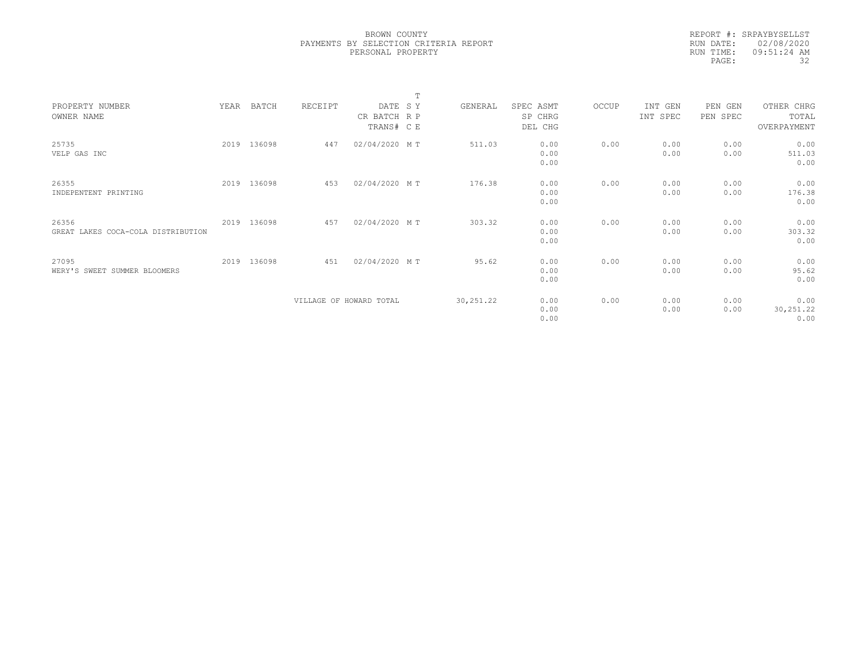|           | REPORT #: SRPAYBYSELLST |
|-----------|-------------------------|
|           | RUN DATE: 02/08/2020    |
| RUN TIME: | 09:51:24 AM             |
| PAGE:     | 32                      |

|                                    |      |             |                         |               | m |            |           |       |          |          |             |  |
|------------------------------------|------|-------------|-------------------------|---------------|---|------------|-----------|-------|----------|----------|-------------|--|
| PROPERTY NUMBER                    | YEAR | BATCH       | RECEIPT                 | DATE SY       |   | GENERAL    | SPEC ASMT | OCCUP | INT GEN  | PEN GEN  | OTHER CHRG  |  |
| OWNER NAME                         |      |             |                         | CR BATCH R P  |   |            | SP CHRG   |       | INT SPEC | PEN SPEC | TOTAL       |  |
|                                    |      |             |                         | TRANS# C E    |   |            | DEL CHG   |       |          |          | OVERPAYMENT |  |
| 25735                              |      | 2019 136098 | 447                     | 02/04/2020 MT |   | 511.03     | 0.00      | 0.00  | 0.00     | 0.00     | 0.00        |  |
| VELP GAS INC                       |      |             |                         |               |   |            | 0.00      |       | 0.00     | 0.00     | 511.03      |  |
|                                    |      |             |                         |               |   |            | 0.00      |       |          |          | 0.00        |  |
|                                    |      |             |                         |               |   |            |           |       |          |          |             |  |
| 26355                              |      | 2019 136098 | 453                     | 02/04/2020 MT |   | 176.38     | 0.00      | 0.00  | 0.00     | 0.00     | 0.00        |  |
| INDEPENTENT PRINTING               |      |             |                         |               |   |            | 0.00      |       | 0.00     | 0.00     | 176.38      |  |
|                                    |      |             |                         |               |   |            | 0.00      |       |          |          | 0.00        |  |
|                                    |      |             |                         |               |   |            |           |       |          |          |             |  |
| 26356                              |      | 2019 136098 | 457                     | 02/04/2020 MT |   | 303.32     | 0.00      | 0.00  | 0.00     | 0.00     | 0.00        |  |
| GREAT LAKES COCA-COLA DISTRIBUTION |      |             |                         |               |   |            | 0.00      |       | 0.00     | 0.00     | 303.32      |  |
|                                    |      |             |                         |               |   |            | 0.00      |       |          |          | 0.00        |  |
|                                    |      |             |                         |               |   |            |           |       |          |          |             |  |
| 27095                              |      | 2019 136098 | 451                     | 02/04/2020 MT |   | 95.62      | 0.00      | 0.00  | 0.00     | 0.00     | 0.00        |  |
| WERY'S SWEET SUMMER BLOOMERS       |      |             |                         |               |   |            | 0.00      |       | 0.00     | 0.00     | 95.62       |  |
|                                    |      |             |                         |               |   |            | 0.00      |       |          |          | 0.00        |  |
|                                    |      |             |                         |               |   |            |           |       |          |          |             |  |
|                                    |      |             | VILLAGE OF HOWARD TOTAL |               |   | 30, 251.22 | 0.00      | 0.00  | 0.00     | 0.00     | 0.00        |  |
|                                    |      |             |                         |               |   |            | 0.00      |       | 0.00     | 0.00     | 30,251.22   |  |
|                                    |      |             |                         |               |   |            | 0.00      |       |          |          | 0.00        |  |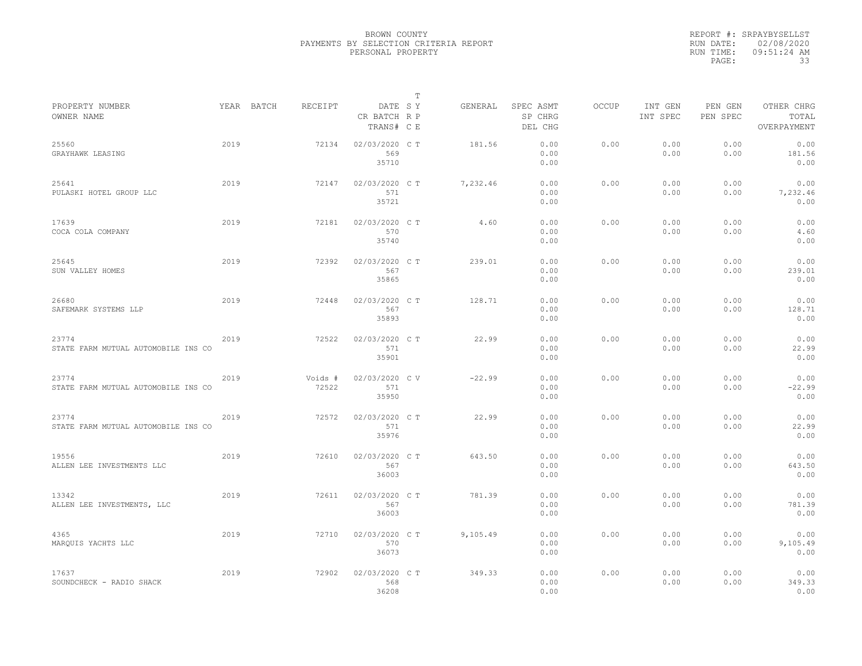|                                              |      |            |                  |                                       | $\mathbb{T}$ |          |                                 |              |                     |                     |                                    |
|----------------------------------------------|------|------------|------------------|---------------------------------------|--------------|----------|---------------------------------|--------------|---------------------|---------------------|------------------------------------|
| PROPERTY NUMBER<br>OWNER NAME                |      | YEAR BATCH | RECEIPT          | DATE SY<br>CR BATCH R P<br>TRANS# C E |              | GENERAL  | SPEC ASMT<br>SP CHRG<br>DEL CHG | <b>OCCUP</b> | INT GEN<br>INT SPEC | PEN GEN<br>PEN SPEC | OTHER CHRG<br>TOTAL<br>OVERPAYMENT |
| 25560<br>GRAYHAWK LEASING                    | 2019 |            | 72134            | 02/03/2020 C T<br>569<br>35710        |              | 181.56   | 0.00<br>0.00<br>0.00            | 0.00         | 0.00<br>0.00        | 0.00<br>0.00        | 0.00<br>181.56<br>0.00             |
| 25641<br>PULASKI HOTEL GROUP LLC             | 2019 |            | 72147            | 02/03/2020 C T<br>571<br>35721        |              | 7,232.46 | 0.00<br>0.00<br>0.00            | 0.00         | 0.00<br>0.00        | 0.00<br>0.00        | 0.00<br>7,232.46<br>0.00           |
| 17639<br>COCA COLA COMPANY                   | 2019 |            | 72181            | 02/03/2020 C T<br>570<br>35740        |              | 4.60     | 0.00<br>0.00<br>0.00            | 0.00         | 0.00<br>0.00        | 0.00<br>0.00        | 0.00<br>4.60<br>0.00               |
| 25645<br>SUN VALLEY HOMES                    | 2019 |            | 72392            | 02/03/2020 C T<br>567<br>35865        |              | 239.01   | 0.00<br>0.00<br>0.00            | 0.00         | 0.00<br>0.00        | 0.00<br>0.00        | 0.00<br>239.01<br>0.00             |
| 26680<br>SAFEMARK SYSTEMS LLP                | 2019 |            | 72448            | 02/03/2020 C T<br>567<br>35893        |              | 128.71   | 0.00<br>0.00<br>0.00            | 0.00         | 0.00<br>0.00        | 0.00<br>0.00        | 0.00<br>128.71<br>0.00             |
| 23774<br>STATE FARM MUTUAL AUTOMOBILE INS CO | 2019 |            | 72522            | 02/03/2020 C T<br>571<br>35901        |              | 22.99    | 0.00<br>0.00<br>0.00            | 0.00         | 0.00<br>0.00        | 0.00<br>0.00        | 0.00<br>22.99<br>0.00              |
| 23774<br>STATE FARM MUTUAL AUTOMOBILE INS CO | 2019 |            | Voids #<br>72522 | 02/03/2020 CV<br>571<br>35950         |              | $-22.99$ | 0.00<br>0.00<br>0.00            | 0.00         | 0.00<br>0.00        | 0.00<br>0.00        | 0.00<br>$-22.99$<br>0.00           |
| 23774<br>STATE FARM MUTUAL AUTOMOBILE INS CO | 2019 |            | 72572            | 02/03/2020 C T<br>571<br>35976        |              | 22.99    | 0.00<br>0.00<br>0.00            | 0.00         | 0.00<br>0.00        | 0.00<br>0.00        | 0.00<br>22.99<br>0.00              |
| 19556<br>ALLEN LEE INVESTMENTS LLC           | 2019 |            | 72610            | 02/03/2020 C T<br>567<br>36003        |              | 643.50   | 0.00<br>0.00<br>0.00            | 0.00         | 0.00<br>0.00        | 0.00<br>0.00        | 0.00<br>643.50<br>0.00             |
| 13342<br>ALLEN LEE INVESTMENTS, LLC          | 2019 |            | 72611            | 02/03/2020 C T<br>567<br>36003        |              | 781.39   | 0.00<br>0.00<br>0.00            | 0.00         | 0.00<br>0.00        | 0.00<br>0.00        | 0.00<br>781.39<br>0.00             |
| 4365<br>MAROUIS YACHTS LLC                   | 2019 |            | 72710            | 02/03/2020 C T<br>570<br>36073        |              | 9,105.49 | 0.00<br>0.00<br>0.00            | 0.00         | 0.00<br>0.00        | 0.00<br>0.00        | 0.00<br>9,105.49<br>0.00           |
| 17637<br>SOUNDCHECK - RADIO SHACK            | 2019 |            | 72902            | 02/03/2020 C T<br>568<br>36208        |              | 349.33   | 0.00<br>0.00<br>0.00            | 0.00         | 0.00<br>0.00        | 0.00<br>0.00        | 0.00<br>349.33<br>0.00             |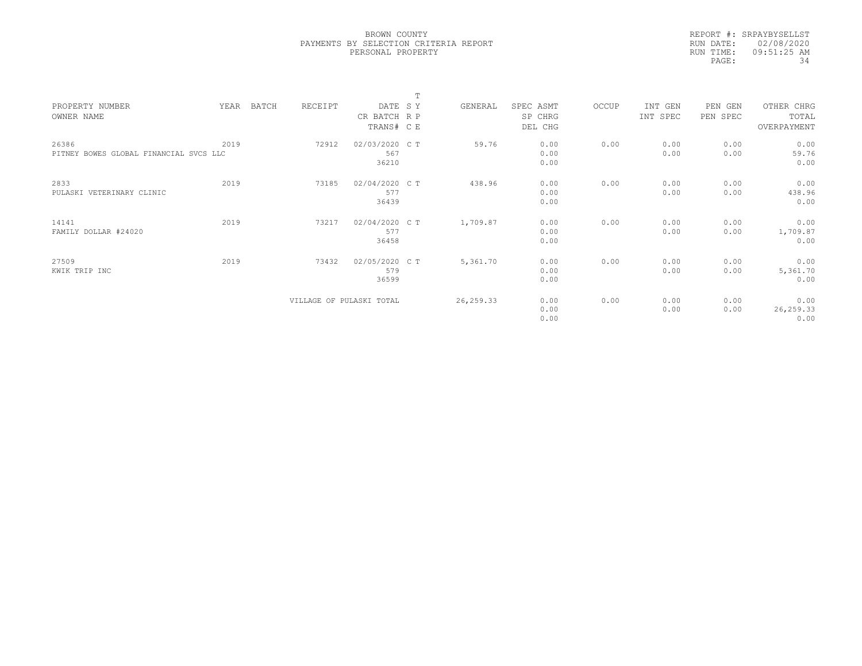|           | REPORT #: SRPAYBYSELLST |
|-----------|-------------------------|
|           | RUN DATE: 02/08/2020    |
| RUN TIME: | $09:51:25$ AM           |
| PAGE:     | 34                      |

|                                        |      |       |                          |                | m |            |           |       |          |          |             |  |
|----------------------------------------|------|-------|--------------------------|----------------|---|------------|-----------|-------|----------|----------|-------------|--|
| PROPERTY NUMBER                        | YEAR | BATCH | RECEIPT                  | DATE SY        |   | GENERAL    | SPEC ASMT | OCCUP | INT GEN  | PEN GEN  | OTHER CHRG  |  |
| OWNER NAME                             |      |       |                          | CR BATCH R P   |   |            | SP CHRG   |       | INT SPEC | PEN SPEC | TOTAL       |  |
|                                        |      |       |                          | TRANS# C E     |   |            | DEL CHG   |       |          |          | OVERPAYMENT |  |
|                                        |      |       |                          |                |   |            |           |       |          |          |             |  |
| 26386                                  | 2019 |       | 72912                    | 02/03/2020 C T |   | 59.76      | 0.00      | 0.00  | 0.00     | 0.00     | 0.00        |  |
| PITNEY BOWES GLOBAL FINANCIAL SVCS LLC |      |       |                          | 567            |   |            | 0.00      |       | 0.00     | 0.00     | 59.76       |  |
|                                        |      |       |                          | 36210          |   |            | 0.00      |       |          |          | 0.00        |  |
| 2833                                   | 2019 |       | 73185                    | 02/04/2020 CT  |   | 438.96     | 0.00      | 0.00  | 0.00     | 0.00     | 0.00        |  |
| PULASKI VETERINARY CLINIC              |      |       |                          | 577            |   |            | 0.00      |       | 0.00     | 0.00     | 438.96      |  |
|                                        |      |       |                          | 36439          |   |            | 0.00      |       |          |          | 0.00        |  |
|                                        |      |       |                          |                |   |            |           |       |          |          |             |  |
| 14141                                  | 2019 |       | 73217                    | 02/04/2020 C T |   | 1,709.87   | 0.00      | 0.00  | 0.00     | 0.00     | 0.00        |  |
| FAMILY DOLLAR #24020                   |      |       |                          | 577            |   |            | 0.00      |       | 0.00     | 0.00     | 1,709.87    |  |
|                                        |      |       |                          | 36458          |   |            | 0.00      |       |          |          | 0.00        |  |
|                                        |      |       |                          |                |   |            |           |       |          |          |             |  |
| 27509                                  | 2019 |       | 73432                    | 02/05/2020 CT  |   | 5,361.70   | 0.00      | 0.00  | 0.00     | 0.00     | 0.00        |  |
| KWIK TRIP INC                          |      |       |                          | 579            |   |            | 0.00      |       | 0.00     | 0.00     | 5,361.70    |  |
|                                        |      |       |                          | 36599          |   |            | 0.00      |       |          |          | 0.00        |  |
|                                        |      |       |                          |                |   |            |           |       |          |          |             |  |
|                                        |      |       | VILLAGE OF PULASKI TOTAL |                |   | 26, 259.33 | 0.00      | 0.00  | 0.00     | 0.00     | 0.00        |  |
|                                        |      |       |                          |                |   |            | 0.00      |       | 0.00     | 0.00     | 26,259.33   |  |
|                                        |      |       |                          |                |   |            | 0.00      |       |          |          | 0.00        |  |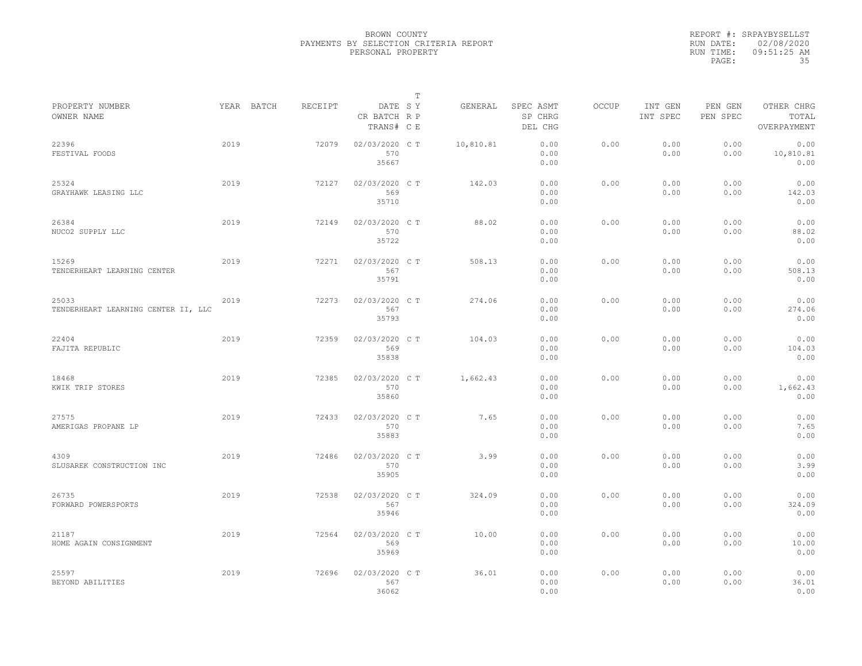|           | REPORT #: SRPAYBYSELLST |
|-----------|-------------------------|
|           | RUN DATE: 02/08/2020    |
| RUN TIME: | $09:51:25$ AM           |
| PAGE:     | 35                      |

|                                              |      |            |         |                                       | $\mathbb T$ |           |                                 |              |                     |                     |                                    |
|----------------------------------------------|------|------------|---------|---------------------------------------|-------------|-----------|---------------------------------|--------------|---------------------|---------------------|------------------------------------|
| PROPERTY NUMBER<br>OWNER NAME                |      | YEAR BATCH | RECEIPT | DATE SY<br>CR BATCH R P<br>TRANS# C E |             | GENERAL   | SPEC ASMT<br>SP CHRG<br>DEL CHG | <b>OCCUP</b> | INT GEN<br>INT SPEC | PEN GEN<br>PEN SPEC | OTHER CHRG<br>TOTAL<br>OVERPAYMENT |
| 22396<br>FESTIVAL FOODS                      | 2019 |            | 72079   | 02/03/2020 C T<br>570<br>35667        |             | 10,810.81 | 0.00<br>0.00<br>0.00            | 0.00         | 0.00<br>0.00        | 0.00<br>0.00        | 0.00<br>10,810.81<br>0.00          |
| 25324<br>GRAYHAWK LEASING LLC                | 2019 |            | 72127   | 02/03/2020 C T<br>569<br>35710        |             | 142.03    | 0.00<br>0.00<br>0.00            | 0.00         | 0.00<br>0.00        | 0.00<br>0.00        | 0.00<br>142.03<br>0.00             |
| 26384<br>NUCO2 SUPPLY LLC                    | 2019 |            | 72149   | 02/03/2020 C T<br>570<br>35722        |             | 88.02     | 0.00<br>0.00<br>0.00            | 0.00         | 0.00<br>0.00        | 0.00<br>0.00        | 0.00<br>88.02<br>0.00              |
| 15269<br>TENDERHEART LEARNING CENTER         | 2019 |            | 72271   | 02/03/2020 C T<br>567<br>35791        |             | 508.13    | 0.00<br>0.00<br>0.00            | 0.00         | 0.00<br>0.00        | 0.00<br>0.00        | 0.00<br>508.13<br>0.00             |
| 25033<br>TENDERHEART LEARNING CENTER II, LLC | 2019 |            | 72273   | 02/03/2020 CT<br>567<br>35793         |             | 274.06    | 0.00<br>0.00<br>0.00            | 0.00         | 0.00<br>0.00        | 0.00<br>0.00        | 0.00<br>274.06<br>0.00             |
| 22404<br>FAJITA REPUBLIC                     | 2019 |            | 72359   | 02/03/2020 C T<br>569<br>35838        |             | 104.03    | 0.00<br>0.00<br>0.00            | 0.00         | 0.00<br>0.00        | 0.00<br>0.00        | 0.00<br>104.03<br>0.00             |
| 18468<br>KWIK TRIP STORES                    | 2019 |            | 72385   | 02/03/2020 C T<br>570<br>35860        |             | 1,662.43  | 0.00<br>0.00<br>0.00            | 0.00         | 0.00<br>0.00        | 0.00<br>0.00        | 0.00<br>1,662.43<br>0.00           |
| 27575<br>AMERIGAS PROPANE LP                 | 2019 |            | 72433   | 02/03/2020 C T<br>570<br>35883        |             | 7.65      | 0.00<br>0.00<br>0.00            | 0.00         | 0.00<br>0.00        | 0.00<br>0.00        | 0.00<br>7.65<br>0.00               |
| 4309<br>SLUSAREK CONSTRUCTION INC            | 2019 |            | 72486   | 02/03/2020 C T<br>570<br>35905        |             | 3.99      | 0.00<br>0.00<br>0.00            | 0.00         | 0.00<br>0.00        | 0.00<br>0.00        | 0.00<br>3.99<br>0.00               |
| 26735<br>FORWARD POWERSPORTS                 | 2019 |            | 72538   | 02/03/2020 CT<br>567<br>35946         |             | 324.09    | 0.00<br>0.00<br>0.00            | 0.00         | 0.00<br>0.00        | 0.00<br>0.00        | 0.00<br>324.09<br>0.00             |
| 21187<br>HOME AGAIN CONSIGNMENT              | 2019 |            | 72564   | 02/03/2020 C T<br>569<br>35969        |             | 10.00     | 0.00<br>0.00<br>0.00            | 0.00         | 0.00<br>0.00        | 0.00<br>0.00        | 0.00<br>10.00<br>0.00              |
| 25597<br>BEYOND ABILITIES                    | 2019 |            | 72696   | 02/03/2020 CT<br>567<br>36062         |             | 36.01     | 0.00<br>0.00<br>0.00            | 0.00         | 0.00<br>0.00        | 0.00<br>0.00        | 0.00<br>36.01<br>0.00              |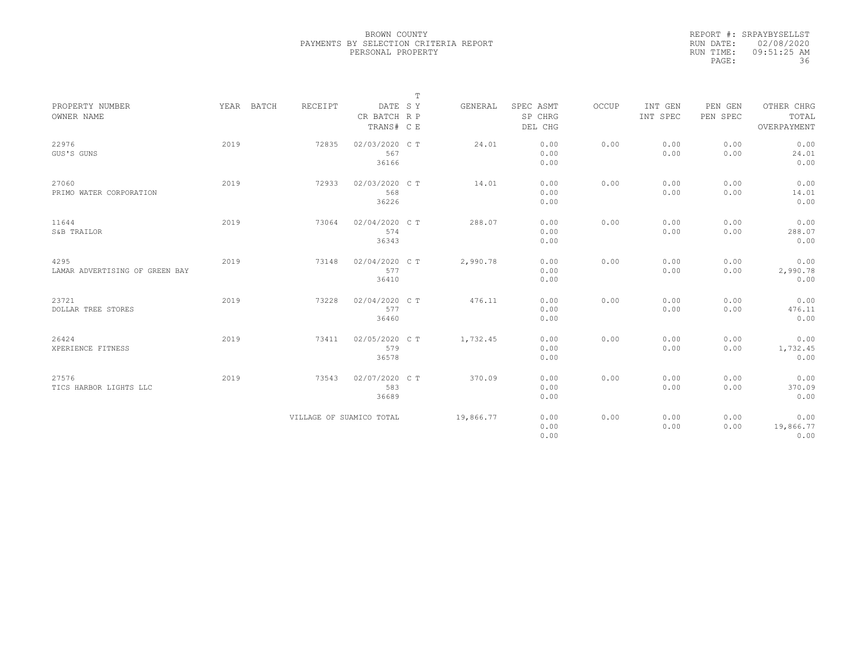|           | REPORT #: SRPAYBYSELLST |
|-----------|-------------------------|
|           | RUN DATE: 02/08/2020    |
| RUN TIME: | $09:51:25$ AM           |
| PAGE:     | 36                      |

|                                        |      |            |                          |                                | $\mathbb T$ |           |                      |       |                     |                     |                           |
|----------------------------------------|------|------------|--------------------------|--------------------------------|-------------|-----------|----------------------|-------|---------------------|---------------------|---------------------------|
| PROPERTY NUMBER<br>OWNER NAME          |      | YEAR BATCH | RECEIPT                  | DATE SY<br>CR BATCH R P        |             | GENERAL   | SPEC ASMT<br>SP CHRG | OCCUP | INT GEN<br>INT SPEC | PEN GEN<br>PEN SPEC | OTHER CHRG<br>TOTAL       |
|                                        |      |            |                          | TRANS# C E                     |             |           | DEL CHG              |       |                     |                     | OVERPAYMENT               |
| 22976<br>GUS'S GUNS                    | 2019 |            | 72835                    | 02/03/2020 C T<br>567<br>36166 |             | 24.01     | 0.00<br>0.00<br>0.00 | 0.00  | 0.00<br>0.00        | 0.00<br>0.00        | 0.00<br>24.01<br>0.00     |
| 27060<br>PRIMO WATER CORPORATION       | 2019 |            | 72933                    | 02/03/2020 C T<br>568<br>36226 |             | 14.01     | 0.00<br>0.00<br>0.00 | 0.00  | 0.00<br>0.00        | 0.00<br>0.00        | 0.00<br>14.01<br>0.00     |
| 11644<br>S&B TRAILOR                   | 2019 |            | 73064                    | 02/04/2020 C T<br>574<br>36343 |             | 288.07    | 0.00<br>0.00<br>0.00 | 0.00  | 0.00<br>0.00        | 0.00<br>0.00        | 0.00<br>288.07<br>0.00    |
| 4295<br>LAMAR ADVERTISING OF GREEN BAY | 2019 |            | 73148                    | 02/04/2020 C T<br>577<br>36410 |             | 2,990.78  | 0.00<br>0.00<br>0.00 | 0.00  | 0.00<br>0.00        | 0.00<br>0.00        | 0.00<br>2,990.78<br>0.00  |
| 23721<br>DOLLAR TREE STORES            | 2019 |            | 73228                    | 02/04/2020 C T<br>577<br>36460 |             | 476.11    | 0.00<br>0.00<br>0.00 | 0.00  | 0.00<br>0.00        | 0.00<br>0.00        | 0.00<br>476.11<br>0.00    |
| 26424<br>XPERIENCE FITNESS             | 2019 |            | 73411                    | 02/05/2020 C T<br>579<br>36578 |             | 1,732.45  | 0.00<br>0.00<br>0.00 | 0.00  | 0.00<br>0.00        | 0.00<br>0.00        | 0.00<br>1,732.45<br>0.00  |
| 27576<br>TICS HARBOR LIGHTS LLC        | 2019 |            | 73543                    | 02/07/2020 C T<br>583<br>36689 |             | 370.09    | 0.00<br>0.00<br>0.00 | 0.00  | 0.00<br>0.00        | 0.00<br>0.00        | 0.00<br>370.09<br>0.00    |
|                                        |      |            | VILLAGE OF SUAMICO TOTAL |                                |             | 19,866.77 | 0.00<br>0.00<br>0.00 | 0.00  | 0.00<br>0.00        | 0.00<br>0.00        | 0.00<br>19,866.77<br>0.00 |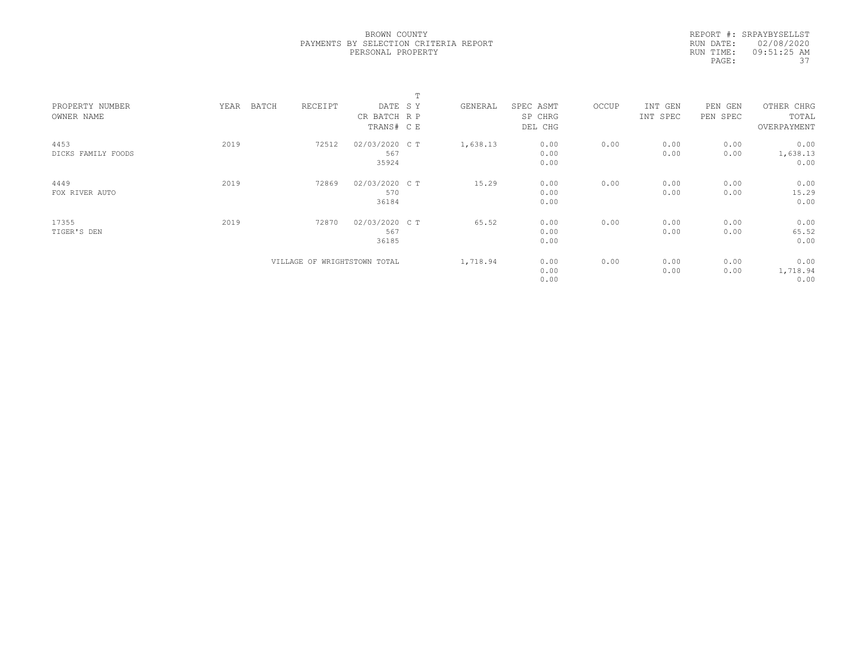|           | REPORT #: SRPAYBYSELLST |
|-----------|-------------------------|
|           | RUN DATE: 02/08/2020    |
| RUN TIME: | $09:51:25$ AM           |
| PAGE:     | 37                      |

|                    |               |                              |                | $\blacksquare$ |          |           |       |          |          |             |  |
|--------------------|---------------|------------------------------|----------------|----------------|----------|-----------|-------|----------|----------|-------------|--|
| PROPERTY NUMBER    | BATCH<br>YEAR | RECEIPT                      | DATE SY        |                | GENERAL  | SPEC ASMT | OCCUP | INT GEN  | PEN GEN  | OTHER CHRG  |  |
| OWNER NAME         |               |                              | CR BATCH R P   |                |          | SP CHRG   |       | INT SPEC | PEN SPEC | TOTAL       |  |
|                    |               |                              | TRANS# CE      |                |          | DEL CHG   |       |          |          | OVERPAYMENT |  |
| 4453               | 2019          | 72512                        | 02/03/2020 C T |                | 1,638.13 | 0.00      | 0.00  | 0.00     | 0.00     | 0.00        |  |
| DICKS FAMILY FOODS |               |                              | 567            |                |          | 0.00      |       | 0.00     | 0.00     | 1,638.13    |  |
|                    |               |                              | 35924          |                |          | 0.00      |       |          |          | 0.00        |  |
| 4449               | 2019          | 72869                        | 02/03/2020 C T |                | 15.29    | 0.00      | 0.00  | 0.00     | 0.00     | 0.00        |  |
| FOX RIVER AUTO     |               |                              | 570            |                |          | 0.00      |       | 0.00     | 0.00     | 15.29       |  |
|                    |               |                              | 36184          |                |          | 0.00      |       |          |          | 0.00        |  |
| 17355              | 2019          | 72870                        | 02/03/2020 C T |                | 65.52    | 0.00      | 0.00  | 0.00     | 0.00     | 0.00        |  |
| TIGER'S DEN        |               |                              | 567            |                |          | 0.00      |       | 0.00     | 0.00     | 65.52       |  |
|                    |               |                              | 36185          |                |          | 0.00      |       |          |          | 0.00        |  |
|                    |               | VILLAGE OF WRIGHTSTOWN TOTAL |                |                | 1,718.94 | 0.00      | 0.00  | 0.00     | 0.00     | 0.00        |  |
|                    |               |                              |                |                |          | 0.00      |       | 0.00     | 0.00     | 1,718.94    |  |
|                    |               |                              |                |                |          | 0.00      |       |          |          | 0.00        |  |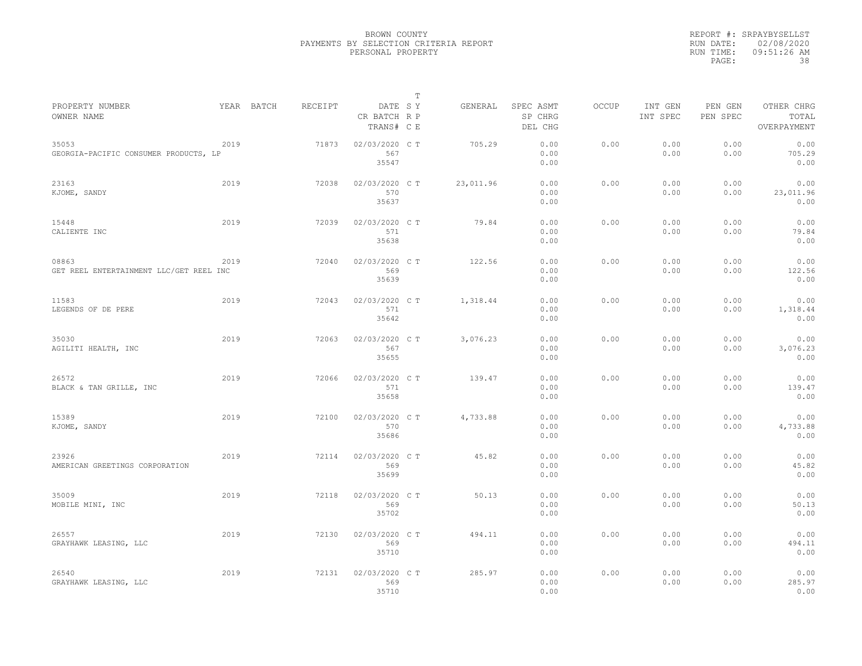|                                                  |      |            |         |                                       | $\mathbb{T}$ |           |                                 |              |                     |                     |                                    |
|--------------------------------------------------|------|------------|---------|---------------------------------------|--------------|-----------|---------------------------------|--------------|---------------------|---------------------|------------------------------------|
| PROPERTY NUMBER<br>OWNER NAME                    |      | YEAR BATCH | RECEIPT | DATE SY<br>CR BATCH R P<br>TRANS# C E |              | GENERAL   | SPEC ASMT<br>SP CHRG<br>DEL CHG | <b>OCCUP</b> | INT GEN<br>INT SPEC | PEN GEN<br>PEN SPEC | OTHER CHRG<br>TOTAL<br>OVERPAYMENT |
| 35053<br>GEORGIA-PACIFIC CONSUMER PRODUCTS, LP   | 2019 |            | 71873   | 02/03/2020 CT<br>567<br>35547         |              | 705.29    | 0.00<br>0.00<br>0.00            | 0.00         | 0.00<br>0.00        | 0.00<br>0.00        | 0.00<br>705.29<br>0.00             |
| 23163<br>KJOME, SANDY                            | 2019 |            | 72038   | 02/03/2020 C T<br>570<br>35637        |              | 23,011.96 | 0.00<br>0.00<br>0.00            | 0.00         | 0.00<br>0.00        | 0.00<br>0.00        | 0.00<br>23,011.96<br>0.00          |
| 15448<br>CALIENTE INC                            | 2019 |            | 72039   | 02/03/2020 C T<br>571<br>35638        |              | 79.84     | 0.00<br>0.00<br>0.00            | 0.00         | 0.00<br>0.00        | 0.00<br>0.00        | 0.00<br>79.84<br>0.00              |
| 08863<br>GET REEL ENTERTAINMENT LLC/GET REEL INC | 2019 |            | 72040   | 02/03/2020 C T<br>569<br>35639        |              | 122.56    | 0.00<br>0.00<br>0.00            | 0.00         | 0.00<br>0.00        | 0.00<br>0.00        | 0.00<br>122.56<br>0.00             |
| 11583<br>LEGENDS OF DE PERE                      | 2019 |            | 72043   | 02/03/2020 C T<br>571<br>35642        |              | 1,318.44  | 0.00<br>0.00<br>0.00            | 0.00         | 0.00<br>0.00        | 0.00<br>0.00        | 0.00<br>1,318.44<br>0.00           |
| 35030<br>AGILITI HEALTH, INC                     | 2019 |            | 72063   | 02/03/2020 C T<br>567<br>35655        |              | 3,076.23  | 0.00<br>0.00<br>0.00            | 0.00         | 0.00<br>0.00        | 0.00<br>0.00        | 0.00<br>3,076.23<br>0.00           |
| 26572<br>BLACK & TAN GRILLE, INC                 | 2019 |            | 72066   | 02/03/2020 C T<br>571<br>35658        |              | 139.47    | 0.00<br>0.00<br>0.00            | 0.00         | 0.00<br>0.00        | 0.00<br>0.00        | 0.00<br>139.47<br>0.00             |
| 15389<br>KJOME, SANDY                            | 2019 |            | 72100   | 02/03/2020 C T<br>570<br>35686        |              | 4,733.88  | 0.00<br>0.00<br>0.00            | 0.00         | 0.00<br>0.00        | 0.00<br>0.00        | 0.00<br>4,733.88<br>0.00           |
| 23926<br>AMERICAN GREETINGS CORPORATION          | 2019 |            | 72114   | 02/03/2020 C T<br>569<br>35699        |              | 45.82     | 0.00<br>0.00<br>0.00            | 0.00         | 0.00<br>0.00        | 0.00<br>0.00        | 0.00<br>45.82<br>0.00              |
| 35009<br>MOBILE MINI, INC                        | 2019 |            | 72118   | 02/03/2020 C T<br>569<br>35702        |              | 50.13     | 0.00<br>0.00<br>0.00            | 0.00         | 0.00<br>0.00        | 0.00<br>0.00        | 0.00<br>50.13<br>0.00              |
| 26557<br>GRAYHAWK LEASING, LLC                   | 2019 |            | 72130   | 02/03/2020 C T<br>569<br>35710        |              | 494.11    | 0.00<br>0.00<br>0.00            | 0.00         | 0.00<br>0.00        | 0.00<br>0.00        | 0.00<br>494.11<br>0.00             |
| 26540<br>GRAYHAWK LEASING, LLC                   | 2019 |            | 72131   | 02/03/2020 C T<br>569<br>35710        |              | 285.97    | 0.00<br>0.00<br>0.00            | 0.00         | 0.00<br>0.00        | 0.00<br>0.00        | 0.00<br>285.97<br>0.00             |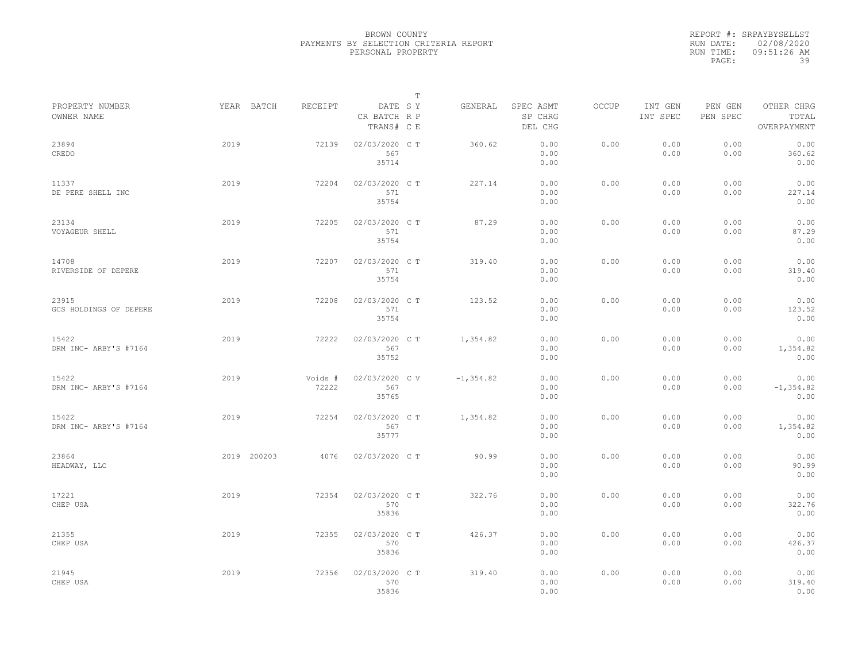|           | REPORT #: SRPAYBYSELLST |
|-----------|-------------------------|
|           | RUN DATE: 02/08/2020    |
| RUN TIME: | $09:51:26$ AM           |
| PAGE:     | 39                      |

|                                 |             |                  |                                       | $\mathbb T$ |              |                                 |       |                     |                     |                                    |
|---------------------------------|-------------|------------------|---------------------------------------|-------------|--------------|---------------------------------|-------|---------------------|---------------------|------------------------------------|
| PROPERTY NUMBER<br>OWNER NAME   | YEAR BATCH  | RECEIPT          | DATE SY<br>CR BATCH R P<br>TRANS# C E |             | GENERAL      | SPEC ASMT<br>SP CHRG<br>DEL CHG | OCCUP | INT GEN<br>INT SPEC | PEN GEN<br>PEN SPEC | OTHER CHRG<br>TOTAL<br>OVERPAYMENT |
| 23894<br>CREDO                  | 2019        | 72139            | 02/03/2020 CT<br>567<br>35714         |             | 360.62       | 0.00<br>0.00<br>0.00            | 0.00  | 0.00<br>0.00        | 0.00<br>0.00        | 0.00<br>360.62<br>0.00             |
| 11337<br>DE PERE SHELL INC      | 2019        | 72204            | 02/03/2020 CT<br>571<br>35754         |             | 227.14       | 0.00<br>0.00<br>0.00            | 0.00  | 0.00<br>0.00        | 0.00<br>0.00        | 0.00<br>227.14<br>0.00             |
| 23134<br>VOYAGEUR SHELL         | 2019        | 72205            | 02/03/2020 C T<br>571<br>35754        |             | 87.29        | 0.00<br>0.00<br>0.00            | 0.00  | 0.00<br>0.00        | 0.00<br>0.00        | 0.00<br>87.29<br>0.00              |
| 14708<br>RIVERSIDE OF DEPERE    | 2019        | 72207            | 02/03/2020 C T<br>571<br>35754        |             | 319.40       | 0.00<br>0.00<br>0.00            | 0.00  | 0.00<br>0.00        | 0.00<br>0.00        | 0.00<br>319.40<br>0.00             |
| 23915<br>GCS HOLDINGS OF DEPERE | 2019        | 72208            | 02/03/2020 C T<br>571<br>35754        |             | 123.52       | 0.00<br>0.00<br>0.00            | 0.00  | 0.00<br>0.00        | 0.00<br>0.00        | 0.00<br>123.52<br>0.00             |
| 15422<br>DRM INC- ARBY'S #7164  | 2019        | 72222            | 02/03/2020 CT<br>567<br>35752         |             | 1,354.82     | 0.00<br>0.00<br>0.00            | 0.00  | 0.00<br>0.00        | 0.00<br>0.00        | 0.00<br>1,354.82<br>0.00           |
| 15422<br>DRM INC- ARBY'S #7164  | 2019        | Voids #<br>72222 | 02/03/2020 CV<br>567<br>35765         |             | $-1, 354.82$ | 0.00<br>0.00<br>0.00            | 0.00  | 0.00<br>0.00        | 0.00<br>0.00        | 0.00<br>$-1, 354.82$<br>0.00       |
| 15422<br>DRM INC- ARBY'S #7164  | 2019        | 72254            | 02/03/2020 C T<br>567<br>35777        |             | 1,354.82     | 0.00<br>0.00<br>0.00            | 0.00  | 0.00<br>0.00        | 0.00<br>0.00        | 0.00<br>1,354.82<br>0.00           |
| 23864<br>HEADWAY, LLC           | 2019 200203 | 4076             | 02/03/2020 CT                         |             | 90.99        | 0.00<br>0.00<br>0.00            | 0.00  | 0.00<br>0.00        | 0.00<br>0.00        | 0.00<br>90.99<br>0.00              |
| 17221<br>CHEP USA               | 2019        | 72354            | 02/03/2020 CT<br>570<br>35836         |             | 322.76       | 0.00<br>0.00<br>0.00            | 0.00  | 0.00<br>0.00        | 0.00<br>0.00        | 0.00<br>322.76<br>0.00             |
| 21355<br>CHEP USA               | 2019        | 72355            | 02/03/2020 C T<br>570<br>35836        |             | 426.37       | 0.00<br>0.00<br>0.00            | 0.00  | 0.00<br>0.00        | 0.00<br>0.00        | 0.00<br>426.37<br>0.00             |
| 21945<br>CHEP USA               | 2019        | 72356            | 02/03/2020 CT<br>570<br>35836         |             | 319.40       | 0.00<br>0.00<br>0.00            | 0.00  | 0.00<br>0.00        | 0.00<br>0.00        | 0.00<br>319.40<br>0.00             |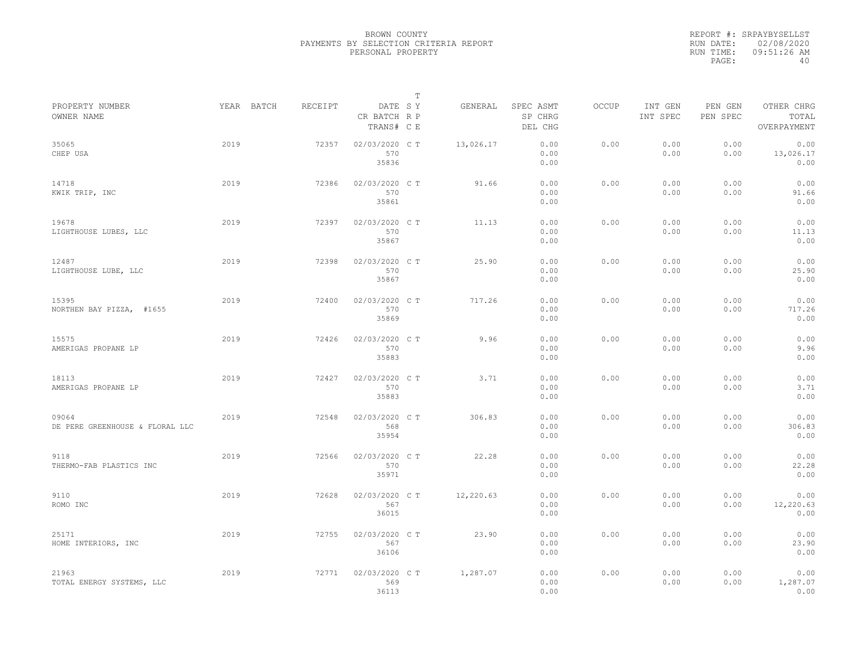|           | REPORT #: SRPAYBYSELLST |
|-----------|-------------------------|
|           | RUN DATE: 02/08/2020    |
| RUN TIME: | $09:51:26$ AM           |
| PAGE:     | 40                      |

|                                          |      |            |         |                                       | т |           |                                 |       |                     |                     |                                    |  |
|------------------------------------------|------|------------|---------|---------------------------------------|---|-----------|---------------------------------|-------|---------------------|---------------------|------------------------------------|--|
| PROPERTY NUMBER<br>OWNER NAME            |      | YEAR BATCH | RECEIPT | DATE SY<br>CR BATCH R P<br>TRANS# C E |   | GENERAL   | SPEC ASMT<br>SP CHRG<br>DEL CHG | OCCUP | INT GEN<br>INT SPEC | PEN GEN<br>PEN SPEC | OTHER CHRG<br>TOTAL<br>OVERPAYMENT |  |
| 35065<br>CHEP USA                        | 2019 |            | 72357   | 02/03/2020 C T<br>570<br>35836        |   | 13,026.17 | 0.00<br>0.00<br>0.00            | 0.00  | 0.00<br>0.00        | 0.00<br>0.00        | 0.00<br>13,026.17<br>0.00          |  |
| 14718<br>KWIK TRIP, INC                  | 2019 |            | 72386   | 02/03/2020 C T<br>570<br>35861        |   | 91.66     | 0.00<br>0.00<br>0.00            | 0.00  | 0.00<br>0.00        | 0.00<br>0.00        | 0.00<br>91.66<br>0.00              |  |
| 19678<br>LIGHTHOUSE LUBES, LLC           | 2019 |            | 72397   | 02/03/2020 C T<br>570<br>35867        |   | 11.13     | 0.00<br>0.00<br>0.00            | 0.00  | 0.00<br>0.00        | 0.00<br>0.00        | 0.00<br>11.13<br>0.00              |  |
| 12487<br>LIGHTHOUSE LUBE, LLC            | 2019 |            | 72398   | 02/03/2020 C T<br>570<br>35867        |   | 25.90     | 0.00<br>0.00<br>0.00            | 0.00  | 0.00<br>0.00        | 0.00<br>0.00        | 0.00<br>25.90<br>0.00              |  |
| 15395<br>NORTHEN BAY PIZZA, #1655        | 2019 |            | 72400   | 02/03/2020 C T<br>570<br>35869        |   | 717.26    | 0.00<br>0.00<br>0.00            | 0.00  | 0.00<br>0.00        | 0.00<br>0.00        | 0.00<br>717.26<br>0.00             |  |
| 15575<br>AMERIGAS PROPANE LP             | 2019 |            | 72426   | 02/03/2020 C T<br>570<br>35883        |   | 9.96      | 0.00<br>0.00<br>0.00            | 0.00  | 0.00<br>0.00        | 0.00<br>0.00        | 0.00<br>9.96<br>0.00               |  |
| 18113<br>AMERIGAS PROPANE LP             | 2019 |            | 72427   | 02/03/2020 C T<br>570<br>35883        |   | 3.71      | 0.00<br>0.00<br>0.00            | 0.00  | 0.00<br>0.00        | 0.00<br>0.00        | 0.00<br>3.71<br>0.00               |  |
| 09064<br>DE PERE GREENHOUSE & FLORAL LLC | 2019 |            | 72548   | 02/03/2020 C T<br>568<br>35954        |   | 306.83    | 0.00<br>0.00<br>0.00            | 0.00  | 0.00<br>0.00        | 0.00<br>0.00        | 0.00<br>306.83<br>0.00             |  |
| 9118<br>THERMO-FAB PLASTICS INC          | 2019 |            | 72566   | 02/03/2020 C T<br>570<br>35971        |   | 22.28     | 0.00<br>0.00<br>0.00            | 0.00  | 0.00<br>0.00        | 0.00<br>0.00        | 0.00<br>22.28<br>0.00              |  |
| 9110<br>ROMO INC                         | 2019 |            | 72628   | 02/03/2020 C T<br>567<br>36015        |   | 12,220.63 | 0.00<br>0.00<br>0.00            | 0.00  | 0.00<br>0.00        | 0.00<br>0.00        | 0.00<br>12,220.63<br>0.00          |  |
| 25171<br>HOME INTERIORS, INC             | 2019 |            | 72755   | 02/03/2020 C T<br>567<br>36106        |   | 23.90     | 0.00<br>0.00<br>0.00            | 0.00  | 0.00<br>0.00        | 0.00<br>0.00        | 0.00<br>23.90<br>0.00              |  |
| 21963<br>TOTAL ENERGY SYSTEMS, LLC       | 2019 |            | 72771   | 02/03/2020 C T<br>569<br>36113        |   | 1,287.07  | 0.00<br>0.00<br>0.00            | 0.00  | 0.00<br>0.00        | 0.00<br>0.00        | 0.00<br>1,287.07<br>0.00           |  |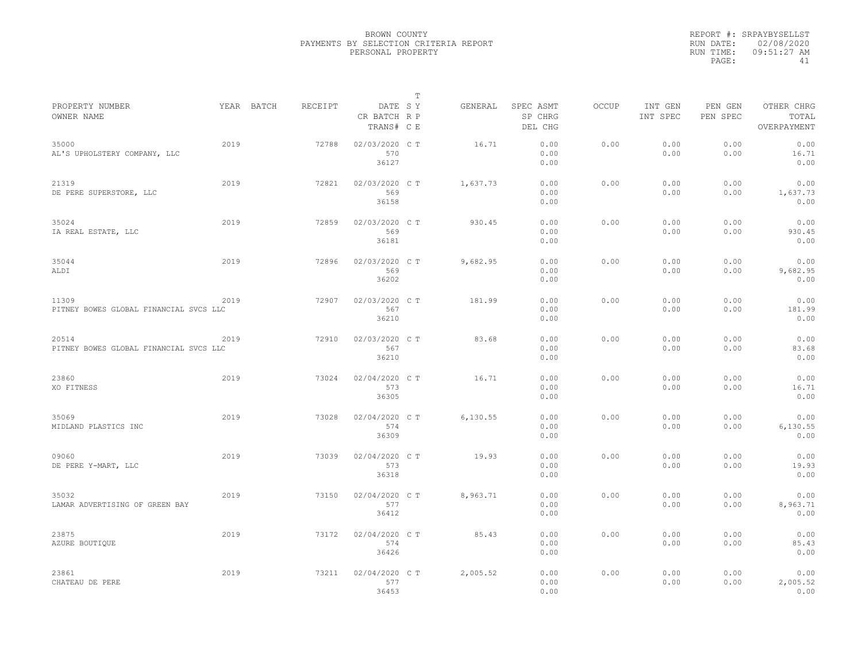|           | REPORT #: SRPAYBYSELLST |
|-----------|-------------------------|
|           | RUN DATE: 02/08/2020    |
| RUN TIME: | $09:51:27$ AM           |
| PAGE:     | 41                      |

|                                                 |      |            |         |                                       | т |           |                                 |       |                     |                     |                                    |  |
|-------------------------------------------------|------|------------|---------|---------------------------------------|---|-----------|---------------------------------|-------|---------------------|---------------------|------------------------------------|--|
| PROPERTY NUMBER<br>OWNER NAME                   |      | YEAR BATCH | RECEIPT | DATE SY<br>CR BATCH R P<br>TRANS# C E |   | GENERAL   | SPEC ASMT<br>SP CHRG<br>DEL CHG | OCCUP | INT GEN<br>INT SPEC | PEN GEN<br>PEN SPEC | OTHER CHRG<br>TOTAL<br>OVERPAYMENT |  |
| 35000<br>AL'S UPHOLSTERY COMPANY, LLC           | 2019 |            | 72788   | 02/03/2020 C T<br>570<br>36127        |   | 16.71     | 0.00<br>0.00<br>0.00            | 0.00  | 0.00<br>0.00        | 0.00<br>0.00        | 0.00<br>16.71<br>0.00              |  |
| 21319<br>DE PERE SUPERSTORE, LLC                | 2019 |            | 72821   | 02/03/2020 C T<br>569<br>36158        |   | 1,637.73  | 0.00<br>0.00<br>0.00            | 0.00  | 0.00<br>0.00        | 0.00<br>0.00        | 0.00<br>1,637.73<br>0.00           |  |
| 35024<br>IA REAL ESTATE, LLC                    | 2019 |            | 72859   | 02/03/2020 C T<br>569<br>36181        |   | 930.45    | 0.00<br>0.00<br>0.00            | 0.00  | 0.00<br>0.00        | 0.00<br>0.00        | 0.00<br>930.45<br>0.00             |  |
| 35044<br>ALDI                                   | 2019 |            | 72896   | 02/03/2020 CT<br>569<br>36202         |   | 9,682.95  | 0.00<br>0.00<br>0.00            | 0.00  | 0.00<br>0.00        | 0.00<br>0.00        | 0.00<br>9,682.95<br>0.00           |  |
| 11309<br>PITNEY BOWES GLOBAL FINANCIAL SVCS LLC | 2019 |            | 72907   | 02/03/2020 C T<br>567<br>36210        |   | 181.99    | 0.00<br>0.00<br>0.00            | 0.00  | 0.00<br>0.00        | 0.00<br>0.00        | 0.00<br>181.99<br>0.00             |  |
| 20514<br>PITNEY BOWES GLOBAL FINANCIAL SVCS LLC | 2019 |            | 72910   | 02/03/2020 C T<br>567<br>36210        |   | 83.68     | 0.00<br>0.00<br>0.00            | 0.00  | 0.00<br>0.00        | 0.00<br>0.00        | 0.00<br>83.68<br>0.00              |  |
| 23860<br>XO FITNESS                             | 2019 |            | 73024   | 02/04/2020 C T<br>573<br>36305        |   | 16.71     | 0.00<br>0.00<br>0.00            | 0.00  | 0.00<br>0.00        | 0.00<br>0.00        | 0.00<br>16.71<br>0.00              |  |
| 35069<br>MIDLAND PLASTICS INC                   | 2019 |            | 73028   | 02/04/2020 C T<br>574<br>36309        |   | 6, 130.55 | 0.00<br>0.00<br>0.00            | 0.00  | 0.00<br>0.00        | 0.00<br>0.00        | 0.00<br>6,130.55<br>0.00           |  |
| 09060<br>DE PERE Y-MART, LLC                    | 2019 |            | 73039   | 02/04/2020 C T<br>573<br>36318        |   | 19.93     | 0.00<br>0.00<br>0.00            | 0.00  | 0.00<br>0.00        | 0.00<br>0.00        | 0.00<br>19.93<br>0.00              |  |
| 35032<br>LAMAR ADVERTISING OF GREEN BAY         | 2019 |            | 73150   | 02/04/2020 C T<br>577<br>36412        |   | 8,963.71  | 0.00<br>0.00<br>0.00            | 0.00  | 0.00<br>0.00        | 0.00<br>0.00        | 0.00<br>8,963.71<br>0.00           |  |
| 23875<br>AZURE BOUTIOUE                         | 2019 |            | 73172   | 02/04/2020 C T<br>574<br>36426        |   | 85.43     | 0.00<br>0.00<br>0.00            | 0.00  | 0.00<br>0.00        | 0.00<br>0.00        | 0.00<br>85.43<br>0.00              |  |
| 23861<br>CHATEAU DE PERE                        | 2019 |            | 73211   | 02/04/2020 C T<br>577<br>36453        |   | 2,005.52  | 0.00<br>0.00<br>0.00            | 0.00  | 0.00<br>0.00        | 0.00<br>0.00        | 0.00<br>2,005.52<br>0.00           |  |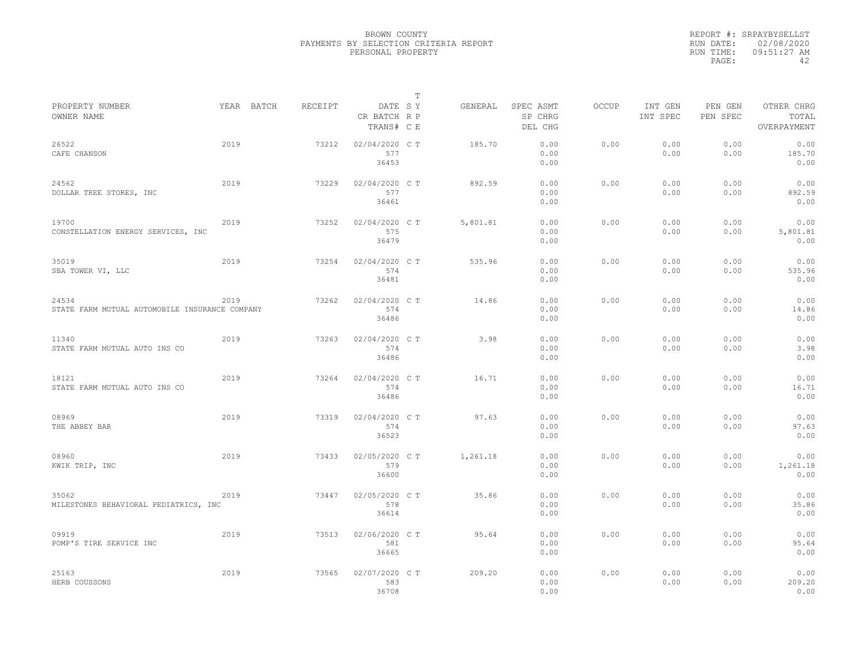|                                                         |            |         |                                       | $\mathbb T$ |          |                                 |              |                     |                     |                                    |
|---------------------------------------------------------|------------|---------|---------------------------------------|-------------|----------|---------------------------------|--------------|---------------------|---------------------|------------------------------------|
| PROPERTY NUMBER<br>OWNER NAME                           | YEAR BATCH | RECEIPT | DATE SY<br>CR BATCH R P<br>TRANS# C E |             | GENERAL  | SPEC ASMT<br>SP CHRG<br>DEL CHG | <b>OCCUP</b> | INT GEN<br>INT SPEC | PEN GEN<br>PEN SPEC | OTHER CHRG<br>TOTAL<br>OVERPAYMENT |
| 26522<br>CAFE CHANSON                                   | 2019       | 73212   | 02/04/2020 C T<br>577<br>36453        |             | 185.70   | 0.00<br>0.00<br>0.00            | 0.00         | 0.00<br>0.00        | 0.00<br>0.00        | 0.00<br>185.70<br>0.00             |
| 24562<br>DOLLAR TREE STORES, INC                        | 2019       | 73229   | 02/04/2020 C T<br>577<br>36461        |             | 892.59   | 0.00<br>0.00<br>0.00            | 0.00         | 0.00<br>0.00        | 0.00<br>0.00        | 0.00<br>892.59<br>0.00             |
| 19700<br>CONSTELLATION ENERGY SERVICES, INC             | 2019       | 73252   | 02/04/2020 C T<br>575<br>36479        |             | 5,801.81 | 0.00<br>0.00<br>0.00            | 0.00         | 0.00<br>0.00        | 0.00<br>0.00        | 0.00<br>5,801.81<br>0.00           |
| 35019<br>SBA TOWER VI, LLC                              | 2019       | 73254   | 02/04/2020 C T<br>574<br>36481        |             | 535.96   | 0.00<br>0.00<br>0.00            | 0.00         | 0.00<br>0.00        | 0.00<br>0.00        | 0.00<br>535.96<br>0.00             |
| 24534<br>STATE FARM MUTUAL AUTOMOBILE INSURANCE COMPANY | 2019       | 73262   | 02/04/2020 C T<br>574<br>36486        |             | 14.86    | 0.00<br>0.00<br>0.00            | 0.00         | 0.00<br>0.00        | 0.00<br>0.00        | 0.00<br>14.86<br>0.00              |
| 11340<br>STATE FARM MUTUAL AUTO INS CO                  | 2019       | 73263   | 02/04/2020 C T<br>574<br>36486        |             | 3.98     | 0.00<br>0.00<br>0.00            | 0.00         | 0.00<br>0.00        | 0.00<br>0.00        | 0.00<br>3.98<br>0.00               |
| 18121<br>STATE FARM MUTUAL AUTO INS CO                  | 2019       | 73264   | 02/04/2020 C T<br>574<br>36486        |             | 16.71    | 0.00<br>0.00<br>0.00            | 0.00         | 0.00<br>0.00        | 0.00<br>0.00        | 0.00<br>16.71<br>0.00              |
| 08969<br>THE ABBEY BAR                                  | 2019       | 73319   | 02/04/2020 C T<br>574<br>36523        |             | 97.63    | 0.00<br>0.00<br>0.00            | 0.00         | 0.00<br>0.00        | 0.00<br>0.00        | 0.00<br>97.63<br>0.00              |
| 08960<br>KWIK TRIP, INC                                 | 2019       | 73433   | 02/05/2020 C T<br>579<br>36600        |             | 1,261.18 | 0.00<br>0.00<br>0.00            | 0.00         | 0.00<br>0.00        | 0.00<br>0.00        | 0.00<br>1,261.18<br>0.00           |
| 35062<br>MILESTONES BEHAVIORAL PEDIATRICS, INC          | 2019       | 73447   | 02/05/2020 C T<br>578<br>36614        |             | 35.86    | 0.00<br>0.00<br>0.00            | 0.00         | 0.00<br>0.00        | 0.00<br>0.00        | 0.00<br>35.86<br>0.00              |
| 09919<br>POMP'S TIRE SERVICE INC                        | 2019       | 73513   | 02/06/2020 C T<br>581<br>36665        |             | 95.64    | 0.00<br>0.00<br>0.00            | 0.00         | 0.00<br>0.00        | 0.00<br>0.00        | 0.00<br>95.64<br>0.00              |
| 25163<br>HERB COUSSONS                                  | 2019       | 73565   | 02/07/2020 C T<br>583<br>36708        |             | 209.20   | 0.00<br>0.00<br>0.00            | 0.00         | 0.00<br>0.00        | 0.00<br>0.00        | 0.00<br>209.20<br>0.00             |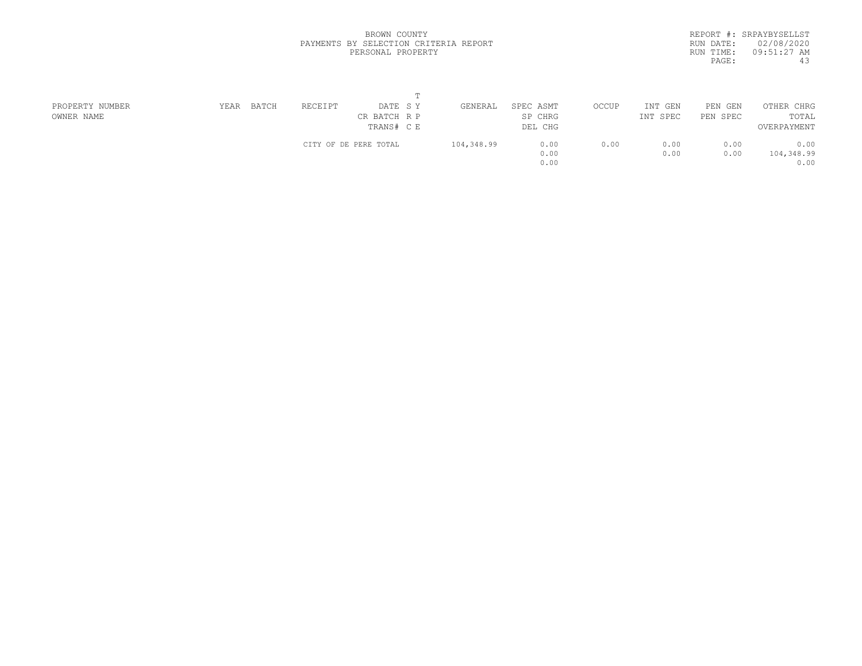|           | REPORT #: SRPAYBYSELLST |
|-----------|-------------------------|
|           | RUN DATE: 02/08/2020    |
| RUN TIME: | 09:51:27 AM             |
| PAGE:     | 43                      |

| PROPERTY NUMBER | BATCH<br>YEAR | RECEIPT<br>DATE SY    | GENERAL    | SPEC ASMT | OCCUP | INT GEN  | PEN GEN  | OTHER CHRG  |  |
|-----------------|---------------|-----------------------|------------|-----------|-------|----------|----------|-------------|--|
| OWNER NAME      |               | CR BATCH R P          |            | SP CHRG   |       | INT SPEC | PEN SPEC | TOTAL       |  |
|                 |               | TRANS# C E            |            | DEL CHG   |       |          |          | OVERPAYMENT |  |
|                 |               | CITY OF DE PERE TOTAL | 104,348.99 | 0.00      | 0.00  | 0.00     | 0.00     | 0.00        |  |
|                 |               |                       |            | 0.00      |       | 0.00     | 0.00     | 104,348.99  |  |
|                 |               |                       |            | 0.00      |       |          |          | 0.00        |  |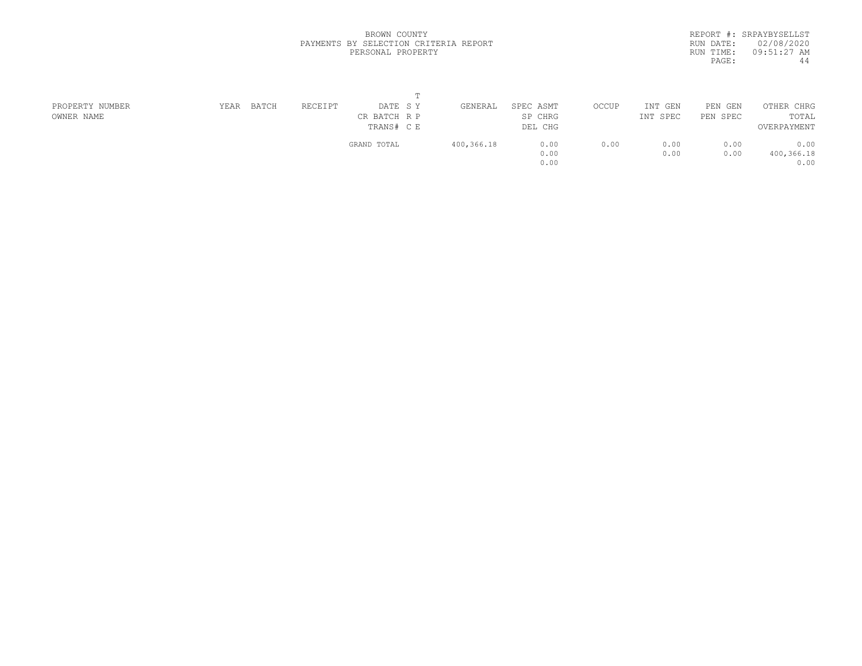|           | REPORT #: SRPAYBYSELLST |
|-----------|-------------------------|
| RUN DATE: | 02/08/2020              |
| RUN TIME: | 09:51:27 AM             |
| PAGE:     | 44                      |
|           |                         |

| PROPERTY NUMBER | YEAR | BATCH | RECEIPT | DATE SY      | GENERAL    | SPEC ASMT | OCCUP | INT GEN  | PEN GEN  | OTHER CHRG  |  |
|-----------------|------|-------|---------|--------------|------------|-----------|-------|----------|----------|-------------|--|
| OWNER NAME      |      |       |         | CR BATCH R P |            | SP CHRG   |       | INT SPEC | PEN SPEC | TOTAL       |  |
|                 |      |       |         | TRANS# C E   |            | DEL CHG   |       |          |          | OVERPAYMENT |  |
|                 |      |       |         | GRAND TOTAL  | 400,366.18 | 0.00      | 0.00  | 0.00     | 0.00     | 0.00        |  |
|                 |      |       |         |              |            | 0.00      |       | 0.00     | 0.00     | 400,366.18  |  |
|                 |      |       |         |              |            | 0.00      |       |          |          | 0.00        |  |